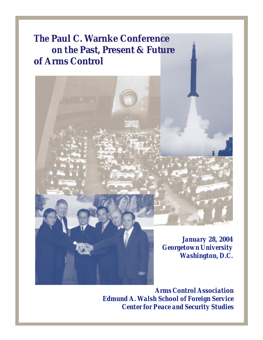## *The* **Paul C. Warnke Conference**  *on the* **Past, Present & Future of Arms Control**



*Arms Control Association Edmund A. Walsh School of Foreign Service Center for Peace and Security Studies*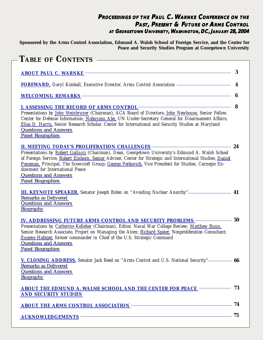### **PROCEEDINGS OF THE PAUL C. WARNKE CONFERENCE ON THE PAST, PRESENT & FUTURE OF ARMS CONTROL AT GEORGETOWN UNIVERSITY, WASHINGTON, DC, J DC, ANUARY 28, 2004**

**Sponsored by the Arms Control Association, Edmund A. Walsh School of Foreign Service, and the Center for Peace and Security Studies Program at Georgetown University**

| TABLE OF CONTENTS                                                                                                                                                                                                                                                                                                                                                                                                                                                                |     |
|----------------------------------------------------------------------------------------------------------------------------------------------------------------------------------------------------------------------------------------------------------------------------------------------------------------------------------------------------------------------------------------------------------------------------------------------------------------------------------|-----|
| ABOUT PAUL C. WARNKE THE COMMIT OF THE CONTRACT OF THE CONTRACT OF THE CONTRACT OF THE CONTRACT OF THE CONTRACT OF THE CONTRACT OF THE CONTRACT OF THE CONTRACT OF THE CONTRACT OF THE CONTRACT OF THE CONTRACT OF THE CONTRAC                                                                                                                                                                                                                                                   | 3   |
| FOREWARD, Daryl Kimball, Executive Director, Arms Control Association - The Control of the United States of the United States of the United States of the United States of the United States of the United States of the Unite                                                                                                                                                                                                                                                   | 4   |
| WELCOMING REMARKS CONTROL AND THE RESERVE AND THE RESERVE AND THE RESERVE AND THE RESERVE AND THE RESERVE AND THE RESERVE AND THE RESERVE AND THE RESERVE AND THE RESERVE AND THE RESERVE AND THE RESERVE AND THE RESERVE AND                                                                                                                                                                                                                                                    | 6   |
| Presentations by John Steinbruner (Chairman), ACA Board of Directors; John Newhouse, Senior Fellow,<br>Center for Defense Information; Nobuyasu Abe, UN Under-Secretary General for Disarmament Affairs;<br>Elisa D. Harris, Senior Research Scholar, Center for International and Security Studies at Maryland<br><b>Questions and Answers</b><br>Panel Biographies                                                                                                             | 8   |
| II. MEETING TODAY'S PROLIFERATION CHALLENGES <b>CONSERVERS</b><br>Presentations by Robert Gallucci (Chairman), Dean, Georgetown University's Edmund A. Walsh School<br>of Foreign Service; Robert Einhorn, Senior Adviser, Center for Strategic and International Studies; Daniel<br>Poneman, Principal, The Scowcroft Group; George Perkovich, Vice President for Studies, Carnegie En-<br>dowment for International Peace<br><b>Questions and Answers</b><br>Panel Biographies | 24  |
| <b>Remarks as Delivered</b><br><b>Questions and Answers</b><br><b>Biography</b>                                                                                                                                                                                                                                                                                                                                                                                                  | 41  |
| IV. ADDRESSING FUTURE ARMS CONTROL AND SECURITY PROBLEMS —<br>Presentations by Catherine Kelleher (Chairman), Editor, Naval War College Review; Matthew Bunn,<br>Senior Research Associate, Project on Managing the Atom; Richard Speier, Nonproliferation Consultant;<br>Eugene Habiger, former commander in Chief of the U.S. Strategic Command<br><b>Questions and Answers</b><br>Panel Biographies                                                                           | 50  |
| V. CLOSING ADDRESS, Senator Jack Reed on "Arms Control and U.S. National Security" 66<br><b>Remarks as Delivered</b><br><b>Questions and Answers</b><br>Biography                                                                                                                                                                                                                                                                                                                |     |
| ABOUT THE EDMUND A. WALSH SCHOOL AND THE CENTER FOR PEACE <b>STATE</b><br><b>AND SECURITY STUDIES</b>                                                                                                                                                                                                                                                                                                                                                                            | 73  |
| ABOUT THE ARMS CONTROL ASSOCIATION <b>CONTROL ASSOCIATION</b>                                                                                                                                                                                                                                                                                                                                                                                                                    | -74 |
|                                                                                                                                                                                                                                                                                                                                                                                                                                                                                  | 75  |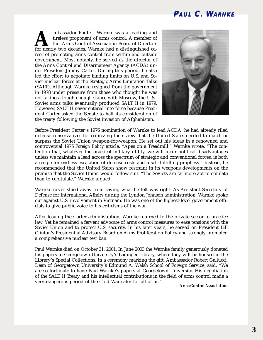### **PAUL C. WARNKE**

<span id="page-2-0"></span> mbassador Paul C. Warnke was a leading and tireless proponent of arms control. A member of the Arms Control Association Board of Directors mbassador Paul C. Warnke was a leading and<br>tireless proponent of arms control. A member of<br>for nearly two decades, Warnke had a distinguished career of promoting arms control from within and outside government. Most notably, he served as the director of the Arms Control and Disarmament Agency (ACDA) under President Jimmy Carter. During this period, he also led the effort to negotiate binding limits on U.S. and Soviet nuclear forces at the Strategic Arms Limitation Talks (SALT). Although Warnke resigned from the government in 1978 under pressure from those who thought he was not taking a tough enough stance with Moscow, the U.S.- Soviet arms talks eventually produced SALT II in 1979. However, SALT II never entered into force because President Carter asked the Senate to halt its consideration of the treaty following the Soviet invasion of Afghanistan.



Before President Carter's 1976 nomination of Warnke to lead ACDA, he had already riled defense conservatives for criticizing their view that the United States needed to match or surpass the Soviet Union weapon-for-weapon. He set out his ideas in a renowned and controversial 1975 *Foreign Policy* article, "Apes on a Treadmill." Warnke wrote, "The contention that, whatever the practical military utility, we will incur political disadvantages unless we maintain a lead across the spectrum of strategic and conventional forces, is both a recipe for endless escalation of defense costs and a self-fulfilling prophesy." Instead, he recommended that the United States show restraint in its weapons developments on the premise that the Soviet Union would follow suit. "The Soviets are far more apt to emulate than to capitulate," Warnke argued.

Warnke never shied away from saying what he felt was right. As Assistant Secretary of Defense for International Affairs during the Lyndon Johnson administration, Warnke spoke out against U.S. involvement in Vietnam. He was one of the highest-level government officials to give public voice to his criticisms of the war.

After leaving the Carter administration, Warnke returned to the private sector to practice law. Yet he remained a fervent advocate of arms control measures to ease tensions with the Soviet Union and to protect U.S. security. In his later years, he served on President Bill Clinton's Presidential Advisory Board on Arms Proliferation Policy and strongly promoted a comprehensive nuclear test ban.

Paul Warnke died on October 31, 2001. In June 2003 the Warnke family generously donated his papers to Georgetown University's Lauinger Library, where they will be housed in the Library's Special Collections. In a ceremony marking the gift, Ambassador Robert Gallucci, Dean of Georgetown University's Edmund A. Walsh School of Foreign Service, said, "We are so fortunate to have Paul Warnke's papers at Georgetown University. His negotiation of the SALT II Treaty and his intellectual contributions in the field of arms control made a very dangerous period of the Cold War safer for all of us."

*—Arms Control Association*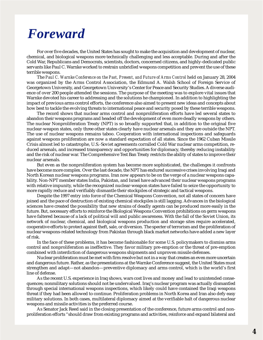## <span id="page-3-0"></span>*Foreward*

For over five decades, the United States has sought to make the acquisition and development of nuclear, chemical, and biological weapons more technically challenging and less acceptable. During and after the Cold War, Republicans and Democrats, scientists, doctors, concerned citizens, and highly-dedicated public servants like Paul C. Warnke worked to restrain unbridled weapons competition and prevent the use of these terrible weapons.

The *Paul C. Warnke Conference on the Past, Present, and Future of Arms Control* held on January 28, 2004 was organized by the Arms Control Association, the Edmund A. Walsh School of Foreign Service of Georgetown University, and Georgetown University's Center for Peace and Security Studies. A diverse audience of over 200 people attended the sessions. The purpose of the meeting was to explore vital issues that Warnke devoted his career to addressing and the solutions he championed. In addition to highlighting the impact of previous arms control efforts, the conference also aimed to present new ideas and concepts about how best to tackle the evolving threats to international peace and security posed by these terrible weapons.

The record shows that nuclear arms control and nonproliferation efforts have led several states to abandon their weapons programs and headed off the development of even more deadly weapons by others. The nuclear Nonproliferation Treaty (NPT) is so broadly supported that, in addition to the original five nuclear-weapon states, only three other states clearly have nuclear arsenals and they are outside the NPT. The use of nuclear weapons remains taboo. Cooperation with international inspections and safeguards against weapons proliferation are now a standard expectation of all states. Since the 1962 Cuban Missile Crisis almost led to catastrophe, U.S.-Soviet agreements corralled Cold War nuclear arms competition, reduced arsenals, and increased transparency and opportunities for diplomacy, thereby reducing instability and the risk of nuclear war. The Comprehensive Test Ban Treaty restricts the ability of states to improve their nuclear arsenals.

But even as the nonproliferation system has become more sophisticated, the challenges it confronts have become more complex. Over the last decade, the NPT has endured successive crises involving Iraqi and North Korean nuclear weapons programs. Iran now appears to be on the verge of a nuclear weapons capability. Non-NPT member states India, Pakistan, and Israel have advanced their nuclear weapons programs with relative impunity, while the recognized nuclear-weapon states have failed to seize the opportunity to more rapidly reduce and verifiably dismantle their stockpiles of strategic and tactical weapons.

Despite the 1997 entry into force of the Chemical Weapons Convention, not all states of concern have joined and the pace of destruction of existing chemical stockpiles is still lagging. Advances in the biological sciences have created the possibility that new strains of deadly agents can be produced more easily in the future. But, necessary efforts to reinforce the Biological Weapons Convention prohibitions on germ weapons have faltered because of a lack of political will and public awareness. With the fall of the Soviet Union, its network of nuclear, chemical, and biological weapons production and storage sites require accelerated, cooperative efforts to protect against theft, sale, or diversion. The specter of terrorism and the proliferation of nuclear weapons-related technology from Pakistan through black market networks have added a new layer of risk.

In the face of these problems, it has become fashionable for some U.S. policymakers to dismiss arms control and nonproliferation as ineffective. They favor military pre-emption or the threat of pre-emption combined with interdiction of dangerous weapons shipments and unproven missile defenses.

Nuclear proliferation must be met with firm resolve but not in a way that creates an even more uncertain and dangerous future. Rather, as the presentations at the Warnke Conference suggest, the United States must strengthen and adapt—not abandon—preventive diplomacy and arms control, which is the world's first line of defense.

As the recent U.S. experience in Iraq shows, wars cost lives and money and lead to unintended consequences; nonmilitary solutions should not be undervalued. Iraq's nuclear program was actually dismantled through special international weapons inspections, which likely could have contained the Iraqi weapons threat if they had been allowed to continue. Proliferation problems in North Korea and Iran also defy easy military solutions. In both cases, multilateral diplomacy aimed at the verifiable halt of dangerous nuclear weapons and missile activities is the preferred course.

As Senator Jack Reed said in the closing presentation of the conference, future arms control and nonproliferation efforts "should draw from existing programs and activities, reinforce and expand bilateral and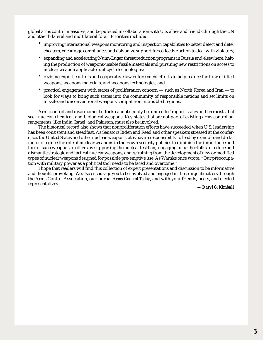global arms control measures, and be pursued in collaboration with U.S. allies and friends through the UN and other bilateral and multilateral fora." Priorities include:

- **·** improving international weapons monitoring and inspection capabilities to better detect and deter cheaters, encourage compliance, and galvanize support for collective action to deal with violators;
- **·** expanding and accelerating Nunn-Lugar threat reduction programs in Russia and elsewhere, halting the production of weapons-usable fissile materials and pursuing new restrictions on access to nuclear weapon applicable fuel-cycle technologies;
- **·** revising export controls and cooperative law enforcement efforts to help reduce the flow of illicit weapons, weapons materials, and weapons technologies; and
- **·** practical engagement with states of proliferation concern such as North Korea and Iran to look for ways to bring such states into the community of responsible nations and set limits on missile and unconventional weapons competition in troubled regions.

Arms control and disarmament efforts cannot simply be limited to "rogue" states and terrorists that seek nuclear, chemical, and biological weapons. Key states that are not part of existing arms control arrangements, like India, Israel, and Pakistan, must also be involved.

The historical record also shows that nonproliferation efforts have succeeded when U.S. leadership has been consistent and steadfast. As Senators Biden and Reed and other speakers stressed at the conference, the United States and other nuclear-weapon states have a responsibility to lead by example and do far more to reduce the role of nuclear weapons in their own security policies to diminish the importance and lure of such weapons to others by supporting the nuclear test ban, engaging in further talks to reduce and dismantle strategic and tactical nuclear weapons, and refraining from the development of new or modified types of nuclear weapons designed for possible pre-emptive use. As Warnke once wrote, "Our preoccupation with military power as a political tool needs to be faced and overcome."

I hope that readers will find this collection of expert presentations and discussion to be informative and thought-provoking. We also encourage you to be involved and engaged in these urgent matters through the Arms Control Association, our journal *Arms Control Today*, and with your friends, peers, and elected representatives.

*— Daryl G. Kimball*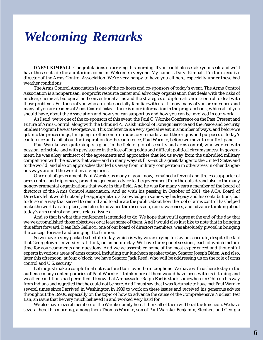## <span id="page-5-0"></span>*Welcoming Remarks*

**DARYL KIMBALL:** Congratulations on arriving this morning. If you could please take your seats and we'll have those outside the auditorium come in. Welcome, everyone. My name is Daryl Kimball. I'm the executive director of the Arms Control Association. We're very happy to have you all here, especially under these bad weather conditions.

The Arms Control Association is one of the co-hosts and co-sponsors of today's event. The Arms Control Association is a nonpartisan, nonprofit resource center and advocacy organization that deals with the risks of nuclear, chemical, biological and conventional arms and the strategies of diplomatic arms control to deal with those problems. For those of you who are not especially familiar with us—I know many of you are members and many of you are readers of *Arms Control Today*—there is more information in the program book, which all of you should have, about the Association and how you can support us and how you can be involved in our work.

As I said, we're one of the co-sponsors of this event, the Paul C. Warnke Conference on the Past, Present and Future of Arms Control, along with the Edmund A. Walsh School of Foreign Service and the Peace and Security Studies Program here at Georgetown. This conference is a very special event in a number of ways, and before we get into the proceedings, I'm going to offer some introductory remarks about the origins and purposes of today's conference and a bit about the inspiration for the conference, Paul Warnke, before we move to our first panel.

Paul Warnke was quite simply a giant in the field of global security and arms control, who worked with passion, principle, and with persistence in the face of long odds and difficult political circumstances. In government, he was a key architect of the agreements and approaches that led us away from the unbridled military competition with the Soviets that was—and in many ways still is—such a great danger to the United States and to the world, and also on approaches that led us away from military competition in other areas in other dangerous ways around the world involving arms.

Once out of government, Paul Warnke, as many of you know, remained a fervent and tireless supporter of arms control and diplomacy, providing generous advice to the government from the outside and also to the many nongovernmental organizations that work in this field. And he was for many years a member of the board of directors of the Arms Control Association. And so with his passing in October of 2001, the ACA Board of Directors felt it would not only be appropriate to acknowledge in some way his legacy and his contributions, but to do so in a way that served to remind and to educate the public about how the tool of arms control has helped make the world a safer place, and also, to advance the discussion, raise awareness, and advance thinking about today's arm control and arms-related issues.

And so that is what this conference is intended to do. We hope that you'll agree at the end of the day that we've accomplished those objectives or at least some of them. And I would also just like to note that in bringing this effort forward, Dean Bob Gallucci, one of our board of directors members, was absolutely pivotal in bringing the concept forward and bringing it to fruition.

So we have a very packed schedule today, which is why we are trying to stay on schedule, despite the fact that Georgetown University is, I think, on an hour delay. We have three panel sessions, each of which include time for your comments and questions. And we've assembled some of the most experienced and thoughtful experts in various areas of arms control, including our luncheon speaker today, Senator Joseph Biden. And also, later this afternoon, at four o'clock, we have Senator Jack Reed, who will be addressing us on the role of arms control and U.S. security.

Let me just make a couple final notes before I turn over the microphone. We have with us here today in the audience many contemporaries of Paul Warnke. I think more of them would have been with us if timing and weather conditions had permitted. I know that Ambassador Ralph Earl is stuck somewhere in Ohio on his way from Indiana and regretted that he could not be here. And I must say that I was fortunate to have met Paul Warnke several times since I arrived in Washington in 1989 to work on these issues and received his generous advice throughout the 1990s, especially on the topic of how to advance the cause of the Comprehensive Nuclear Test Ban, an issue that he very much believed in and worked very hard for.

We also have several members of the Warnke family here. I think all of them will be at the luncheon. We have several here this morning, among them Thomas Warnke, son of Paul Warnke. Benjamin, Stephen, and Georgia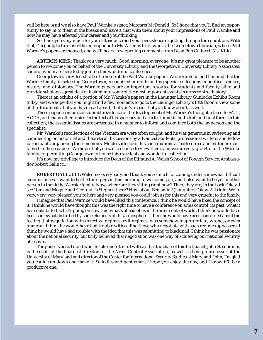will be here. And we also have Paul Warnke's sister, Margaret McDonald. So I hope that you'll find an opportunity to say hi to them in the breaks and have a chat with them about your impressions of Paul Warnke and how he may have affected your career and your thinking.

So thank you very much for your attendance and your persistence in getting through the conditions. With that, I'm going to turn over the microphone to Ms. Artemis Kirk, who is the Georgetown librarian, where Paul Warnke's papers are housed, and we'll hear a few opening comments from Dean Bob Gallucci. Ms. Kirk?

**ARTEMIS KIRK:** Thank you very much. Good morning, everyone. It's my great pleasure to be another person to welcome you on behalf of the University Library and the Georgetown University Library Associates, some of whom are here today joining this wonderful conference.

Georgetown is privileged to be the home of the Paul Warnke papers. We are grateful and honored that the Warnke family, in selecting Georgetown, recognized our outstanding special collections in political science, history, and diplomacy. The Warnke papers are an important resource for students and faculty alike and provide scholars a great deal of insight into some of the most important events in arms control history.

There is an exhibit of a portion of Mr. Warnke's papers in the Lauinger Library Gunlocke Exhibit Room today, and we hope that you might find a few moments to go to the Lauinger Library's fifth floor to view some of the documents that you have read about, that you've seen, that you know about, as well.

These papers contain considerable evidence of the development of Mr. Warnke's thought related to SALT, ACDA, and many other topics. In the text of his speeches and articles found in both draft and final forms in this collection, the essential issues are presented in a manner to inform and convince both the layperson and the specialist.

Mr. Warnke's recollections of the Vietnam era were often sought, and he was generous in reviewing and commenting on historical and theoretical discussions by advanced students, professional writers, and fellow participants organizing their memoirs. Much evidence of his contributions as both source and editor are contained in these papers. We hope that you will a chance to view them, and we are very grateful to the Warnke family for permitting Georgetown to house this excellent and wonderful collection.

It's now my privilege to introduce the Dean of the Edmund A. Walsh School of Foreign Service, Ambassador Robert Gallucci.

**ROBERT GALLUCCI:** Welcome, everybody, and thank you so much for coming under somewhat difficult circumstances. I want to be the third person this morning to welcome you, and I also want to be yet another person to thank the Warnke family. Now, where are they sitting right now? There they are, in the back. Okay, I see Tom and Maggie and Georgia. Is Stephen there? How about Benjamin? (Laughter.) Okay. All right. We're very, very, very pleased you're here and very pleased you could join us for this and very grateful to the family.

I imagine that Paul Warnke would have liked this conference. I think he would have liked the concept of it. I think he would have thought this was the right time to have a conference on arms control, its past, what it has contributed, what's going on now, and what's ahead of us in the arms control world. I think he would have been somewhat disturbed by some elements of this atmosphere. I think he would have been concerned about the feeling that negotiation with defective regimes, evil regimes, was somehow inappropriate, wrong, or even immoral. I think he would have had trouble with calling those who negotiate with such regimes appeasers. I think he would have had trouble with the idea that this was submitting to blackmail. I think he was passionate about the national security, but truly believed that negotiation was one way of achieving our national security objectives.

The panel is here. I don't want to take more time. I will say that the chair of this first panel, John Steinbruner, is the chair of the board of directors of the Arms Control Association, as well as being a professor at the University of Maryland and director of the Center for International Security Studies at Maryland. John, I'm glad you could run down and make it. So ladies and gentlemen, I hope you enjoy the day, and I know it'll be a productive one.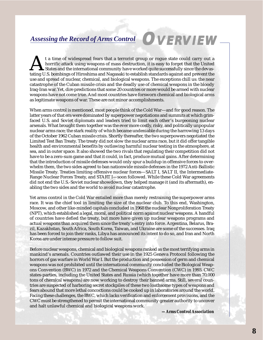### <span id="page-7-0"></span>*Assessing the Record of Arms Control*

t a time of widespread fears that a terrorist group or rogue state could carry out a horrific attack using weapons of mass destruction, it is easy to forget that the United States and the international community have worke horrific attack using weapons of mass destruction, it is easy to forget that the United  $\blacktriangle$ States and the international community have worked quite successfully since the devasuse and spread of nuclear, chemical, and biological weapons. The exceptions chill us: the near catastrophe of the Cuban missile crisis and the deadly use of chemical weapons in the bloody Iraq-Iran war. Yet, dire predictions that some 20 countries or more would be armed with nuclear weapons have not come true. And most countries have forsworn chemical and biological arms as legitimate weapons of war. These are not minor accomplishments.

When arms control is mentioned, most people think of the Cold War—and for good reason. The latter years of that era were dominated by superpower negotiations and summits at which grimfaced U.S. and Soviet diplomats and leaders tried to limit each other's burgeoning nuclear arsenals. What brought them together was the ever more costly, risky, and politically unpopular nuclear arms race; the stark reality of which became undeniable during the harrowing 13 days of the October 1962 Cuban missile crisis. Shortly thereafter, the two superpowers negotiated the Limited Test Ban Treaty. The treaty did not slow the nuclear arms race, but it did offer tangible health and environmental benefits by outlawing harmful nuclear testing in the atmosphere, at sea, and in outer space. It also showed the two rivals that regulating their competition did not have to be a zero-sum game and that it could, in fact, produce mutual gains. After determining that the introduction of missile defenses would only spur a buildup in offensive forces to overwhelm them, the two sides agreed to ban nationwide missile defenses in the 1972 Anti-Ballistic Missile Treaty. Treaties limiting offensive nuclear forces—SALT I, SALT II, the Intermediate-Range Nuclear Forces Treaty, and START I—soon followed. While these Cold War agreements did not end the U.S.-Soviet nuclear showdown, they helped manage it (and its aftermath), enabling the two sides and the world to avoid nuclear catastrophe.

Yet arms control in the Cold War entailed more than merely restraining the superpower arms race. It was the chief tool in limiting the size of the nuclear club. To this end, Washington, Moscow, and other like-minded capitals concluded in 1968 the nuclear Nonproliferation Treaty (NPT), which established a legal, moral, and political norm against nuclear weapons. A handful of countries have defied the treaty, but more have given up nuclear weapons programs and actual weapons than acquired them since the treaty's entry into force. Argentina, Belarus, Brazil, Kazakhstan, South Africa, South Korea, Taiwan, and Ukraine are some of the successes. Iraq has been forced to join their ranks, Libya has announced its intent to do so, and Iran and North Korea are under intense pressure to follow suit.

Before nuclear weapons, chemical and biological weapons ranked as the most terrifying arms in mankind's arsenals. Countries outlawed their use in the 1925 Geneva Protocol following the horrors of gas warfare in World War I. But the production and possession of germ and chemical weapons was not prohibited until the international community concluded the Biological Weapons Convention (BWC) in 1972 and the Chemical Weapons Convention (CWC) in 1993. CWC states-parties, including the United States and Russia (which together have more than 70,000 tons of chemical weapons) are now working to destroy their banned arms. Still, several countries are suspected of harboring secret stockpiles of these two loathsome types of weapons and fears abound that more lethal concoctions could be cooked up in laboratories around the world. Facing these challenges, the BWC, which lacks verification and enforcement provisions, and the CWC must be strengthened to permit the international community greater authority to uncover and halt unlawful chemical and biological weapons work.

*—Arms Control Association*

**OVERVIEW**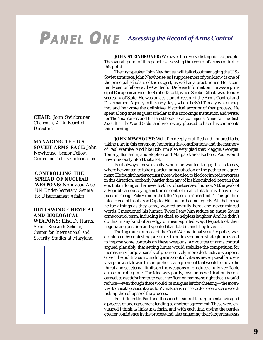# <span id="page-8-0"></span>**PANEL ONE** *Assessing the Record of Arms Control*

**JOHN STEINBRUNER:** We have three very distinguished people. The overall point of this panel is assessing the record of arms control to this point.

The first speaker, John Newhouse, will talk about managing the U.S.- Soviet arms race. John Newhouse, as I suppose most of you know, is one of the principal scholars of the subject, as well as a practitioner. He is currently senior fellow at the Center for Defense Information. He was a principal European advisor to Strobe Talbott, when Strobe Talbott was deputy secretary of State. He was an assistant director of the Arms Control and Disarmament Agency in the early days, when the SALT treaty was emerging, and he wrote the definitive, historical account of that process. He spent a long time as guest scholar at the Brookings Institution and writer for *The New Yorker*, and his latest book is called *Imperial America: The Bush Assault on the World Order* and we're very pleased to have his comments this morning.

**JOHN NEWHOUSE:** Well, I'm deeply gratified and honored to be taking part in this ceremony honoring the contributions and the memory of Paul Warnke. And like Bob, I'm also very glad that Maggie, Georgia, Tommy, Benjamin, and Stephen and Margaret are also here. Paul would have obviously liked that a lot.

Paul always knew exactly where he wanted to go; that is to say, where he wanted to take a particular negotiation or the path to an agreement. He fought harder against those who tried to block or impede progress in this direction, probably harder than any of his like-minded peers in that era. But in doing so, he never lost his robust sense of humor. At the peak of a Republican outcry against arms control in all of its forms, he wrote a piece in *Foreign Policy* under the title "Apes on a Treadmill." This got him into no end of trouble on Capitol Hill, but he had no regrets. All that to say he took things as they came, worked awfully hard, and never minced words. I mentioned his humor. Twice I saw him reduce an entire Soviet arms control team, including its chief, to helpless laughter. And he didn't do this in any kind of an edgy or mean-spirited way. He just took their negotiating position and spoofed it a little bit, and they loved it.

During much or most of the Cold War, national security policy was dominated by contesting pressures to build ever more strategic arms and to impose some controls on these weapons. Advocates of arms control argued plausibly that setting limits would stabilize the competition for increasingly large arsenals of progressively more destructive weapons. Given the politics surrounding arms control, it was never possible to envisage or work toward a comprehensive agreement that would remove the threat and set eternal limits on the weapons or produce a fully verifiable arms control regime. The idea was partly, insofar as verification is concerned, to get tight limits, to get a verification regime so tight that it would reduce—even though there would be margins left for cheating—the incentive to cheat because it wouldn't make any sense to do so on a scale worth risking the collapse of the process.

Put differently, Paul and those on his side of the argument envisaged a process of one agreement leading to another agreement. These were envisaged I think as links in a chain, and with each link, giving the parties greater confidence in the process and also engaging their larger interests

**CHAIR:** John Steinbruner, *Chairman, ACA Board of Directors*

**MANAGING THE U.S.- SOVIET ARMS RACE:** John Newhouse, *Senior Fellow, Center for Defense Information*

**CONTROLLING THE SPREAD OF NUCLEAR WEAPONS:** Nobuyasu Abe, *UN Under-Secretary General for Disarmament Affairs*

**OUTLAWING CHEMICAL AND BIOLOGICAL WEAPONS:** Elisa D. Harris, *Senior Research Scholar, Center for International and Security Studies at Maryland*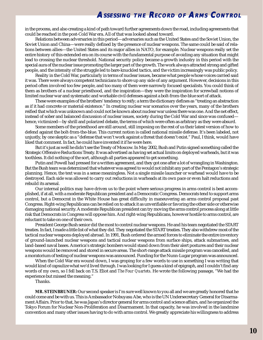in the process, and also creating a kind of path toward further agreements down the road, including agreements that could be reached in the post-Cold War era. All of that was looked ahead toward.

Relations between adversaries in this period—adversaries such as the United States and the Soviet Union, the Soviet Union and China—were really defined by the presence of nuclear weapons. The same could be said of relations between allies—the United States and its major allies in NATO, for example. Nuclear weapons really set the entire history of this extended era on its course with the fundamental purpose of avoiding any situation that might lead to crossing the nuclear threshold. National security policy became a growth industry in this period with the special aura of the nuclear issue promoting the larger part of the growth. The work always attracted strong and gifted people, and the intensity of the struggle led to bare-knuckled tactics, and the victim increasingly was public policy.

Reality in the Cold War, particularly in terms of nuclear issues, became what people whose voices carried said it was. There were always competent technicians to shore up any side of any argument. However, decisions in this period often involved too few people, and too many of them were narrowly focused specialists. You could think of them as brothers of a nuclear priesthood, and the inspiration—they were the inspiration for screwball notions of limited nuclear war and systematic and workable civil defenses against a bolt-from-the-blue sort of attack.

These were examples of the brothers' tendency to reify; a term the dictionary defines as "treating an abstraction as if it had concrete or material existence." In creating nuclear war scenarios over the years, many of the brothers reified that which was unknown and could not be known about nuclear war unless there was one. And the net effect, instead of sober and balanced discussion of nuclear issues, society during the Cold War and since was confused hence, victimized—by shrill and polarized debate, the terms of which were often as arbitrary as they were absurd.

Some members of the priesthood are still around, still imposing on the rest of us their latest version of how to defend against the bolt-from-the-blue. This current notion is called national missile defense. It's been labeled, not unjustly, by one skeptic as a "defense that won't work against a threat that doesn't exist." Paul, I think, would have liked that comment. In fact, he could have invented it if he were here.

But it's just as well he didn't see the Treaty of Moscow. In May 2002, Bush and Putin signed something called the Strategic Offensive Reductions Treaty. It was advertised as having set actual limits on deployed warheads, but it was toothless. It did nothing of the sort, although all parties appeared to get something.

Putin and Powell had pressed for a written agreement, and they got one after a lot of wrangling in Washington. But the Bush team was determined that whatever was agreed to would not inhibit any part of the Pentagon's strategic planning. Hence, the text was in a sense meaningless. Not a single missile launcher or warhead would have to be destroyed. Each side was allowed to carry out reductions in warheads at its own pace or even halt reductions and rebuild its arsenal.

Our internal politics may have driven us to the point where serious progress in arms control is best accomplished, if at all, with a moderate Republican president and a Democratic Congress. Democrats tend to support arms control, but a Democrat in the White House has great difficulty in maneuvering an arms control proposal past Congress. Right-wing Republicans can be relied on to attack it as unverifiable or favoring the other side or otherwise damaging national security. A moderate Republican president can try moving the arms control process along at little risk that Democrats in Congress will oppose him. And right-wing Republicans, however hostile to arms control, are reluctant to take on one of their own.

President George Bush senior did the most to control nuclear weapons. He and his team negotiated the START treaties. In fact, I made a little list of what they did. They negotiated the START treaties. They also withdrew most of the tactical nuclear weapons deployed abroad. In 1991, Bush ordered the armed forces to eliminate the entire inventory of ground-launched nuclear weapons and tactical nuclear weapons from surface ships, attack submarines, and land-based naval bases. America's strategic bombers would stand down from their alert postures and their nuclear weapons would be removed and stored in secure areas. The short-range attack missile program was cancelled, and a moratorium of testing of nuclear weapons was announced. Funding for the Nunn-Lugar program was announced.

When the Cold War era wound down, I was groping for a few words to use in something I was writing that would kind of capsulize what we'd lived through. I was looking for I guess a kind of epigraph, and I couldn't find any words of my own, so I fell back on T.S. Eliot and *The Four Quartets*. He wrote the following passage, "We had the experience but missed the meaning."

Thanks.

**MR. STEINBRUNER:** Our second speaker is I'm sure well known to you all and we are greatly honored that he could come and be with us. This is Ambassador Nobuyasu Abe, who is the UN Undersecretary General for Disarmament Affairs. Prior to that, he was Japan's director general for arms control and science affairs, and he organized the Tokyo Forum for Nuclear Non-Proliferation and Disarmament. In that capacity, he was involved in the landmine convention and many other issues having to do with arms control. We greatly appreciate his willingness to address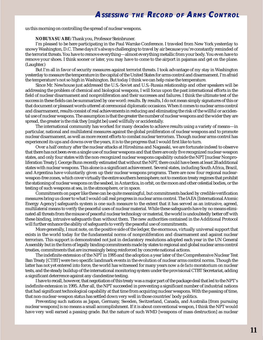<span id="page-10-0"></span>us this morning on controlling the spread of nuclear weapons.

#### **NOBUYASU ABE:** Thank you, Professor Steinbruner.

I'm pleased to be here participating in the Paul Warnke Conference. I traveled from New York yesterday to snowy Washington, D.C. These days it's always challenging to travel by air because you're constantly reminded of the terrorist threats. You have to remove everything—almost everything metallic from your body. You even have to remove your shoes. I think sooner or later, you may have to come to the airport in pajamas and get on the plane. (Laughter.)

But I'm all in favor of security measures against terrorist threats. I took advantage of my stay in Washington yesterday to measure the temperature in the capital of the United States for arms control and disarmament. I'm afraid the temperature's not so high in Washington. But today I think we can help raise the temperature.

Since Mr. Newhouse just addressed the U.S.-Soviet and U.S.-Russia relationship and other speakers will be addressing the problem of chemical and biological weapons, I will focus upon the past international efforts in the field of nuclear disarmament and nonproliferation and their successes and failures. I think the ultimate test of the success in these fields can be summarized by one word: results. By results, I do not mean simply signatures of this or that document or pleasant words uttered at ceremonial diplomatic occasions. When it comes to nuclear arms control and disarmament, results consist of real achievements in reducing and eliminating the risk of the willful or accidental use of nuclear weapons. The assumption is that the greater the number of nuclear weapons and the wider they are spread, the greater is the risk they [might be] used willfully or accidentally.

The international community has worked for many decades to achieve results using a variety of means—in particular, national and multilateral measures against the global proliferation of nuclear weapons and to promote nuclear disarmament, as well as more recent efforts to combat nuclear terrorism. Though nuclear arms control has experienced its ups and downs over the years, it is to the progress that I would first like to turn.

Over a half century after the nuclear attacks at Hiroshima and Nagasaki, we are fortunate indeed to observe that there has not been even a single use of nuclear weapons and that there are only five recognized nuclear-weapon states, and only four states with the non-recognized nuclear weapons capability outside the NPT [nuclear Nonproliferation Treaty]. George Bunn recently estimated that without the NPT, there could have been at least 28 additional states with nuclear weapons. This alone is a significant achievement. Several states, including South Africa, Brazil, and Argentina have voluntarily given up their nuclear weapons programs. There are now four regional nuclearweapon-free zones, which cover virtually the entire southern hemisphere; not to mention treaty regimes that prohibit the stationing of nuclear weapons on the seabed, in Antarctica, in orbit, on the moon and other celestial bodies, or the testing of such weapons at sea, in the atmosphere, or in space.

Commitments on paper like these can be quite meaningful, but commitments backed by credible verification measures bring us closer to what I would call real progress in nuclear arms control. The IAEA [International Atomic Energy Agency] safeguards system is one such measure to the extent that it has served as an intrusive, agreed, multilateral means to verify the peaceful uses of nuclear material. While these safeguards have by no means eliminated all threats from the misuse of peaceful nuclear technology or material, the world is undoubtedly better off with these binding, intrusive safeguards than without them. The new authorities contained in the Additional Protocol will further enhance the ability of safeguards to verify the peaceful use of commitments.

More generally, I must note, on the positive side of the ledger, the enormous, virtually universal support that exists in the world today for the fundamental norms of nonproliferation and disarmament and against nuclear terrorism. This support is demonstrated not just in declaratory resolutions adopted each year in the UN General Assembly but in the form of legally binding commitments made by states to regional and global nuclear arms control treaties, commitments that are increasingly being reinforced by concrete national actions.

The indefinite extension of the NPT in 1995 and the adoption a year later of the Comprehensive Nuclear Test Ban Treaty [CTBT] were two specific landmark events in the evolution of nuclear arms control norms. Though the latter has not yet entered into force, the world has witnessed for many years now a *de facto* moratorium on nuclear tests, and the steady buildup of the international monitoring system under the provisional CTBT Secretariat, adding a significant deterrence against any clandestine testing.

I have to recall, however, that negotiation of this treaty was a major part of the package deal that led to the NPT's indefinite extension in 1995. After all, the NPT succeeded in preventing a significant number of industrial nations that had significant technological capability at that time from acquiring nuclear weapons. With the passing of time, that non-nuclear-weapon status has settled down very well in those countries' body politics.

Preventing such nations as Japan, Germany, Sweden, Switzerland, Canada, and Australia [from pursuing nuclear weapons] is no means a small accomplishment. If it is about conventional weapon, I think the NPT would have very well earned a passing grade. But the nature of such WMD [weapons of mass destruction] as nuclear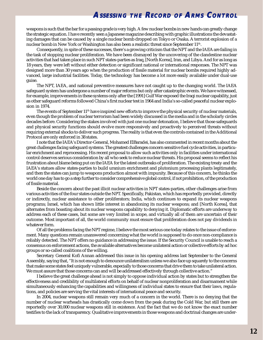weapons is such that the bar for a passing grade is very high. A few nuclear bombs in new hands can greatly change the strategic equation. I have recently seen a Japanese magazine describing with graphic illustrations the devastating damages that can be caused by a single nuclear bomb dropped on Tokyo or Osaka. A terrorist explosion of a nuclear bomb in New York or Washington has also been a realistic threat since September 11<sup>th</sup>.

Consequently, in spite of these successes, there's a growing criticism that the NPT and the IAEA are failing in the task of stopping nuclear proliferation. We have been dismayed by the uncovering of the clandestine nuclear activities that had taken place in such NPT states-parties as Iraq, [North Korea], Iran, and Libya. And for as long as 18 years, they were left without either detection or significant national or international responses. The NPT was designed more than 30 years ago when the production of fissile material for nuclear bombs required highly advanced, large industrial facilities. Today, the technology has become a lot more easily available under dual-use guise.

The NPT, IAEA, and national preventive measures have not caught up to the changing world. The IAEA safeguard system has undergone a number of major reforms but only after catastrophic events. We have witnessed, for example, improvements in these systems only after the [1991] Gulf War exposed the Iraqi nuclear capability, just as other safeguard reforms followed China's first nuclear test in 1964 and India's so-called peaceful nuclear explosion in 1974.

The events of September  $11<sup>th</sup>$  have inspired new efforts to improve the physical security of nuclear materials, even though the problem of nuclear terrorism had been widely discussed in the media and in the scholarly circles decades before. Considering the stakes involved with just one nuclear detonation, I believe that those safeguards and physical security functions should evolve more responsively and proactively to perceived threats without requiring external shocks to deliver such progress. The reality is that even the controls contained in the Additional Protocol are only enforced in 38 states.

I note that the IAEA's Director-General, Mohamed ElBaradei, has also commented in recent months about the great challenges facing safeguard systems. The greatest challenges concern sensitive fuel cycle activities, in particular enrichment and reprocessing. His recent proposal to allow such activities only in facilities under international control deserves serious consideration by all who seek to reduce nuclear threats. His proposal seems to reflect his frustration about blame being put on the IAEA for the latest outbreaks of proliferation. The existing treaty and the IAEA's statues allow states-parties to build uranium enrichment and plutonium processing plants legitimately, and then the states can jump to weapons production almost with impunity. Because of this concern, he thinks the world one day has to go a step further to consider comprehensive global control, if not prohibition, of the production of fissile material.

Beside the concern about the past illicit nuclear activities in NPT states-parties, other challenges arise from various activities of the four states outside the NPT. Specifically, Pakistan, which has reportedly provided, directly or indirectly, nuclear assistance to other proliferators; India, which continues to expand its nuclear weapons programs; Israel, which has shown little interest in abandoning its nuclear weapons; and [North Korea], that alternates from boasting about its nuclear weapons capability to denying it. Diplomatic efforts are underway to address each of these cases, but some are very limited in scope, and virtually all of them are uncertain of their outcome. Most important of all, the world community must ensure that proliferation does not pay dividends in whatever form.

Of all the problems facing the NPT regime, I believe the most serious one today relates to the issue of enforcement. Many questions remain unanswered concerning what the world is supposed to do once non-compliance is reliably detected. The NPT offers no guidance in addressing the issue. If the Security Council is unable to reach a consensus on enforcement actions, the available alternatives become unilateral action or collective efforts by ad hoc groups or so-called coalitions of the willing.

Secretary General Kofi Annan addressed this issue in his opening address last September to the General Assembly, saying that, "It is not enough to denounce unilateralism unless we also face up squarely to the concerns that make some states feel uniquely vulnerable, especially to those concerns that drive them to take unilateral action. We must assure that those concerns can and will be addressed effectively through collective action."

I believe the great challenge ahead is not simply to oppose individual action by states but to strengthen the effectiveness and credibility of multilateral efforts on behalf of nuclear nonproliferation and disarmament while simultaneously enhancing the capabilities and willingness of individual states to ensure that their laws, regulations, and policies are serving the vital interests of international peace and security.

In 2004, nuclear weapons still remain very much of a concern in the world. There is no denying that the number of nuclear warheads has drastically come down from the peak during the Cold War, but still there are reportedly over 30,000 nuclear weapons still in existence. And the fact that we do not know the exact number testifies to the lack of transparency. Qualitative improvements in those weapons and doctrinal changes are under-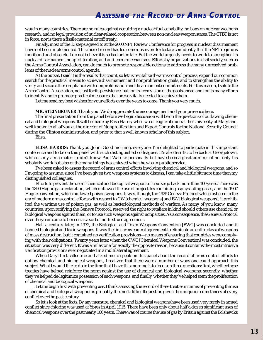<span id="page-12-0"></span>way in many countries. There are no rules against acquiring a nuclear fuel capability, no bans on nuclear weapons research, and no legal provision of nuclear-related cooperation between non-nuclear-weapon states. The CTBT is not in force, nor is there a fissile material cutoff treaty.

Finally, most of the 13 steps agreed to at the 2000 NPT Review Conference for progress in nuclear disarmament have not been implemented. This mixed record has led some observers to declare confidently that the NPT regime is moribund and obsolete. I do not believe it is so bad or too late. But the world urgently needs to work to strengthen its nuclear disarmament, nonproliferation, and anti-terror mechanisms. Efforts by organizations in civil society, such as the Arms Control Association, can do much to promote responsible actions to address the many unresolved problems of the nuclear arms control agenda.

At the outset, I said it is the results that count, so let us revitalize the arms control process, expand our common search for the practical means to achieve disarmament and nonproliferation goals, and to strengthen the ability to verify and secure the compliance with nonproliferation and disarmament commitments. For this reason, I salute the Arms Control Association, not just for its persistence, but for its keen vision of the goals ahead and for its many efforts to identify and to promote practical measures that are so vitally needed to achieve them.

Let me send my best wishes for your efforts over the years to come. Thank you very much.

**MR. STEINBRUNER:** Thank you. We do appreciate the encouragement and your presence here.

The final presentation from the panel before we begin discussion will be on the questions of outlawing chemical and biological weapons. It will be made by Elisa Harris, who is a colleague of mine at the University of Maryland, well known to all of you as the director of Nonproliferation and Export Controls for the National Security Council during the Clinton administration, and prior to that a well known scholar of this subject.

Elisa.

**ELISA HARRIS:** Thank you, John. Good morning, everyone. I'm delighted to participate in this important conference and to be on this panel with such distinguished colleagues. It's also terrific to be back at Georgetown, which is my alma mater. I didn't know Paul Warnke personally but have been a great admirer of not only his scholarly work but also of the many things he achieved when he was in public service.

I've been asked to assess the record of arms control efforts involving chemical and biological weapons, and so I'm going to assume, since I've been given two weapons systems to discuss, I can take a little bit more time than my distinguished colleagues.

Efforts to prevent the use of chemical and biological weapons of course go back more than 100 years. There was the 1899 Hague gas declaration, which outlawed the use of projectiles containing asphyxiating gases, and the 1907 Hague convention, which outlawed poison weapons. It was, though, the 1925 Geneva Protocol which ushered in the era of modern arms control efforts with respect to CW [chemical weapons] and BW [biological weapons]; it prohibited the wartime use of poison gas, as well as bacteriological methods of warfare. As many of you know, many countries, upon ratifying the Geneva Protocol, reserved the right to retaliate in kind should others use chemical or biological weapons against them, or to use such weapons against nonparties. As a consequence, the Geneva Protocal over the years came to be seen as a sort of no-first-use agreement.

Half a century later, in 1972, the Biological and Toxin Weapons Convention [BWC] was concluded and it banned biological and toxin weapons. It was the first arms control agreement to eliminate an entire class of weapons of mass destruction, but it contained no verification provisions—no means of ensuring that countries were complying with their obligations. Twenty years later, when the CWC [Chemical Weapons Convention] was concluded, the situation was very different. It was a milestone for exactly the opposite reason, because it contains the most intrusive verification provisions ever negotiated in a multilateral agreement.

When Daryl first called me and asked me to speak on this panel about the record of arms control efforts to outlaw chemical and biological weapons, I realized that there were a number of ways one could approach this subject. What I would like to do in the time that I have this morning is to focus on three questions: first, whether these treaties have helped reinforce the norm against the use of chemical and biological weapons; secondly, whether they've helped de-legitimize possession of such weapons; and finally, whether they've helped stem the proliferation of chemical and biological weapons.

Let me begin first with preventing use. I think assessing the record of these treaties in terms of preventing the use of chemical and biological weapons is probably the most difficult question given the unique circumstances of every conflict over the past century.

So let's look at the facts. By any measure, chemical and biological weapons have been used very rarely in armed conflict since chlorine was used at Ypres in April 1915. There have been only about half a dozen significant uses of chemical weapons over the past nearly 100 years. There was of course the use of gas by Britain against the Bolsheviks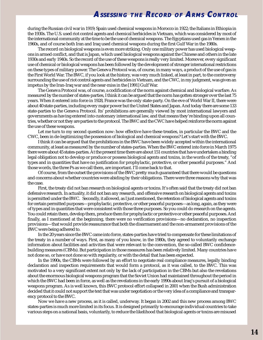during the Russian civil war in 1919; Spain used chemical weapons in Morocco in 1922; the Italians in Ethiopia in the 1930s. The U.S. used riot control agents and chemical herbicides in Vietnam, which was considered by most of the international community at the time to be the use of chemical weapons. The Egyptians used gas in Yemen in the 1960s, and of course both Iran and Iraq used chemical weapons during the first Gulf War in the 1980s.

The record on biological weapons is even more striking. Only one military power has used biological weapons in armed conflict, and that is Japan, which used biological weapons against the Chinese and others in the late 1930s and early 1940s. So the record of the use of these weapons is really very limited. Moreover, every significant use of chemical or biological weapons has been followed by the development of stronger international restrictions on these types of military power. The Geneva Protocol was, of course, in many ways, a product of the use of gas in the First World War. The BWC, if you look at the history, was very much linked, at least in part, to the controversy surrounding the use of riot control agents and herbicides in Vietnam, and the CWC, in my judgment, was given an impetus by the Iran-Iraq war and the near-miss in the [1991] Gulf War.

The Geneva Protocol was, of course, a codification of the norm against chemical and biological warfare. As measured by the number of states-parties, I think it can be argued that the norm has gotten stronger over the last 75 years. When it entered into force in 1928, France was the only state-party. On the eve of World War II, there were about 40 state-parties, including every major power but the United States and Japan. And today there are some 133 state-parties to the Geneva Protocol. Its' prohibitions are generally viewed by most international lawyers and governments as having entered into customary international law, and that means they're binding upon all countries, whether or not they are parties to the protocol. The BWC and the CWC have helped reinforce the norm against the use of these weapons.

Let me turn to my second question now: how effective have these treaties, in particular the BWC and the CWC, been in de-legitimizing the possession of biological and chemical weapons? Let's start with the BWC.

I think it can be argued that the prohibitions in the BWC have been widely accepted within the international community, at least as measured by the number of states-parties. When the BWC entered into force in March 1975 there were about 45 states-parties. At the present time there are about 151 countries that have undertaken a binding legal obligation not to develop or produce or possess biological agents and toxins, in the words of the treaty, "of types and in quantities that have no justification for prophylactic, protective, or other peaceful purposes." And those words, the three Ps as we call them, are important. I'll come back to that.

Of course, from the outset the provisions of the BWC pretty much guaranteed that there would be questions and concerns about whether countries were abiding by their obligations. There were three reasons why that was the case.

First, the treaty did not ban research on biological agents or toxins. It's often said that the treaty did not ban defensive research. In actuality, it did not ban any research, and offensive research on biological agents and toxins is permitted under the BWC. Secondly, it allowed, as I just mentioned, the retention of biological agents and toxins for certain permitted purposes—prophylactic, protective, or other peaceful purposes—as long, again, as they were of types and in quantities that were consistent with those three purposes. So you could do research on the agents. You could retain them, develop them, produce them for prophylactic or protective or other peaceful purposes. And finally, as I mentioned at the beginning, there were no verification provisions—no declaration, no inspection provisions—that would provide reassurance that both the disarmament and the non-armament provisions of the BWC were being adhered to.

In the 20 years since the BWC came into force, states-parties have tried to compensate for these limitations of the treaty in a number of ways. First, as many of you know, in the 1980s, they agreed to voluntarily exchange information about facilities and activities that were relevant to the convention, the so-called BWC confidencebuilding measures (CBMs). But participation in those measures has been relatively limited. Many countries have not done so, or have not done so with regularity, or with the detail that has been expected.

In the 1990s, the CBMs were followed by an effort to negotiate real compliance measures, legally binding declaration and inspection requirements that would form a protocol, as it was called, to the BWC. This was motivated to a very significant extent not only by the lack of participation in the CBMs but also the revelations about the enormous biological weapons program that the Soviet Union had maintained throughout the period in which the BWC had been in force, as well as the revelations in the early 1990s about Iraq's pursuit of a biological weapons program. As is well known, this BWC protocol effort collapsed in 2001 when the Bush administration decided that it could not support the text that was under negotiation or the very idea of a compliance and transparency protocol to the BWC.

Now we have a new process, as it is called, underway. It began in 2002 and this new process among BWC states-parties is much more limited in its focus. It is designed primarily to encourage individual countries to take various steps on a national basis, voluntarily, to reduce the likelihood that biological agents or toxins are misused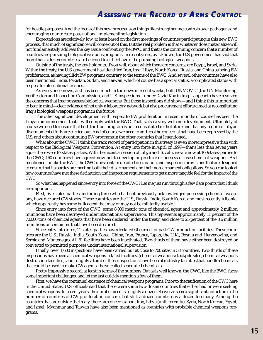for hostile purposes. And the focus of this new process is on things like strengthening controls over pathogens and encouraging countries to pass national implementing legislation.

Expectations are relatively low, at least based on the first meetings of countries participating in this new BWC process, that much of significance will come out of this. But the real problem is that whatever does materialize will not fundamentally address the key issue confronting the BWC, and that is the continuing concern that a number of countries are pursuing biological weapons programs. In recent years, as is known, the U.S. government has said that more than a dozen countries are believed to either have or be pursuing biological weapons.

Outside of the treaty, the key holdouts, if you will, about which there are concerns, are Egypt, Israel, and Syria. Within the treaty, the U.S. government has identified Iran, Iraq, Libya, North Korea, Russia, and China as being BW proliferators, as having illicit BW programs contrary to the terms of the BWC. And several other countries have also been mentioned: India, Pakistan, Sudan, and Taiwan, which of course has a special status, a complicated status with respect to international treaties.

As everyone knows, and has been much in the news in recent weeks, both UNMOVIC [the UN Monitoring, Verification and Inspection Commission] and U.S. inspections—under David Kay in Iraq—appear to have resolved the concerns that Iraq possesses biological weapons. But those inspections did show—and I think this is important to bear in mind—clear evidence of not only a laboratory network but also procurement efforts aimed at reconstituting Iraq's biological weapons program in the future.

The other significant development with respect to BW proliferation in recent months of course has been the Libyan announcement that it will comply with the BWC. That is also a very welcome development. Ultimately of course we need to ensure that both the Iraqi program is not reconstituted in the future and that any required Libyan disarmament efforts are carried out. And of course we need to address the concerns that have been expressed by the U.S. and others about continuing BW programs in the other countries that I mentioned.

What about the CWC? I think the track record of participation in this treaty is even more impressive than with respect to the Biological Weapons Convention. At entry into force in April of 1997—that's less than seven years ago—there were 87 states-parties. With the recent accession of Libya and Tuvalu, we are now at 160 states-parties to the CWC; 160 countries have agreed now not to develop or produce or possess or use chemical weapons. As I mentioned, unlike the BWC, the CWC does contain detailed declaration and inspection provisions that are designed to ensure that its parties are meeting both their disarmament and their non-armament obligations. So you can look at how countries have met these declaration and inspection requirements to get a more tangible feel for the impact of the CWC.

So what has happened since entry into force of the CWC? Let me just run through a few data points that I think are important.

First, five states-parties, including three who had not previously acknowledged possessing chemical weapons, have declared CW stocks. These countries are the U.S., Russia, India, South Korea, and most recently Albania, which apparently has some bulk agent that may or may not be militarily usable.

Since entry into force of the CWC, some 8,000 metric tons of chemical agent and approximately 2 million munitions have been destroyed under international supervision. This represents approximately 11 percent of the 70,000 tons of chemical agents that have been declared under the treaty, and close to 25 percent of the 8.6 million munitions or containers that have been declared.

Since entry into force, 11 states-parties have declared 61 current or past CW production facilities. These countries are the U.S., Russia, India, South Korea, China, Iran, France, Japan, the U.K., Bosnia and Herzegovina, and Serbia and Montenegro. All 61 facilities have been inactivated. Two-thirds of them have either been destroyed or converted to permitted purposes under international supervision.

Finally, over 1,600 inspections have been carried out at close to 700 sites in 58 countries. Two-thirds of these inspections have been at chemical weapons-related facilities, (chemical weapons stockpile sites, chemical weapons destruction facilities), and roughly a third of these inspections have been at industry facilities that handle chemicals that could be used to make CW agents, the so-called scheduled chemicals.

Pretty impressive record, at least in terms of the numbers. But as is well known, the CWC, like the BWC, faces some important challenges, and let me just quickly mention a few of them.

First, we have the continued existence of chemical weapons programs. Prior to the ratification of the CWC here in the United States, U.S. officials said that there were some two-dozen countries that either had or were seeking chemical weapons. In recent years, the number used is roughly a dozen. So we've seen a significant reduction in the number of countries of CW proliferation concern, but still, a dozen countries is a dozen too many. Among the countries that are outside the treaty, there are concerns about Iraq, Libya (until recently), Syria, North Korean, Egypt, and Israel. Myanmar and Taiwan have also been mentioned as countries with probable chemical weapons programs.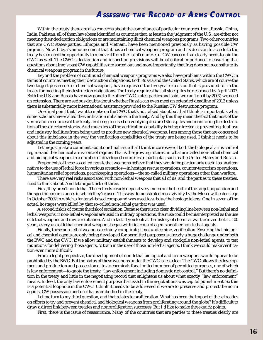Within the treaty there are also concerns about the compliance of particular countries. Iran, Russia, China, India, Pakistan, all of them have been identified as countries that, at least in the judgment of the U.S., are either not meeting their declaration obligations or are maintaining illicit chemical weapons programs. Two other countries that are CWC states-parties, Ethiopia and Vietnam, have been mentioned previously as having possible CW prgrams. Now, Libya's announcement that it has a chemical weapons program and its decision to accede to the treaty has created the opportunity to remove it from the list of countries of CW concern. Iraq clearly needs to join the CWC as well. The CWC's declaration and inspection provisions will be of critical importance to ensuring that questions about Iraq's past CW capabilities are sorted out and more importantly, that Iraq does not reconstitute its chemical weapons program in the future.

Beyond the problem of continued chemical weapons programs we also have problems within the CWC in terms of countries meeting their destruction obligations. Both Russia and the United States, which are of course the two largest possessors of chemical weapons, have requested the five-year extension that is provided for in the treaty for meeting their destruction obligations. The treaty requires that all stockpiles be destroyed by April 2007. Both the U.S. and Russia have now gone to the other CWC states-parties and said, we can't do it by 2007; we need an extension. There are serious doubts about whether Russia can even meet an extended deadline of 2012 unless there is substantially more international assistance provided to the Russian CW destruction program.

One final point that I want to make on the CWC that's not talked about but that I think is important is what some scholars have called the verification imbalance in the treaty. And by this they mean the fact that most of the verification resources of the treaty are being focused on verifying declared stockpiles and monitoring the destruction of those declared stocks. And much less of the verification capability is being directed at preventing dual-use and industry facilities from being used to produce new chemical weapons. I am among those that are concerned about this imbalance in the way the verification capabilities of the treaty are being used. I think it needs to be adjusted in the coming years.

Let me just make a comment about one final issue that I think is corrosive of both the biological arms control regime and the chemical arms control regime. That is the growing interest in what are called non-lethal chemical and biological weapons in a number of developed countries in particular, such as the United States and Russia.

Proponents of these so-called non-lethal weapons believe that they would be particularly useful as an alternative to the use of lethal force in various scenarios—in hostage rescue operations, counter-terrorism operations, humanitarian relief operations, peacekeeping operations—the so-called military operations other than warfare.

There are very real risks associated with non-lethal weapons that all of us, and the parties to these treaties, need to think about. And let me just tick off three.

First, they aren't non-lethal. Their effects clearly depend very much on the health of the target population and the specific circumstances in which they're used. This was demonstrated most vividly by the Moscow theater siege in October 2002 in which a fentanyl-based compound was used to subdue the hostage takers. One in seven of the actual hostages were killed by that so-called non-lethal gas that was used.

A second risk is of course the risk of escalation. Because there is no clear dividing line between non-lethal and lethal weapons, if non-lethal weapons are used in military operations, their use could be misinterpreted as the use of lethal weapons and invite retaliation. And in fact, if you look at the history of chemical warfare over the last 100 years, every use of lethal chemical weapons began with riot control agents or other non-lethal agents.

Finally, these non-lethal weapons certainly complicate, if not undermine, verification. Ensuring that biological and chemical agents are only being developed for permitted purposes is already a huge challenge under both the BWC and the CWC. If we allow military establishments to develop and stockpile non-lethal agents, to test munitions for delivering those agents, to train in the use of those non-lethal agents, I think we could make verification even more difficult.

From a legal perspective, the development of non-lethal biological and toxin weapons would appear to be prohibited by the BWC. But the status of these weapons under the CWC is less clear. The CWC allows the development and production and possession of toxic chemicals for a limited number of permitted purposes, one of which is law enforcement—to quote the treaty, "law enforcement including domestic riot control." But there's no definition in the treaty and little in the negotiating record that enlightens us about what exactly "law enforcement" means. Indeed, the only law enforcement purpose discussed in the negotiations was capital punishment. So this is a potential loophole in the CWC. I think it needs to be addressed if we are to preserve and protect the norm against CW possession and use that is embodied in the treaty.

Let me turn to my third question, and that relates to proliferation. What has been the impact of these treaties on efforts to try and prevent chemical and biological weapons from proliferating around the globe? It's difficult to draw a direct link between treaties and nonproliferation successes. But I'd like to make three quick points.

First, there is the issue of reassurance. Many of the countries that are parties to these treaties clearly are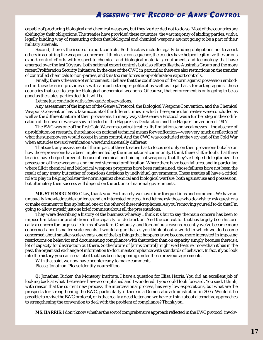<span id="page-16-0"></span>capable of producing biological and chemical weapons, but they've decided not to do so. Most of the countries are abiding by their obligations. The treaties have provided these countries, the vast majority of abiding parties, with a legally binding way of reassuring others that biological and chemical weapons are not going to be a part of their military arsenals.

Second, there's the issue of export controls. Both treaties include legally binding obligations not to assist others in acquiring the weapons concerned. I think as a consequence, the treaties have helped legitimize the various export control efforts with respect to chemical and biological materials, equipment, and technology that have emerged over the last 20 years, both national export controls but also efforts like the Australia Group and the more recent Proliferation Security Initiative. In the case of the CWC in particular, there are also restrictions on the transfer of controlled chemicals to non-parties, and this too reinforces nonproliferation export controls.

Finally, there's the issue of enforcement. I believe that the codification of the norm against possession embodied in these treaties provides us with a much stronger political as well as legal basis for acting against those countries that seek to acquire biological or chemical weapons. Of course, that enforcement is only going to be as good as the states-parties decide it will be.

Let me just conclude with a few quick observations.

Any assessment of the impact of the Geneva Protocol, the Biological Weapons Convention, and the Chemical Weapons Convention has to take account of the different times in which these particular treaties were concluded as well as the different nature of their provisions. In many ways the Geneva Protocol was a further step in the codification of the laws of war we saw reflected in the Hague Gas Declaration and the Hague Convention of 1907.

The BWC was one of the first Cold War arms control treaties. Its limitations and weaknesses—the absence of a prohibition on research, the reliance on national technical means for verification—were very much a reflection of what the superpowers would accept in arms control. And the CWC was concluded at the very end of the Cold War when attitudes toward verification were fundamentally different.

That said, any assessment of the impact of these treaties has to focus not only on their provisions but also on how those provisions have been implemented by the international community. I think there's little doubt that these treaties have helped prevent the use of chemical and biological weapons, that they've helped delegitimize the possession of these weapons, and indeed stemmed proliferation. Where there have been failures, and in particular, where illicit chemical and biological weapons programs have been maintained, those failures have not been the result of any treaty but rather of conscious decisions by individual governments. These treaties all have a critical role to play in helping bolster the norm against chemical and biological warfare, both against use and possession, but ultimately their success will depend on the actions of national governments.

**MR. STEINBRUNER:** Okay, thank you. Fortunately we have time for questions and comment. We have an unusually knowledgeable audience and an interested one too. And let me ask those who do wish to ask questions or make comment to line up behind one or the other of these microphones. As you're moving yourself to do that I'm going to allow myself just one brief comment about all the presentations.

They were describing a history of the business whereby I think it's fair to say the main concern has been to impose limitation or prohibition on the capacity for destruction. And the context for that has largely been historically a concern for large-scale forms of warfare. Obviously, and for obvious reasons, recently we've become more concerned about smaller-scale events. I would argue that as you think about a world in which we do become concerned about smaller-scale events, one of the big things that happens is we become more interested in imposing restrictions on behavior and documenting compliance with that rather than on capacity simply because there is a lot of capacity for destruction out there. So the future of [arms control] might well feature, more than it has in the past, the organized exchange of information to document compliance with standards of behavior. In fact, if you look into the history you can see a lot of that has been happening under these previous agreements.

With that said, we now have people ready to make comments.

Please, Jonathan. Please identify yourself too.

**Q:** Jonathan Tucker, the Monterey Institute. I have a question for Elisa Harris. You did an excellent job of looking back at what the treaties have accomplished and I wondered if you could look forward. You said, I think, with reason that the current new process, the intercessional process, has very low expectations, but what are the prospects for strengthening the BWC, particularly if there is a Democratic administration in 2005. Would it be possible to revive the BWC protocol, or is that really a dead letter and we have to think about alternative approaches to strengthening the convention to deal with the problem of compliance? Thank you.

**MS. HARRIS:** I don't know whether the sort of comprehensive approach reflected in the BWC protocol, involv-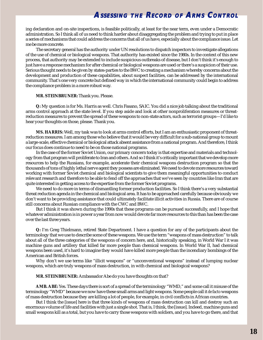ing declaration and on-site inspections, is feasible politically, at least for the near term, even under a Democratic administration. So I think all of us need to think harder about disaggregating the problem and trying to put in place a series of mechanisms that could address the concerns that all of us have, especially about the compliance issue. Let me be more concrete.

The secretary general has the authority under UN resolutions to dispatch inspectors to investigate allegations of the use of chemical or biological weapons. That authority has existed since the 1980s. In the context of this new process, that authority may be extended to include suspicious outbreaks of disease, but I don't think it's enough to just have a response mechanism for after chemical or biological weapons are used or there's a suspicion of their use. Serious thought needs to be given by states-parties to the BWC to creating a mechanism whereby concerns about the development and production of these capabilities, about suspect facilities, can be addressed by the international community. That's one very concrete but defined way in which the international community could begin to address the compliance problem in a more robust way.

### **MR. STEINBRUNER:** Thank you. Please.

**Q:** My question is for Ms. Harris as well. Chris Fasano, SAIC. You did a nice job talking about the traditional arms control approach at the state level. If you step aside and look at other nonproliferation measures or threatreduction measures to prevent the spread of these weapons to non-state actors, such as terrorist groups—I'd like to hear your thoughts on those, please. Thank you.

**MS. HARRIS:** Well, my task was to look at arms control efforts, but I am an enthusiastic proponent of threatreduction measures. I am among those who believe that it would be very difficult for a sub-national group to mount a large-scale, effective chemical or biological attack absent assistance from a national program. And therefore, I think our focus does continue to need to be on those national programs.

In the case of the former Soviet Union, our primary concern today is that expertise and materials and technology from that program will proliferate to Iran and others. And so I think it's critically important that we develop more resources to help the Russians, for example, accelerate their chemical weapons destruction program so that the thousands of tons of highly lethal nerve agent they possess are eliminated. We need to devote more resources toward working with former Soviet chemical and biological scientists to give them meaningful opportunities to conduct relevant research and therefore to be able to fend off the approaches that we've seen by countries like Iran that are quite interested in getting access to the expertise from the former Soviet programs.

We need to do more in terms of dismantling former production facilities. So I think there's a very substantial threat reduction agenda in the chemical and biological area. It has to be approached carefully because obviously we don't want to be providing assistance that could ultimately facilitate illicit activities in Russia. There are of course still concerns about Russian compliance with the CWC and BWC.

But I think it was shown during the 1990s that these programs can be pursued successfully, and I hope that whatever administration is in power a year from now would devote far more resources to this than has been the case over the last three years.

**Q:** I'm Greg Thielmann, retired State Department. I have a question for any of the participants about the terminology that we use to describe some of these weapons. We use the term "weapons of mass destruction" to talk about all of the three categories of the weapons of concern here, and, historically speaking, in World War I it was machine guns and artillery that killed far more people than chemical weapons. In World War II, had chemical weapons been used, it's hard to imagine they would have killed more people than the incendiary bombings of the American and British forces.

Why don't we use terms like "illicit weapons" or "unconventional weapons" instead of lumping nuclear weapons, which are truly weapons of mass destruction, in with chemical and biological weapons?

#### **MR. STEINBRUNER:** Ambassador Abe do you have thoughts on that?

**AMB. ABE:** Yes. These days there is sort of a spread of the terminology "WMD," and some call it misuse of the terminology "WMD" because we now have these small arms and light weapons. Some people call it *de facto* weapons of mass destruction because they are killing a lot of people, for example, in civil conflicts in African countries.

But I think the [issue] here is that three kinds of weapons of mass destruction can kill and destroy such an enormous volume of life and facilities with just a single shot. That is, I think, the [issue]. Indeed, machine guns and small weapons kill as a total, but you have to carry those weapons with soldiers, and you have to go there, and that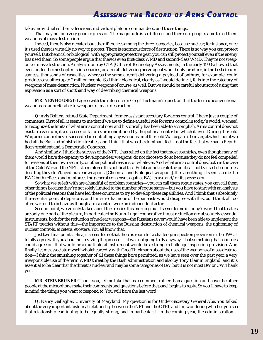takes individual soldier's decisions, individual platoon commanders, and those things.

That may not be a very good expression. The magnitude is so different and therefore people came to call them weapons of mass destruction.

Indeed, there is also debate about the differences among the three categories, because nuclear, for instance, once it's used there is virtually no way to protect. There is enormous force of destruction. There is no way you can protect yourself. But chemical or biological, with appropriate protective gear, you can still protect yourself even if the enemy has used them. So some people argue that there is even first-class WMD and second-class WMD. They're not weapons of mass destruction. Analysis done by OTA [Office of Technology Assessments] in the early 1990s showed that even under the most optimistic scenarios, an aircraft delivering nerve agent would only produce, in the best circumstances, thousands of casualties, whereas the same aircraft delivering a payload of anthrax, for example, could produce casualties up to 2 million people. So I think biological, clearly as I would define it, falls into the category of weapons of mass destruction. Nuclear weapons of course, as well. But we should be careful about sort of using that expression as a sort of shorthand way of describing chemical weapons.

**MR. NEWHOUSE:** I'd agree with the inference in Greg Thielmann's question that the term unconventional weapons is far preferable to weapons of mass destruction.

**Q:** Avis Bohlen, retired State Department, former assistant secretary for arms control. I have just a couple of comments. First of all, it seems to me that if we are to define a useful role for arms control in today's world, we need to recognize the limits of what arms control now and historically has been able to accomplish. Arms control does not exist in a vacuum, its successes or failures are conditioned by the political context in which it lives. During the Cold War, arms control never succeeded in controlling any weapons until the Cold War began to be over, at which point we had all the Bush administration treaties, and I think that was the dominant fact—not the fact that we had a Republican president and a Democratic Congress.

And similarly, I think the success of the NPT…has relied on the fact that most countries, even though many of them would have the capacity to develop nuclear weapons, do not choose to do so because they do not feel compelled for reasons of their own security, or other political reasons, or whatever. And what arms control does, both in the case of the Cold War and the NPT, is to reinforce this political fact. But it cannot create the political fact by itself of countries deciding they don't need nuclear weapons. [Chemical and Biological weapons], the same thing. It seems to me the BWC both reflects and reinforces the general consensus against BW, its use and/or its possession.

So what we're left with are a handful of problem countries—you can call them rogue states, you can call them other things because they're not solely limited to the number of rogue states—but you have to start with an analysis of the political reasons that have led these countries to try to develop these capabilities. And I think that's absolutely the essential point of departure, and I'm sure that none of the panelists would disagree with this, but I think all too often we tend to behave as though arms control were an independent actor.

Second point, we've only talked about the treaties this morning but it seems to me in today's world that treaties are only one part of the picture, in particular the Nunn-Lugar cooperative threat reduction are absolutely essential instruments, both for the reduction of nuclear weapons—the Russians never would have been able to implement the START treaties without this—the importance to the Russian destruction of chemical weapons, the tightening of nuclear controls, et cetera, et cetera. You all know that.

Just two final points. Elisa, it seems to me that there is room for a challenge inspection provision in the BWC. I totally agree with you about not reviving the protocol —it was not going to fly anyway—but something that countries could agree on, that would be a multilateral instrument would be a stronger challenge inspection provision. And finally, let me associate myself wholeheartedly with Greg Thielmann about the use of the weapons of mass destruction—I think the smushing together of all these things have permitted, as we have seen over the past year, a very irresponsible use of the term WMD threat by the Bush administration and also by Tony Blair in England, and it is essential to be clear that the threat is nuclear and maybe some categories of BW, but it is not most BW or CW. Thank you.

**MR. STEINBRUNER:** Thank you, let me take that as a comment rather than a question and have the other people at the microphone make their comments and questions before the panel begins to reply. So you'll have to keep in mind the things you want to respond to. You will have the last word.

**Q:** Nancy Gallagher, University of Maryland. My question is for Under-Secretary General Abe. You talked about the very important historical relationship between the NPT and the CTBT, and I'm wondering whether you see that relationship continuing to be equally strong, and in particular, if in the coming year, the administration—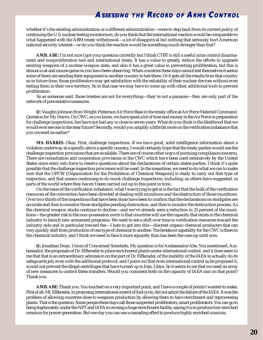whether it's the existing administration or a different administration—were to step back from its current policy of continuing the U.S. nuclear testing moratorium, do you think that the international reaction would be comparable to what happened with the ABM treaty withdrawal—a lot of disapproval but nothing that seriously hurt American national security interest—or do you think the reaction would be something much stronger than that?

**AMB. ABE:** I'm not sure I got your question correctly but I think CTBT is still a useful arms control disarmament and nonproliferation tool and international treaty. It has a value to greatly reduce the efforts to upgrade existing weapons of a nuclear-weapon state, and also it has a great value in preventing proliferation, but this is almost a cat and mouse game as you have been observing. When countries these days cannot test themselves it seems some of them are sending their equipment to another country to test there. Or it gets all the results from that country so in future time, those proliferators may get satisfaction with the reliability of their nuclear devices without even testing them in their own territory. So in that case we may have to come up with other, additional tools to prevent proliferation.

So as someone said, those treaties are not for everything—they're not a panacea—they are only part of the network of preventative measures.

**Q:** Vaughn Johnson from Wright-Patterson Air Force Base in the treaty office at Air Force Materiel Command. Question for Ms. Harris. On CWC, as you know, we have spent a lot of time and money in the Air Force in preparation for challenge inspections, but have not had any in close to seven years. What do you think is the likelihood that we would ever see one in the near future? Secondly, would you amplify a little bit more on the verification imbalance that you covered on earlier?

**MS. HARRIS:** Okay. First, challenge inspections. If we have good, solid intelligence information about a violation underway at a specific site in a specific country, I would certainly hope that the treaty parties would use the challenge inspection provisions that are available. There are of course other ways of pursuing compliance concerns. There are consultation and cooperation provisions in the CWC which have been used extensively by the United States since entry into force to resolve questions about the declarations of certain states-parties. I think it's quite possible that the challenge inspection provisions will be used. In the meantime, we need to do what we can to make sure that the OPCW [Organization for the Prohibition of Chemical Weapons] is ready to carry out that type of inspection, and that means continuing to do mock challenge inspections, including, as others have suggested, in parts of the world where they haven't been carried out up to this point in time.

On the issue of the verification imbalance, what I was trying to get at is the fact that the bulk of the verification resources of the convention have been directed at dealing with munitions and the destruction of those munitions. Over two-thirds of the inspections that have been done have been to confirm that the declarations on stockpiles are accurate and then to monitor those stockpiles pending destruction, and then to monitor the destruction process. As the chemical weapon stocks continue to decline—and we've already seen a reduction in 25 percent of the munitions—the greater risk to the non-possession norm is that countries will use the capacity that exists in the chemical industry to launch new armament programs. We need to see a shift over time in verification resources toward the industry side and in particular toward the—I hate to get into this—discreet organic chemical producers that can very quickly shift from production of one type of chemical to another. The breakout capability for the CWC is there in the chemical industry, and I think we need to face it more squarely than has been the case up until now.

**Q:** Jonathan Dean, Union of Concerned Scientists. My question is for Ambassador Abe. You mentioned, Ambassador, the proposals of Dr. ElBaradei to place enrichment plants under international control, and it does seem to me that that is an extraordinary admission on the part of Dr. ElBaradei, of the inability of the IAEA to actually do its safeguards job, even with the additional protocol, and I point out that even international control as he proposed it, would not prevent the illegal centrifuges that have turned up in Iran, Libya. So it seems to me that we need an array of new measures to control these transfers. Would you comment both on the capacity of IAEA and on that point? Thank you.

**AMB. ABE:** Thank you. You touched on a very important point, and I have a couple of points I wanted to make. First of all, Mr. ElBaradei, in proposing international control of fuel cycle, did not admit the failure of the IAEA. It was the problem of allowing countries close to weapons production by allowing them to have enrichment and reprocessing plants. That is the question. Some people these days call those suspected proliferators, smart proliferators. You can go to being legitimately under the NPT and IAEA to owning a huge enrichment facility, saying it is to produce low-enriched uranium for power generation. But one day you can use a cascading effect to produce highly enriched uranium.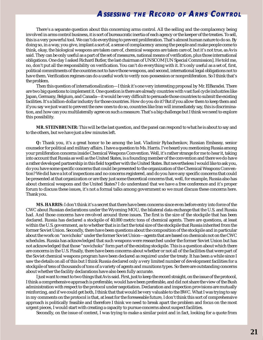There's a separate question about this concerning arms control. All the selling and the complacency being involved in arms control business, it is sort of bureaucratic inertia of each agency or the keeper of the treaties. To sell, this is a very powerful tool. We can't do everything to prevent proliferation. That's almost human nature to do so. By doing so, in a way, you give, implant a sort of, a sense of complacency among the people and make people come to think, okay, the biological weapons are taken care of, chemical weapons are taken care of, but it's not true, as Avis said. They can be only useful as a part of the set of measures, national means of verification, plus those international obligations. One day I asked Richard Butler, the last chairman of UNSCOM [UN Special Commission]. He told me, no, don't put all the responsibility on verification. You can't do everything with it. It's only useful as a set of, first, political commitments of the countries not to have those weapons, and second, international legal obligations not to have them. Verification regimes can do a useful work to verify non-possession or nonproliferation. So I think that's the problem.

Then this question of internationalization—I think it's one very interesting proposal by Mr. ElBaradei. There are two big questions to implement it. One question is there are already countries with vast fuel cycle industries like Japan, Germany, Belgium, and Canada—it would be very difficult to persuade those countries to submit the existing facilities. It's a billion-dollar industry for those countries. How do you do it? But if you allow them to keep them and if you say we just want to prevent the new ones to do so, countries like Iran will immediately say, this is discrimination, and how can you multilaterally agree on such a measure. That's a big challenge but I think we need to explore this possibility.

**MR. STEINBRUNER:** This will be the last question, and the panel can respond to what he is about to say and to the others, but we have just a few minutes left.

**Q:** Thank you, it's a great honor to be among the last. Vladimir Rybachenkov, Russian Embassy, senior counselor for political and military affairs. I have a question to Ms. Harris. I've heard you mentioning Russia among your proliferation concerns inside Chemical Weapons Convention. Well, it's rather strange for me to hear it, taking into account that Russia as well as the United States, is a founding member of the convention and there we do have a rather developed partnership in this field together with the United States. But nevertheless I would like to ask you, do you have some specific concerns that could be presented to the organization of the Chemical Weapons Convention? We did have a lot of inspections and no concerns registered, and do you have any specific concerns that could be presented at that organization or are they just some theoretical concerns that, well, for example, Russia also has about chemical weapons and the United States? I do understand that we have a free conference and it's proper forum to discuss these issues, it's not a formal talks among government so we must discuss these concerns here. Thank you.

**MS. HARRIS:** I don't think it's a secret that there have been concerns since even before entry into force of the CWC about Russian declarations under the Wyoming MOU, the bilateral data exchange that the U.S. and Russia had. And those concerns have revolved around three issues. The first is the size of the stockpile that has been declared. Russia has declared a stockpile of 40,000 metric tons of chemical agents. There are questions, at least within the U.S. government, as to whether that is in fact the total size of the stockpile that Russia inherited from the former Soviet Union. Secondly, there have been questions about the composition of the stockpile and in particular about the work on "novichoks" under the former Soviet Union—agents that are based on chemicals not on the CWC schedules. Russia has acknowledged that such weapons were researched under the former Soviet Union but has not acknowledged that those "novichoks" form part of the existing stockpile. This is a question about which there are concerns in the U.S. Finally, there have been concerns about whether or not all of the facilities that were part of the Soviet chemical weapons program have been declared as required under the treaty. It has been a while since I saw the details on all of this but I think Russia declared only a very limited number of development facilities for a stockpile of tens of thousands of tons of a variety of agents and munitions types. So there are outstanding concerns about whether the facility declarations have also been fully accurate.

I just want to react to two things that Avis said. First, just to keep the record straight, on the issue of the protocol, I think a comprehensive approach is preferable, would have been preferable, and did not share the view of the Bush administration with respect to the protocol under negotiation. Declaration and inspection provisions are mutually reinforcing, and if we could get both, I think that that would be very valuable to the BWC. What I was trying to say in my comments on the protocol is that, at least for the foreseeable future, I don't think this sort of comprehensive approach is politically feasible and therefore I think we need to break apart the problem and focus on the most urgent pieces, I would start with creating a capacity to pursue concerns about suspect facilities.

Secondly, on the issue of context, I was trying to make a similar point and in fact, looking for a quote from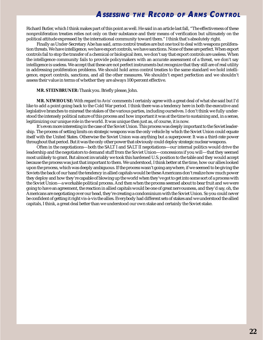Richard Butler, which I think makes part of this point as well. He said in an article last fall, "The effectiveness of these nonproliferation treaties relies not only on their substance and their means of verification but ultimately on the political attitude expressed by the international community toward them." I think that's absolutely right.

Finally as Under-Secretary Abe has said, arms control treaties are but one tool to deal with weapons proliferation threats. We have intelligence, we have export controls, we have sanctions. None of these are perfect. When export controls fail to stop the transfer of a chemical or biological item, we don't say that export controls are useless. When the intelligence community fails to provide policymakers with an accurate assessment of a threat, we don't say intelligence is useless. We accept that these are not perfect instruments but recognize that they still are of real utility in addressing proliferation problems. We should hold arms control treaties to the same standard we hold intelligence, export controls, sanctions, and all the other measures. We shouldn't expect perfection and we shouldn't assess their value in terms of whether they are always 100 percent effective.

### **MR. STEINBRUNER:** Thank you. Briefly please, John.

**MR. NEWHOUSE:** With regard to Avis' comments I certainly agree with a great deal of what she said but I'd like to add a point going back to the Cold War period. I think there was a tendency here in both the executive and legislative branches to misread the stakes of the various parties, including ourselves. I don't think we fully understood the intensely political nature of this process and how important it was at the time to sustaining and, in a sense, legitimizing our unique role in the world. It was unique then just as, of course, it is now.

It's even more interesting in the case of the Soviet Union. This process was deeply important to the Soviet leadership. The process of setting limits on strategic weapons was the only vehicle by which the Soviet Union could equate itself with the United States. Otherwise the Soviet Union was anything but a superpower. It was a third-rate power throughout that period. But it was the only other power that obviously could deploy strategic nuclear weapons.

Often in the negotiations—both the SALT I and SALT II negotiations—our internal politics would drive the leadership and the negotiators to demand stuff from the Soviet Union—concessions if you will—that they seemed most unlikely to grant. But almost invariably we took this hardened U.S. position to the table and they would accept because the process was just that important to them. We understood, I think better at the time, how our allies looked upon the process, which was deeply ambiguous. If the process wasn't going anywhere, if we seemed to be giving the Soviets the back of our hand the tendency in allied capitals would be these Americans don't realize how much power they deploy and how they're capable of blowing up the world when they've got to get into some sort of a process with the Soviet Union—a workable political process. And then when the process seemed about to bear fruit and we were going to have an agreement, the reaction in allied capitals would be one of great nervousness, and they'd say, oh, the Americans are negotiating over our head, they're creating a condominium with the Soviet Union. So you could never be confident of getting it right vis-à-vis the allies. Everybody had different sets of stakes and we understood the allied capitals, I think, a great deal better than we understood our own stake and certainly the Soviet stake.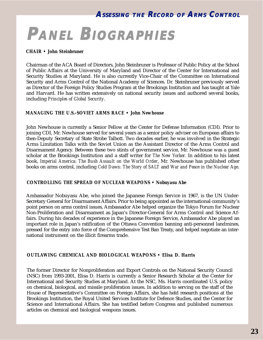# <span id="page-22-0"></span>**PANEL BIOGRAPHIES IOGRAPHIES**

### *CHAIR • John Steinbruner*

Chairman of the ACA Board of Directors, John Steinbruner is Professor of Public Policy at the School of Public Affairs at the University of Maryland and Director of the Center for International and Security Studies at Maryland. He is also currently Vice-Chair of the Committee on International Security and Arms Control of the National Academy of Sciences. Dr. Steinbruner previously served as Director of the Foreign Policy Studies Program at the Brookings Institution and has taught at Yale and Harvard. He has written extensively on national security issues and authored several books, including *Principles of Global Security*.

### *MANAGING THE U.S.-SOVIET ARMS RACE • John Newhouse*

John Newhouse is currently a Senior Fellow at the Center for Defense Information (CDI). Prior to joining CDI, Mr. Newhouse served for several years as a senior policy adviser on European affairs to then-Deputy Secretary of State Strobe Talbott. Two decades earlier, he was involved in the Strategic Arms Limitation Talks with the Soviet Union as the Assistant Director of the Arms Control and Disarmament Agency. Between these two stints of government service, Mr. Newhouse was a guest scholar at the Brookings Institution and a staff writer for *The New Yorker*. In addition to his latest book, *Imperial America: The Bush Assault on the World Order*, Mr. Newhouse has published other books on arms control, including *Cold Dawn: The Story of SALT* and *War and Peace in the Nuclear Age*.

### *CONTROLLING THE SPREAD OF NUCLEAR WEAPONS • Nobuyasu Abe*

Ambassador Nobuyasu Abe, who joined the Japanese Foreign Service in 1967, is the UN Under-Secretary General for Disarmament Affairs. Prior to being appointed as the international community's point person on arms control issues, Ambassador Abe helped organize the Tokyo Forum for Nuclear Non-Proliferation and Disarmament as Japan's Director-General for Arms Control and Science Affairs. During his decades of experience in the Japanese Foreign Service, Ambassador Abe played an important role in Japan's ratification of the Ottawa Convention banning anti-personnel landmines, pressed for the entry into force of the Comprehensive Test Ban Treaty, and helped negotiate an international instrument on the illicit firearms trade.

### *OUTLAWING CHEMICAL AND BIOLOGICAL WEAPONS • Elisa D. Harris*

The former Director for Nonproliferation and Export Controls on the National Security Council (NSC) from 1993-2001, Elisa D. Harris is currently a Senior Research Scholar at the Center for International and Security Studies at Maryland. At the NSC, Ms. Harris coordinated U.S. policy on chemical, biological, and missile proliferation issues. In addition to serving on the staff of the House of Representative's Committee on Foreign Affairs, she has held research positions at the Brookings Institution, the Royal United Services Institute for Defence Studies, and the Center for Science and International Affairs. She has testified before Congress and published numerous articles on chemical and biological weapons issues.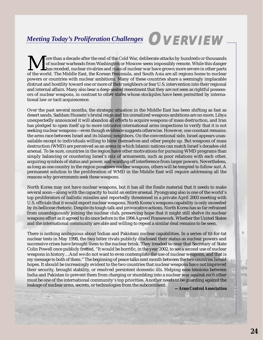## <span id="page-23-0"></span>*Meeting Today's Proliferation Challenges* **OVERVIEW**

More than a decade after the end of the Cold War, deliberate attacks by hundreds or thousands<br>of the world. The Middle East, the Korean Peninsula, and South Asia are all regions home to nuclear<br>and South Asia are all regio of nuclear warheads from Washington or Moscow seem impossibly remote. While this danger has receded, nuclear rivalries and risks of nuclear war have grown more severe in other parts powers or countries with nuclear ambitions. Many of these countries share a seemingly implacable distrust and hostility toward one or more of their neighbors or fear U.S. intervention into their regional and internal affairs. Many also bear a deep-seated resentment that they are not seen as rightful possessors of nuclear weapons, in contrast to other states whose stockpiles have been permitted by international law or tacit acquiescence.

Over the past several months, the strategic situation in the Middle East has been shifting as fast as desert sands. Saddam Hussein's brutal reign and his unrealized weapons ambitions are no more, Libya unexpectedly announced it will abandon all efforts to acquire weapons of mass destruction, and Iran has pledged to open itself up to more intrusive international arms inspections to verify that it is not seeking nuclear weapons—even though evidence suggests otherwise. However, one constant remains: the arms race between Israel and its Islamic neighbors. On the conventional side, Israel appears unassailable except to individuals willing to blow themselves and other people up. But weapons of mass destruction (WMD) are perceived as an arena in which Islamic nations can match Israel's decades-old arsenal. To be sure, countries in the region have other motivations for pursuing WMD programs than simply balancing or countering Israel's mix of armaments, such as poor relations with each other, acquiring symbols of status and power, and warding off interference from larger powers. Nevertheless, as long as one country in the region possesses nuclear weapons, others will be tempted to follow suit. A permanent solution to the proliferation of WMD in the Middle East will require addressing all the reasons why governments seek these weapons.

North Korea may not have nuclear weapons, but it has all the fissile material that it needs to make several soon—along with the capacity to build an entire arsenal. Pyongyang also is one of the world's top proliferators of ballistic missiles and reportedly threatened in a private April 2003 meeting with U.S. officials that it would export nuclear weapons. North Korea's weapons capability is only exceeded by its bellicose rhetoric. Despite its tough talk and provocative actions, North Korea has so far refrained from unambiguously joining the nuclear club, preserving hope that it might still shelve its nuclear weapons effort as it agreed to do once before in the 1994 Agreed Framework. Whether the United States and the international community are able and willing to repeat a similar deal remains to be seen.

There is nothing ambiguous about Indian and Pakistani nuclear capabilities. In a series of tit-for-tat nuclear tests in May 1998, the two bitter rivals publicly disclosed their status as nuclear powers and successive crises have brought them to the nuclear brink. They treaded so near that Secretary of State Colin Powell once publicly fretted, "It would be horrific, in the year 2002, to see a second use of nuclear weapons in history…And we do not want to even contemplate the use of nuclear weapons, and that is my message to both of them." The beginning of peace talks next month between the two countries herald hopes. It should be increasingly evident to the two countries that nuclear weapons have not improved their security, brought stability, or resolved persistent domestic ills. Helping ease tensions between India and Pakistan to prevent them from charging or stumbling into a nuclear war against each other must be one of the international community's top priorities. Another needs to be guarding against the leakage of nuclear arms, secrets, or technologies from the subcontinent. *—Arms Control Association*

b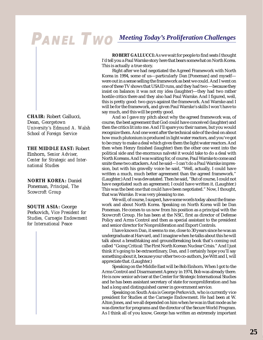# <span id="page-24-0"></span>**PANEL TWO** *Meeting Today's Proliferation Challenges*

**CHAIR:** Robert Gallucci, Dean, *Georgetown University's Edmund A. Walsh School of Foreign Service*

**THE MIDDLE EAST:** Robert Einhorn, *Senior Adviser, Center for Strategic and International Studies*

**NORTH KOREA:** Daniel Poneman, *Principal, The Scowcroft Group*

**SOUTH ASIA:** George Perkovich, *Vice President for Studies, Carnegie Endowment for International Peace*

**ROBERT GALLUCCI:** As we wait for people to find seats I thought I'd tell you a Paul Warnke story here that bears somewhat on North Korea. This is actually a true story.

Right after we had negotiated the Agreed Framework with North Korea in 1994, some of us—particularly Dan [Poneman] and myself were out in a sense selling the framework as best we could. And I went on one of these TV shows that USAID runs, and they had two —because they insist on balance; it was not my idea (laughter)—they had two rather hostile critics there and they also had Paul Warnke. And I figured, well, this is pretty good: two guys against the framework. And Warnke and I will be for the framework, and given Paul Warnke's skills I won't have to say much, and this will be pretty good.

And so I gave my pitch about why the agreed framework was, of course, the best agreement that God could have conceived (laughter) and then the critics lit into me. And I'll spare you their names, but you would recognize them. And one went after the technical side of the deal on about how much plutonium is produced in light water reactors, and you've got to be crazy to make a deal which gives them the light water reactors. And then when Henry finished (laughter) then the other one went into the political side and the enormous naïveté it would take to do a deal with North Koreans. And I was waiting for, of course, Paul Warnke to come and smite these two attackers. And he said—I can't do a Paul Warnke impression, but with his gravelly voice he said, "Well, actually, I could have written a much, much better agreement than the agreed framework." (Laughter.) And I was devastated. Then he said, "But of course, I could not have negotiated such an agreement; I could have written it. (Laughter.) This was the best one that could have been negotiated." Now, I thought, that was Warnke. It was very pleasing to me.

We will, of course, I suspect, have some words today about the framework and about North Korea. Speaking on North Korea will be Dan Poneman. He comes to us now from his position as a principal with the Scowcroft Group. He has been at the NSC, first as director of Defense Policy and Arms Control and then as special assistant to the president and senior director for Nonproliferation and Export Controls.

I have known Dan, it seems to me, close to 30 years since he was an undergraduate at Harvard, and I imagine when he talks about this he will talk about a breathtaking and groundbreaking book that's coming out called "Going Critical: The First North Korean Nuclear Crisis." And I just think it's going to be extraordinary, Dan, and I certainly hope you'll say something about it, because your other two co-authors, Joe Witt and I, will appreciate that. (Laughter.)

Speaking on the Middle East will be Bob Einhorn. When I got to the Arms Control and Disarmament Agency in 1974, Bob was already there. He is now senior adviser at the Center for Strategic International Studies and he has been assistant secretary of state for nonproliferation and has had a long and distinguished career in government service.

Speaking on South Asia is George Perkovich, who is currently vice president for Studies at the Carnegie Endowment. He had been at W. Alton Jones, and we all depended on him when he was in that mode as he was director for programs and the director of the Secure World Program. As I think all of you know, George has written an extremely important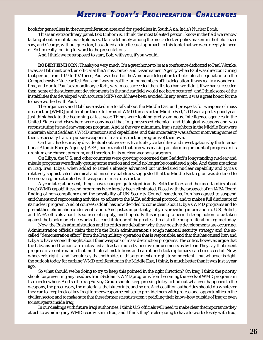<span id="page-25-0"></span>book for generalists in the nonproliferation area and for specialists in South Asia: *India's Nuclear Bomb*.

This is an extraordinary panel. Bob Einhorn is, I think, the most talented person I know in the field we're now talking about in multilateral diplomacy. Dan is definitely among the most effective policymakers in the field I ever saw, and George, without question, has added an intellectual approach to this topic that we were deeply in need of. So I'm really looking forward to the presentations.

And I think we're supposed to start, Bob, with you, if you would.

**ROBERT EINHORN:** Thank you very much. It's a great honor to be at a conference dedicated to Paul Warnke. I was, as Bob mentioned, an official at the Arms Control and Disarmament Agency when Paul was director. During that period, from 1977 to 1979 or so, Paul was head of the American delegation to the trilateral negotiations on the Comprehensive Nuclear Test Ban, and I was one of the junior members of his delegation. It was really a wonderful time, and due to Paul's extraordinary efforts, we almost succeeded then. It's too bad we didn't. If we had succeeded then, some of the subsequent developments in the nuclear field would not have occurred, and I think some of the instabilities that developed with accurate MIRVs could have been avoided. In any event, it was a great honor for me to have worked with Paul.

The organizers and Bob have asked me to talk about the Middle East and prospects for weapons of mass destruction [WMD] proliferation there. In terms of WMD threats in the Middle East, 2003 was a pretty good year. Just think back to the beginning of last year. Things were looking pretty ominous. Intelligence agencies in the United States and elsewhere were convinced that Iraq possessed chemical and biological weapons and was reconstituting its nuclear weapons program. And at the very minimum, Iraq's neighbors in the Middle East were uncertain about Saddam's WMD intentions and capabilities, and this uncertainty was a factor motivating some of them, especially Iran, to pursue weapons of mass destruction programs of their own.

On Iran, disclosures by dissidents about two sensitive fuel-cycle facilities and investigations by the International Atomic Energy Agency [IAEA] had revealed that Iran was making an alarming amount of progress in its uranium enrichment program, and therefore in its nuclear weapons program.

On Libya, the U.S. and other countries were growing concerned that Gaddafi's longstanding nuclear and missile programs were finally getting some traction and could no longer be considered a joke. And these situations in Iraq, Iran, Libya, when added to Israel's already advanced but undeclared nuclear capability and Syria's relatively sophisticated chemical and missile capabilities, suggested that the Middle East region was destined to become a region saturated with weapons of mass destruction.

A year later, at present, things have changed quite significantly. Both the fears and the uncertainties about Iraq's WMD capabilities and programs have largely been eliminated. Faced with the prospect of an IAEA Board finding of non-compliance and the possibility of UN Security Council sanctions, Iran has agreed to suspend enrichment and reprocessing activities, to adhere to the IAEA additional protocol, and to make a full disclosure of its nuclear program. And of course Gaddafi has now decided to come clean about Libya's WMD programs and to permit their elimination under verification. And just as importantly, Libya is providing information to U.S., British, and IAEA officials about its sources of supply, and hopefully this is going to permit strong action to be taken against the black market networks that constitute one of the greatest threats to the nonproliferation regime today.

Now, the Bush administration and its critics are debating why these positive developments are occurring. Administration officials claim that it's the Bush administration's tough national security strategy and the socalled "demonstration effect" from the Iraq military operation that is responsible, and that this has caused Iran and Libya to have second thought about their weapons of mass destruction programs. The critics, however, argue that the Libyans and Iranians are motivated at least as much by positive inducements as by fear. They say that recent progress is a confirmation that multilateral institutions and carrot-and-stick diplomacy can be successful. Now, whoever is right—and I would say that both sides of this argument are right to some extent—but whoever is right, the outlook today for curbing WMD proliferation in the Middle East, I think, is much better than it was just a year ago.

So what should we be doing to try to keep this pointed in the right direction? On Iraq, I think the priority should be preventing any residues from Saddam's WMD programs from becoming the seeds of WMD programs in Iraq or elsewhere. And so the Iraq Survey Group should keep pressing to try to find out whatever happened to the weapons, the precursors, the materials, the blueprints, and so on. And coalition authorities should do whatever they can to keep track of key Iraqi former weapon scientists, to provide them with professional opportunities in the civilian sector, and to make sure that these former scientists aren't peddling their know-how outside of Iraq or even to insurgents inside Iraq.

In our dealings with future Iraqi authorities, I think U.S. officials will need to make clear the importance they attach to avoiding any WMD recidivism in Iraq, and I think they're also going to have to work closely with Iraqi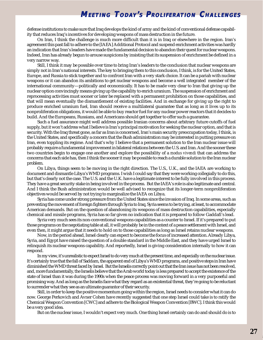defense institutions to make sure that Iraq develops the kind of army and the kind of conventional defense capability that reduces Iraq's incentives for developing weapons of mass destruction in the future.

On Iran, I think the challenge is much more difficult than it is in Iraq or elsewhere in the region. Iran's agreement this past fall to adhere to the [IAEA] Additional Protocol and suspend enrichment activities was hardly an indication that Iran's leaders have made the fundamental decision to abandon their quest for nuclear weapons. Indeed, Iran has already begun to arouse suspicions by insisting that its suspension of enrichment be defined in a very narrow way.

Still, I think it may be possible over time to bring Iran's leaders to the conclusion that nuclear weapons are simply not in Iran's national interests. The key to bringing them to this conclusion, I think, is for the United States, Europe, and Russia to stick together and to confront Iran with a very stark choice. It can be a pariah with nuclear weapons or it can abandon its ambitions to get nuclear weapons and become a well integrated member of the international community—politically and economically. It has to be made very clear to Iran that giving up the nuclear option convincingly means giving up the capability to enrich uranium. The suspension of enrichment and reprocessing activities must sooner or later be replaced with a permanent prohibition on those capabilities, and that will mean eventually the dismantlement of existing facilities. And in exchange for giving up the right to produce enriched uranium fuel, Iran should receive a multilateral guarantee that as long as it lives up to its nonproliferation obligations, it would be able to buy reactor fuel for any nuclear power reactors that it decides to build. And the Europeans, Russians, and Americans should get together to offer such a guarantee.

Such a fuel assurance might well address possible Iranian concerns about arbitrary future cutoffs of fuel supply, but it won't address what I believe is Iran's principal motivation for seeking the nuclear option, and that is security. With the Iraq threat gone, as far as Iran is concerned, Iran's main security preoccupation today, I think, is the United States, and specifically a concern that the Bush administration may be interested in putting pressure on Iran, even toppling its regime. And that's why I believe that a permanent solution to the Iran nuclear issue will probably require a fundamental improvement in bilateral relations between the U.S. and Iran. And the sooner these two countries begin to engage one another and explore the possibility of a *modus vivendi* that can address the concerns that each side has, then I think the sooner it may be possible to reach a durable solution to the Iran nuclear problem.

On Libya, things seem to be moving in the right direction. The U.S., U.K., and the IAEA are working to document and dismantle Libya's WMD programs. I wish I could say that they were working collegially to do this, but that's clearly not the case. The U.S. and the U.K. have a legitimate interest to be fully involved in this process. They have a great security stake in being involved in the process. But the IAEA's role is also legitimate and central. And I think the Bush administration would be well advised to recognize that its longer-term nonproliferation objectives would be served by not trying to marginalize the IAEA on Libya.

Syria has come under strong pressure from the United States since the invasion of Iraq. In some areas, such as preventing the movement of foreign fighters through Syria to Iraq, Syria seems to be trying, at least, to accommodate American demands. But on the question of abandoning its weapons of mass destruction capabilities, especially chemical and missile programs, Syria has so far given no indication that it is prepared to follow Gaddafi's lead.

Syria very much sees its non-conventional weapons capabilities as a counter to Israel. If it's prepared to put those programs on the negotiating table at all, it will probably be in the context of a peace settlement with Israel, and even then, it might argue that it needs to hold on to those capabilities as long as Israel retains nuclear weapons.

Now, in the period ahead, Israel clearly can expect to become the focus of increased attention. Already Libya, Syria, and Egypt have raised the question of a double standard in the Middle East, and they have urged Israel to relinquish its nuclear weapons capability. And reportedly, Israel is giving consideration internally to how it can respond.

In my view, it's unrealistic to expect Israel to do very much at the present time, and especially on the nuclear issue. It's certainly true that the fall of Saddam, the apparent end of Libya's WMD programs, and positive steps in Iran have diminished the WMD threat faced by Israel. But the Israelis correctly point out that the Iran issue has not been resolved, and, more fundamentally, the Israelis believe that the Arab world today is less prepared to accept the existence of the state of Israel than it was during the 1990s when the peace process was moving forward in a very purposeful and promising way. And as long as the Israelis face what they regard as an existential threat, they're going to be reluctant to surrender what they see as an ultimate guarantor of their security.

Still, in order to keep the positive momentum going within the region, Israel needs to consider what it can do now. George Perkovich and Avner Cohen have recently suggested that one step Israel could take is to ratify the Chemical Weapon Convention [CWC] and adhere to the Biological Weapon Convention [BWC]. I think this would be a very good idea.

But on the nuclear issue, I wouldn't expect very much. One thing Israel certainly can do and should do is to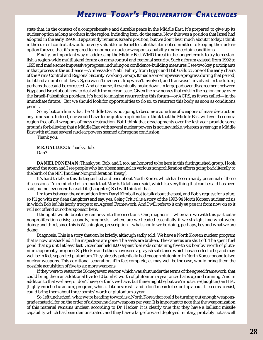<span id="page-27-0"></span>state that, in the context of a comprehensive and durable peace in the Middle East, it's prepared to give up its nuclear option as long as others in the region, including Iran, do the same. Now this was a position that Israel had adopted in the early 1990s. It apparently remains Israel's position, but we don't hear much about it today. I think in the current context, it would be very valuable for Israel to state that it is not committed to keeping the nuclear option forever, that it's prepared to renounce a nuclear weapons capability under certain conditions.

Finally, an important way of addressing the Middle East WMD threat in the longer term is to try to reestablish a region-wide multilateral forum on arms control and regional security. Such a forum existed from 1992 to 1995 and made some impressive progress, including on confidence-building measures. I see two key participants in that process in the audience —Ambassador Nabil Fahmy from Egypt and Bob Gallucci, one of the early chairs of the Arms Control and Regional Security Working Group. It made some impressive progress during that period, but it had a number of flaws. Syria wasn't involved, Iraq wasn't involved, and Iran wasn't involved. In the future, perhaps that could be corrected. And of course, it eventually broke down, in large part over disagreement between Egypt and Israel about how to deal with the nuclear issue. Given the raw nerves that exist in the region today over the Israeli-Palestinian problem, it's hard to imagine resurrecting this forum—or ACRS, as it was called—in the immediate future. But we should look for opportunities to do so, to resurrect this body as soon as conditions permit.

So my bottom line is that the Middle East is not going to become a zone free of weapons of mass destruction any time soon. Indeed, one would have to be quite an optimistic to think that the Middle East will ever become a region free of all weapons of mass destruction. But I think that developments over the last year provide some grounds for believing that a Middle East with several nuclear powers is not inevitable, whereas a year ago a Middle East with at least several nuclear powers seemed a foregone conclusion.

Thank you.

**MR. GALLUCCI:** Thanks, Bob. Dan?

**DANIEL PONEMAN:** Thank you, Bob, and I, too, am honored to be here in this distinguished group. I look around the room and I see people who have been seminal in various nonproliferation efforts going back literally to the birth of the NPT [nuclear Nonproliferation Treaty].

It's hard to talk in this distinguished audience about North Korea, which has been a hardy perennial of these discussions. I'm reminded of a remark that Morris Udall once said, which is everything that can be said has been said, but not everyone has said it. (Laughter.) So I will think of that.

I'm torn between the admonition from Daryl Kimball not to talk about the past, and Bob's request for a plug, so I'll go with my dean (laughter) and say, yes, *Going Critical* is a story of the 1993-94 North Korean nuclear crisis in which Bob led his hardy troops to an Agreed Framework. And I will refer to it only *au passant* from now on so it will not offend our other sponsor here.

I thought I would break my remarks into three sections: One, diagnosis—where are we with this particular nonproliferation crisis; secondly, prognosis—where are we headed essentially if we straight-line what we're doing; and third, since this is Washington, prescription—what should we be doing, perhaps, beyond what we are doing.

Diagnosis. This is a story that can be briefly, although sadly told. We have a North Korean nuclear program that is now unshackled. The inspectors are gone. The seals are broken. The cameras are shut off. The spent fuel pond that up until at least last December held 8,000 spent fuel rods containing five to six bombs' worth of plutonium apparently are gone. Sig Hecker and others have seen a grayish substance which has asserted to be, and may well be in fact, separated plutonium. They already potentially had enough plutonium in North Korea for one to two nuclear weapons. This additional separation, if in fact complete, as may well be the case, would bring them the possible acquisition of five to six more weapons.

If they were to restart the 50-megawatt reactor, which was shut under the terms of the agreed framework, that could bring them an additional five to 10 bombs' worth of plutonium a year once that is up and running. And in addition to that we have, or don't have, or think we have, but there might be, but we're not sure (laughter) an HEU [highly enriched uranium] program, which, if it does exist—and I don't mean to be too flip about it—seems to exist, could bring them about three bombs' worth of plutonium a year.

So, left unchecked, what we're heading toward is a North Korea that could be turning out enough weaponsgrade material for on the order of a dozen nuclear weapons per year. It is important to note that the weaponization of this material remains unclear, according to Dr. Hecker. It is clearly true that they have a ballistic missile capability which has been demonstrated, and they have a large forward deployed military, probably not as well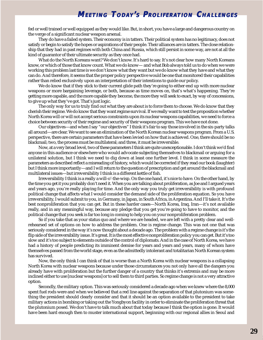fed or well trained or well equipped as they would like. But, in short, you have a large and dangerous country on the verge of a significant nuclear weapon arsenal.

They do have a failed system. Their economy is in tatters. Their political system has no legitimacy, does not satisfy or begin to satisfy the hopes or aspirations of their people. Their alliances are in tatters. The close relationship that they had in past regimes with both China and Russia, which still persist in some way, are not at all the kind of guarantor of their ultimate security as they once had.

What do the North Koreans want? We don't know. It's hard to say. It's not clear how many North Koreans know, or which of those that know count. What we do know— and what Bob always told us to do when we were working this problem last time is we don't know what they want but we do know what they have and what they can do. And therefore, it seems that the proper policy perspective would be one that monitored their capabilities rather than relied exclusively upon an interpretation of their intentions to guide our policy.

We do know that if they stick to their current glide path they're going to either end up with more nuclear weapons or more bargaining leverage, or both, because as time moves on, that's what's happening. They're getting more capable, and the more capable they become, the more they will seek to exact, by way of concessions, to give up what they've got. That's just logic.

The only way for us to truly find out what they are about is to force them to choose. We do know that they cherish their regime. We do know that they want regime survival. If we really want to test the proposition whether North Korea will or will not accept serious constraints upon its nuclear weapons capabilities, we need to force a choice between security of their regime and security of their weapons program. This we have not done.

Our objectives—and when I say "our objectives" I think it's fair to say those involved in the six-party talks all around—are clear. We want to see an elimination of the North Korean nuclear weapons program. From a U.S. perspective, there are certain parameters that have been levied on how that is achieved. One, there should be no blackmail; two, the process must be multilateral; and three, it must be irreversible.

Now, at a very broad level, two of these parameters I think are quite unexceptionable. I don't think we'd find anyone in this audience or elsewhere who would advocate subjecting themselves to blackmail or arguing for a unilateral solution, but I think we need to dig down at least one further level. I think in some measure the parameters as described reflect a misreading of history, which would be corrected if they read our book (laughter) but I think more importantly—and I will return to the question of prescription and get around the blackmail and multilateral issues—but irreversibility I think is a different kettle of fish.

Irreversibility I think is a really a will-o'-the-wisp. On the one hand, it's nice to have. On the other hand, by the time you get it you probably don't need it. When you are talking about proliferation, as Joe and I argued years and years ago, you're really playing for time. And the only way you truly get irreversibility is with profound political change that affects what I would consider the demand side of the proliferation equation. So you have irreversibility, I would submit to you, in Germany, in Japan, in South Africa, in Argentina. And I'll take it. It's the best nonproliferation that you can get. But in these harder cases—North Korea, Iraq, Iran—it's not available really, and in any meaningful way, because any pledge that you get you're going to have to monitor, and the political change that you seek is far too long in coming to help you on your nonproliferation problem.

So if you take that as your status quo and where we are headed, we are left with a pretty clear and wellrehearsed set of options on how to address the problem. One is regime change. This was not one that was seriously considered in the way it's now thought about a decade ago. The problem with a regime change is it's the flip side of the irreversibility issue. It's great. It is the most effective nonproliferation policy you can get. But it's too slow and it's too subject to elements outside of the control of diplomats. And in the case of North Korea, we have had a history of people predicting its imminent demise for years and years and years, many of whom have themselves passed from the world stage, even as the admittedly intolerant and totalitarian North Korean system has survived.

Now, the only think I can think of that is worse than a North Korea with nuclear weapons is a collapsing North Korea with nuclear weapons because under those circumstances you not only have all the dangers you already have with proliferation but the further danger of a country that thinks it's extremis and may be more inclined either to use [nuclear weapons] or to sell them to third parties. So regime change is not a very attractive option.

Secondly, the military option. This was seriously considered a decade ago when we knew where the 8,000 spent fuel rods were and when we believed that a red line against the separation of that plutonium was something the president should clearly consider and that it should be an option available to the president to take military actions in bombing or taking out the Yongbyon facility in order to eliminate the proliferation threat that the plutonium posed. We don't have to talk much about that today because I think the option is gone. It would have been hard enough then to muster international support, beginning with our regional allies in Seoul and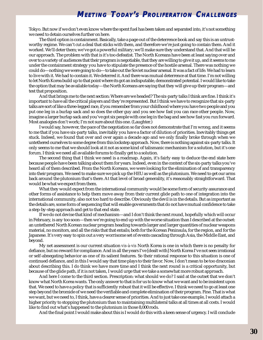Tokyo. But now if we don't even know where the spent fuel has been taken and separated into, it's not something we need to detain ourselves further on here.

The third option is containment. Basically, take a page out of the deterrence book and say this is an untrustworthy regime. We can't cut a deal that sticks with them, and therefore we're just going to contain them. And it worked. We'll deter them; we've got a powerful military; we'll make sure they understand that. And that will be our approach. The problem with that is it's too defeatist. The North Koreans have been at least saying over and over to a variety of audiences that their program is negotiable, that they are willing to give it up, and it seems to me under the containment strategy you have to stipulate the presence of the hostile arsenal. There was nothing we could do—nothing we were going to do—to take out the Soviet nuclear arsenal. It was a fact of life. We had to learn to live with it. We had to contain it. We deterred it. And there was mutual deterrence at that time. I'm not willing to let North Korea build up to that point where its got an indisputable, demonstrated potential. I would like to take the option that may be available today—the North Koreans are saying that they will give up their program—and test that proposition.

And that brings me to the next section: Where are we headed? The six-party talks I think are fine. I think it's important to have all the critical players and they're represented. But I think we have to recognize that six-party talks are sort of like a three-legged race, if you remember from your childhood where you have two people and you put one leg in a burlap sack and so does the other guy and you see how fast you can race other people. Now, imagine a larger burlap sack and you've got six people with one leg in the bag and see how fast you run forward. Most analogies don't work; I'm not sure about this one. (Laughter.)

I would say, however, the pace of the negotiation so far does not demonstrate that I'm wrong, and it seems to me that if you have six-party talks, inevitably you have a factor of dilution of priorities. Inevitably things get stuck. Indeed, we found that over and over again a decade ago and we only finally broke through when we untethered ourselves to some degree from this lockstep approach. Now, there is nothing against six-party talks. It only seems to me that we should look at it not as some kind of talismanic mechanism for a solution, but it's one forum. I think we need all available forums to finally get to a solution.

The second thing that I think we need is a roadmap. Again, it's fairly easy to deduce the end state here because people have been talking about them for years. Indeed, even in the context of the six-party talks you've heard all of them described. From the North Koreans, we were looking for the elimination of and transparency into their program. We need to make sure we pick up the HEU as well as the plutonium. We need to get our arms back around the plutonium that's there. At that level of broad generality, it's reasonably straightforward. That would be what we expect from them.

What they would expect from the international community would be some form of security assurance and other forms of assistance to help them move away from their current glide path to one of integration into the international community, also not too hard to describe. Obviously the devil is in the details. But as important as the details are, some form of sequencing that will enable governments that do not have mutual confidence to take a step-by-step approach and get to that end state.

If we do not devise that kind of mechanism—and I don't think the next round, hopefully which will occur in February, is any too soon—then we're going to end up with the worse situation than I described at the outset: an untethered North Korean nuclear program heading towards larger and larger quantities of nuclear weapons material, no monitors, and all the risks that that entails; both for the Korean Peninsula, for the region, and for the Japanese. It's very easy to spin out a very worrisome set of events cascading through Asia, the Middle East, and beyond.

My net assessment is our current situation *vis-à-vis* North Korea is one in which there is no penalty for defiance, but no reward for compliance. And in all the years I've [dealt with] North Korea I've not seen irrational or self-abnegating behavior as one of its salient features. So their rational response to this situation is one of continued defiance, and in this I would say that time plays to their favor. Now, I don't mean to be too draconian about describing this. I do think we have more time and I think the next round is a critical opportunity, but because of the glide path, if it is not taken, I would urge that we take a somewhat more robust approach.

And here I come to the third section. Prescription: what should we do? I said at the outset that we don't know what North Korea wants. The only answer to that is for us to know what we want and to be insistent upon that. We need to have a policy that is sufficiently robust that it will be effective. I think we need to go at least one step beyond the bromide of we need the verifiable and complete elimination of their program. Fine. That is what we want, but we need to, I think, have a clearer sense of priorities. And to just take one example, I would attach a higher priority to stopping the plutonium than to maintaining multilateral talks at all times at all costs. I would like to find out what's happened to the plutonium in those 8,000 rods.

And the final point I would make about this is I would do this with a keen sense of urgency. I will conclude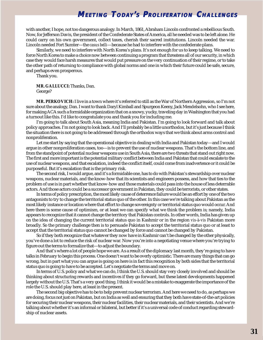<span id="page-30-0"></span>with another, I hope, not too dangerous analogy. In March, 1861, Abraham Lincoln confronted a rebellious South. Now, for Jefferson Davis, the president of the Confederate States of America, all he needed was to be left alone. He could carry on his own government, collect taxes, cherish their sacred institutions. Lincoln needed the war. Lincoln needed Fort Sumter—the *casus belli*—because he had to interfere with the confederate plans.

Similarly, we need to interfere with North Korea's plans. It's not enough for us to keep talking. We need to force North Korea to make a choice now between continuing a program that threatens all of our security, in which case they would face harsh measures that would put pressure on the very continuation of their regime, or to take the other path of returning to compliance with global norms and one in which their future could be safe, secure, and perhaps even prosperous.

Thank you.

**MR. GALLUCCI:** Thanks, Dan. George?

**MR. PERKOVICH:** I live in a town where it's referred to still as the War of Northern Aggression, so I'm not sure about the analogy, Dan. I want to thank Daryl Kimball and Spurgeon Keeny, Jack Mendelsohn, who I see here, for making ACA such a formidable organization that on a snowy, yucky, traveling day in Washington that you had a turnout like this. I'd like to congratulate you and thank you for including me.

I'm going to talk about South Asia, meaning India and Pakistan. I'm going to look forward and talk about policy approaches. I'm not going to look back. And I'll probably be a little unorthodox, but it's just because I think the situation there is not going to be addressed through the orthodox ways that we think about arms control and nonproliferation.

Let me start by saying that the operational objective in dealing with India and Pakistan today—and I would argue in other nonproliferation cases, too—is to prevent the use of nuclear weapons. That's the bottom line, and from the standpoint of potential nuclear weapons use in South Asia, there are two threats that stand out right now. The first and more important is the potential military conflict between India and Pakistan that could escalate to the use of nuclear weapons, and that escalation, indeed the conflict itself, could come from inadvertence or it could be purposeful. But it's escalation that is the primary risk.

The second risk, I would argue, and it's a formidable one, has to do with Pakistan's stewardship over nuclear weapons, nuclear materials, and the know-how that its scientists and engineers possess, and how that ties to the problem of use is in part whether that know-how and those materials could pass into the house of less deterrable actors. And those actors could be a successor government in Pakistan, they could be terrorists, or other states.

In terms of policy prescription, the most likely cause of deterrence failure would be an effort by one of the two antagonists to try to change the territorial status quo of the other. In this case we're talking about Pakistan as the most likely instance or location where that effort to change sovereignty or territorial status quo would occur. And here there is some cause of optimism, or at least we can specify what we think the problem is; namely, India appears to recognize that it cannot change the territory that Pakistan controls. In other words, India has given up on the idea of changing the current territorial status quo in Kashmir or in the region *vis-à-vis* Pakistan more broadly. So the primary challenge then is to persuade Pakistan to accept the territorial status quo or at least to accept that the territorial status quo cannot be changed by force and cannot be changed by Pakistan.

So if they both recognize that whatever they now have in Kashmir can't be changed by the other physically, you've done a lot to reduce the risk of nuclear war. Now you're into a negotiating venue where you're trying to figure out the terms to formalize that—to adjust the boundary.

And that's where a lot of people hope we are. As a result of the diplomacy last month, they're going to have talks in February to begin this process. One doesn't want to be overly optimistic. There are many things that can go wrong, but in part what you can argue is going on here is in fact this recognition by both sides that the territorial status quo is going to have to be accepted. Let's negotiate the terms and move on.

In terms of U.S. policy and what we can do, I think the U.S. should stay very closely involved and should be thinking about structuring rewards and incentives if they go forward, but these latest developments happened largely without the U.S. That's a very good thing. I think it would be a mistake to exaggerate the importance of the role the U.S. should play here, at least in the present.

The second big objective has to be to help prevent nuclear terrorism. And here we need to do, as perhaps we are doing, focus not just on Pakistan, but on India as well and ensuring that they both have state-of-the-art policies for securing their nuclear weapons, their nuclear facilities, their nuclear materials, and their scientists. And we're talking about whether it's an informal or bilateral, but better if it's a universal code of conduct regarding stewardship of nuclear assets.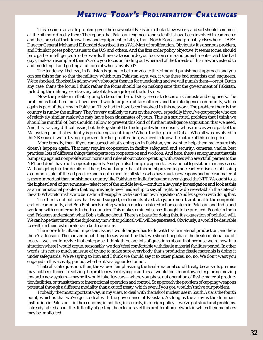This becomes an acute problem given the news out of Pakistan in the last few weeks, and so I should comment a little bit more directly there. The reports that Pakistani engineers and scientists have been involved in commerce and the spread of their know-how and equipment to Libya, Iran, North Korea, and probably elsewhere—IAEA Director General Mohamed ElBaradei described it as a Wal-Mart of proliferation. Obviously it's a serious problem, and I think it poses policy issues to the U.S. and others. And the first order policy objective, it seems to me, should be to gather intelligence. In other words, there's a tension: do you focus on crime and punishment—catch the bad guys, make an example of them? Or do you focus on finding out where all of the threads of this network extend to and modeling it and getting a full idea of who is involved?

The tendency, I believe, in Pakistan is going to be to advocate the crime and punishment approach and you can see this so far, so that the military which runs Pakistan says, yes, it was these bad scientists and engineers. We're shocked. Shocked! And now we've brought them in for questioning and we will punish them—or not. But in any case, that's the focus. I think rather the focus should be on making sure that the government of Pakistan, including the military, exerts every bit of its leverage to get the full story.

Now the problem in that is going to be so far the full story seems to focus on scientists and engineers. The problem is that there must have been, I would argue, military officers and the intelligence community, which again is part of the army in Pakistan. They had to have been involved in this network. The problem there is the country is run by the military. They're very unlikely to turn on their own, especially if you've got people who are of relatively similar rank who may have been classmates of yours. This is a structural problem that I think we should be mindful of, but shouldn't allow to prevent this kind of further intelligence acquisition that we need. And this is a very difficult issue, but the key should be finding out whose cousins, whose uncles were part of the Malaysian plant that evidently is producing a centrifuge? Where the ties go into Dubai. Who all was involved in this? Because if we're trying to prevent further proliferation, we need to know the nature of this enterprise.

More broadly, then, if you can correct what's going on in Pakistan, you want to help them make sure this doesn't happen again. That may require cooperation in facility safeguard and security: cameras, vaults, best practices, lots of different things that experts can cooperate on and work on. And here, there's an argument that this bumps up against nonproliferation norms and rules about not cooperating with states who aren't full parties to the NPT and don't have full scope safeguards. And you also bump up against U.S. national legislation in many cases. Without going into the details of it here, I would argue that at this point preventing nuclear terrorism, establishing a common state-of-the-art practice and requirement for all states who have nuclear weapons and nuclear material is more important than punishing a country like Pakistan or India for having never signed the NPT. We ought to at the highest level of government—take it out of the middle level—conduct a lawyerly investigation and look at this as an international problem that requires high-level leadership to say, all right, how do we establish the state-ofthe-art? What reforms have to be made in the supplier cartels and our own legislation? And let's get on with doing that.

The third set of policies that I would suggest, or elements of a strategy, are more traditional to the nonproliferation community, and Bob Einhorn is doing work on nuclear risk reduction centers in Pakistan and India and working with counterparts in both countries. This makes eminent sense. It ought to be pursued. People in India and Pakistan understand what Bob's talking about. There's a basis for doing this; it's a question of political will. We can hope that through the diplomacy now that political will will be generated. Obviously, it would be desirable to reaffirm their test moratoria in both countries.

The more difficult and important issue, I would argue, has to do with fissile material production, and here there's a tension. The conventional thing to say would be that we should negotiate the fissile material cutoff treaty—we should revive that enterprise. I think there are lots of questions about that because we're now in a situation where I would argue, reasonably, we don't feel comfortable with fissile material facilities period. In other words, it's not so much an issue of trying to make sure everybody that's producing fissile materials is doing it under safeguards. We're saying to Iran and I think we should say it to other places, no, no. We don't want you engaged in this activity, period, whether it's safeguarded or not.

That calls into question, then, the value of emphasizing the fissile material cutoff treaty because its premise may not be sufficient to solving the problem we're trying to address. I would look more toward exploring moving toward a new system—maybe it would take 10 years—where you phase out operation of fissile material production facilities, or transit them to international operation and control. So approach the problem of capping weapons potential through a different modality than a cutoff treaty, which even if you got, wouldn't solve our problem.

Probably the most important way, in my view, to deal with the risk of nuclear use in South Asia is the fourth point, which is that we've got to deal with the governance of Pakistan. As long as the army is the dominant institution in Pakistan—in the economy, in politics, in security, in foreign policy—we've got structural problems. I already talked about the difficulty of getting them to unravel this proliferation network in which their members may be implicated.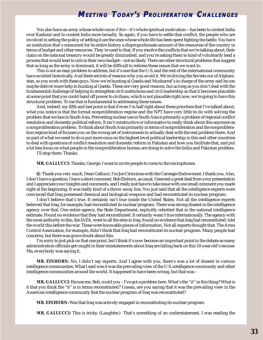<span id="page-32-0"></span>You also have an army whose whole *raison d'être*—it's whole spiritual motivation—has been to contest India over Kashmir and to contest India more broadly. So again, if you have to settle that conflict, the people who are involved in setting the policy of settling it are the ones whose whole life has been spent fighting the battle. You have an institution that's consumed for its entire history a disproportionate amount of the resources of the country in terms of budget and other resources. They're used to that. If you resolve the conflicts that we're talking about, their claim on the national treasury would be greatly diminished, and you're asking them to kind of voluntarily lead a process that would lead to cuts in their own budget—not so likely. There are other structural problems that suggest that as long as the army is dominant, it will be difficult to redress these issues that we want to.

This is not an easy problem to address, but it's one that the U.S. and the rest of the international community have avoided historically. And there are lots of reasons why you avoid it. We're driving the Soviets out of Afghanistan, so you work with these guys. Now we're hunting al Qaeda and Musharraf's in charge of the army and he can maybe deliver more help in hunting al Qaeda. These are very good reasons, but as long as you don't deal with the fundamental challenge of helping to strengthen civil institutions and civil leadership so that it becomes plausible at some point that you could hand off power to civilians, which is not plausible right now, we're going to have this structural problem. To me that is fundamental to addressing these issues.

And, indeed, my fifth and last point is that if even I'm half right about these priorities that I've talked about, what you notice is that the formal nonproliferation regime and the NPT have very little to do with solving the problem that we face in South Asia. Preventing nuclear use in South Asia is primarily a problem of regional conflict resolution and domestic political reform. It isn't constructive or informative to really think about this anymore as a nonproliferation problem. To think about South Asia primarily in terms of nonproliferation and the nonproliferation regime kind of focuses you on the wrong set of instruments to actually deal with the real problem there. And so part of what we need to do is put more onus on the highest level political leadership in this and other countries to deal with questions of conflict resolution and domestic reform in Pakistan and how you facilitate that, and put a lot less focus on what people in the nonproliferation bureau are doing to solve the India and Pakistan problem.

I'll stop there. Thanks.

**MR. GALLUCCI:** Thanks, George. I want to invite people to come to the microphones.

**Q:** Thank you very much, Dean Gallucci. I'm Joe Cirincione with the Carnegie Endowment. I thank you. Also, I don't have a question; I have a short comment. Bob Einhorn, as usual, I learned a great deal from your presentation and I appreciate your insights and comments, and I really just have to take issue with one small comment you made right at the beginning. It was really kind of a throw away line. You just said that all the intelligence experts were convinced that Iraq possessed chemical and biological weapons and had reconstituted its nuclear program.

I don't believe that's true. It certainly isn't true inside the United States. Not all the intelligence experts believed that Iraq, for example, had reconstituted its nuclear program. There was strong dissent in the intelligence agency over that. One entire agency, the State Department, explicitly rebutted that in the national intelligence estimate. Found no evidence that they had reconstituted. It certainly wasn't true internationally. The agency with the most authority in this, the IAEA, went to all the sites in Iraq, found no evidence that Iraq had reconstituted, told the world this before the war. These were knowable pieces of information. Not all experts thought that. The Arms Control Association, for example, didn't think that Iraq had reconstituted its nuclear program. Many people had concerns, but there was grave doubt about this.

I'm sorry to just pick on that one point, but I think it's now become an important point in the debate as many administration officials get caught in their misstatements about Iraq are falling back on this 10-year old's excuse: Ma, everybody was saying it.

**MR. EINHORN:** No, I didn't say experts. And I agree with you, there's was a lot of dissent in various intelligence communities. What I said was it was the prevailing view of the U.S. intelligence community and other intelligence communities around the world. It happened to have been wrong, but that was –

**MR. GALLUCCI:** Excuse me, Bob, could you – I've got a problem here. What's the "it" in this thing? What is it that you think the "it" is in terms reconstituted? I mean, are you saying that it was the prevailing view in the American intelligence community that the nuclear program of Iraq was reconstituted?

**MR. EINHORN:** Was that Iraq was actively engaged in reconstituting its nuclear program.

**MR. GALLUCCI:** This is tricky. (Laughter.) That's something of an understatement. I was reading the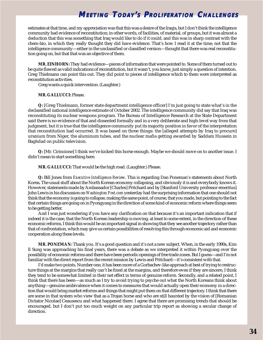estimates at that time, and my appreciation was that this was a desire of the Iraqis, but I don't think the intelligence community had evidence of reconstitution; in other words, of facilities, of material, of groups, but it was almost a deduction that this was something that Iraq would like to do if it could, and this was in sharp contrast with the chem-bio, in which they really thought they did have evidence. That's how I read it at the time; not that the intelligence community—either in the unclassified or classified version—thought that there was real reconstitution going on, but that that was an objective of them.

**MR. EINHORN:** They had evidence—pieces of information that were pointed to. Some of them turned out to be quite flawed as valid indications of reconstitution, but it wasn't, you know, just simply a question of intention. Greg Thielmann can point this out. They did point to pieces of intelligence which to them were interpreted as reconstitution activities.

Greg wants a quick intervention. (Laughter.)

### **MR. GALLUCCI:** Please.

**Q:** [Greg Thielmann, former state department intelligence officer] I'm just going to state what's in the declassified national intelligence estimate of October 2002. The intelligence community did say that Iraq was reconstituting its nuclear weapons program. The Bureau of Intelligence Research at the State Department said there is no evidence of that and dissented formally and in a very deliberate and high-level way from that judgment, but it is true that the intelligence community put its majority position in favor of the interpretation that reconstitution had occurred. It was based on three things: the [alleged attempts by Iraq to procure] uranium from Niger, the aluminum tubes, and the nuclear mafia getting awarded by Saddam Hussein in Baghdad on public television.

**Q:** [Mr. Cirincione] I think we've kicked this horse enough. Maybe we should move on to another issue. I didn't mean to start something here.

**MR. GALLUCCI:** That would be the high road. (Laughter.) Please.

**Q:** Bill Jones from *Executive Intelligence Review*. This is regarding Dan Poneman's statements about North Korea. The usual stuff about the North Korean economy collapsing, and obviously it is and everybody knows it. However, statements made by Ambassador [Charles] Pritchard and by [Stanford University professor emeritus] John Lewis in his discussion on *Washington Post.com* yesterday had the surprising information that one should not think that the economy is going to collapse, making the same point, of course, that you made, but pointing to the fact that certain things are going on in Pyongyang in the direction of some kind of economic reform where things seem to be getting better.

And I was just wondering if you have any clarification on that because it's an important indication that if indeed it is the case, that the North Korean leadership is moving, at least to some extent, in the direction of these economic reforms, I think this would be an important signal in showing that they see another trajectory rather than that of confrontation, which may give us certain possibilities of resolving this through economic aid and economic cooperation along these levels.

**MR. PONEMAN:** Thank you. It's a good question and it's not a new subject. When, in the early 1990s, Kim Il Sung was approaching his final years, there was a debate as we interpreted it within Pyongyang over the possibility of economic reforms and there have been periodic openings of free trade zones. But I guess—and I'm not familiar with the direct report from the recent mission by Lewis and Pritchard—it's consistent with that.

I'd make two points. Number one, it has been more of a Gorbachev-like approach at best of trying to restructure things at the margins that really can't be fixed at the margins, and therefore even if they are sincere, I think they tend to be somewhat limited in their net effect in terms of genuine reform. Secondly, and a related point, I think that there has been—as much as I try to avoid trying to psyche out what the North Koreans think about anything—genuine ambivalence when it comes to measures that would actually open their economy in a direction that would bring market reforms and things that might put them on that different trajectory. I think that there are some in that system who view that as a Trojan horse and who are still haunted by the vision of [Romanian Dictator Nicolae] Ceausescu and what happened there. I agree that there are promising trends that should be encouraged, but I don't put too much weight on any particular trip report as showing a secular change of direction.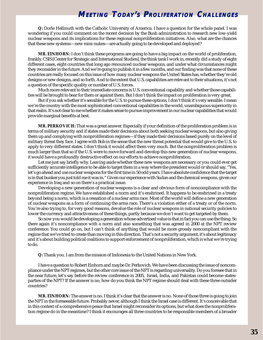**Q:** Dorle Hellmuth with the Catholic University of America. I have a question for the whole panel. I was wondering if you could comment on the recent decision by the Bush administration to research new low-yield nuclear weapons and its implications for these regional nonproliferation initiatives. Also, what are the chances that these new systems—new mini-nukes—are actually going to be developed and deployed?

**MR. EINHORN:** I don't think these programs are going to have a big impact on the world of proliferation, frankly. CSIS [Center for Strategic and International Studies], the think tank I work in, recently did a study of eight different cases, eight countries that long ago renounced nuclear weapons, and under what circumstances might they reconsider in the future. And we're going to publish it in a few months, and our finding was that none of these countries are really focused on this issue of how many nuclear weapons the United States has, whether they're old designs or new designs, and so forth. And to the extent that U.S. capabilities are relevant to their situations, it's not a question of the specific quality or number of U.S. forces.

Much more relevant to their immediate concerns is U.S. conventional capability and whether those capabilities will be brought to bear for them or against them. But I don't think the impact on proliferation is very great.

But if you ask whether it's sensible for the U.S. to pursue these options, I don't think it's very sensible. I mean we're the country with the most sophisticated conventional capabilities in the world, unambiguous superiority in that realm. It's not clear to me whether it makes sense to pursue improvement in our nuclear capabilities that would provide marginal benefits at best.

**MR. PERKOVICH:** That was a great answer. Especially if your definition of the proliferation problem is in terms of military security and if states made their decisions about both seeking nuclear weapons, but also giving them up and complying with nonproliferation regimes—if they made their decisions based purely on the level of military threat they face. I agree with Bob in the sense that the new threat potential that would give to the U.S. to apply to very different states. I don't think it would affect them very much. But the nonproliferation problem is much larger than that so if the U.S. were to move forward and develop this new generation of nuclear weapons, it would have a profoundly destructive effect on our efforts to achieve nonproliferation.

Let me just say briefly why. Leaving aside whether these new weapons are necessary or you could ever get sufficiently accurate intelligence to be able to target them in a way where the president would or should say, "Yes, let's go ahead and use nuclear weapons for the first time in 50 odd years. I have absolute confidence that the target is in that bunker you just told me it was in." Given our experience with Sudan and the chemical weapons, given our experience in Iraq and so on there's a practical issue.

Developing a new generation of nuclear weapons is a clear and obvious form of noncompliance with the nonproliferation regime. We have established a norm and it's enshrined. It happens to be enshrined in a treaty beyond being a norm, which is a cessation of a nuclear arms race. Most of the world will define a new generation of nuclear weapons as a form of continuing the arms race. There's a violation either of a treaty or of the norm. You're also trying to, for very good reasons, devalue the role of nuclear weapons in national security policies to lower the currency and attractiveness of these things, partly because we don't want to get targeted by them.

So now you would be developing a generation whose advertised value is that in fact you can use the thing. So there again it's noncompliance with a norm and also something that was agreed in 2000 at the NPT review conference. You could go on, but I can't think of anything that would be more grossly noncompliant with the regime that we've tried to create than moving in this direction. That's not a security argument, it's about legitimacy and it's about building political coalitions to support enforcement of nonproliferation, which is what we're trying to do.

**Q:** Thank you. I am from the mission of Indonesia to the United Nations in New York.

I have a question to Robert Einhorn and maybe Dr. Perkovich. We have been discussing the issue of noncompliance under the NPT regimes, but the other core issue of the NPT is regarding universality. Do you foresee that in the near future, let's say before the review conference in 2005, Israel, India, and Pakistan could become statesparties of the NPT? If the answer is no, how do you think the NPT regime should deal with these three outsider countries?

**MR. EINHORN:** The answer is no. I think it's clear that the answer is no. None of those three is going to join the NPT in the foreseeable future. Probably never, although I think the Israel case is different. It's conceivable that in this context of a comprehensive peace that Israel might reconsider its options, but what does the nonproliferation regime do in the meantime? I think it encourages all three countries to be responsible members of a broader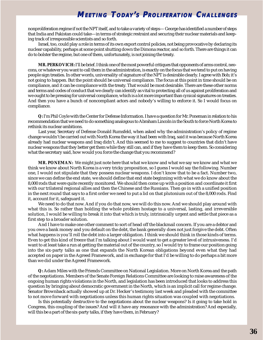nonproliferation regime if not the NPT itself, and to take a variety of steps— George has identified a number of steps that India and Pakistan could take—in terms of strategic restraint and securing their nuclear materials and keeping track of irresponsible scientists and so forth.

Israel, too, could play a role in terms of its own export control policies, not being provocative by declaring its nuclear capability, perhaps at some point shutting down the Dimona reactor, and so forth. There are things it can do to bolster the regime, but one of them, unfortunately, is not joining the treaty.

**MR. PERKOVICH:** I'll be brief. I think one of the most powerful critiques that opponents of arms control, neocons, or whatever you want to call them in the administration, is exactly on the focus that we tend to put on having people sign treaties. In other words, universality of signature of the NPT is desirable clearly. I agree with Bob; it's not going to happen. But the point should be universal compliance. The focus at this point in time should be on compliance, and it can be compliance with the treaty. That would be most desirable. There are these other norms and terms and codes of conduct that we clearly can identify as vital to protecting all of us against proliferation and we ought to be pressing for universal compliance, which is a lot more important than cynical signatures on treaties. And then you have a bunch of noncompliant actors and nobody's willing to enforce it. So I would focus on compliance.

**Q:** I'm Phil Coyle with the Center for Defense Information. I have a question for Mr. Poneman in relation to his recommendation that we need to do something analogous to Abraham Lincoln in the South to force North Korea to rethink its nuclear ambitions.

Last year, Secretary of Defense Donald Rumsfeld, when asked why the administration's policy of regime change wouldn't be carried out with North Korea the way it had been with Iraq, said it was because North Korea already had nuclear weapons and Iraq didn't. And this seemed to me to suggest to countries that didn't have nuclear weapons that they better get them while they still can, and if they have them to keep them. So considering what the secretary said, how would you force the change that you recommend?

**MR. PONEMAN:** We might just note here that what we know and what we say we know and what we think we know about North Korea is a very tricky proposition, so I guess I would say the following. Number one, I would not stipulate that they possess nuclear weapons. I don't know that to be a fact. Number two, since we can define the end state, we should define that end state beginning with what we do know about the 8,000 rods that were quite recently monitored. We should then come up with a position and coordinate it first with our trilateral regional allies and then the Chinese and the Russians. Then go in with a unified position in the next round that says to a first order we need to put a lid on that plutonium out of the 8,000 rods. Find it, account for it, safeguard it.

We need to do that now. And if you do that now, we will do this now. And we should play around with what this is. So rather than holding the whole problem hostage to a universal, lasting, and irreversible solution, I would be willing to break it into that which is truly, intrinsically urgent and settle that piece as a first step to a broader solution.

And I have to make one other comment to sort of head off the blackmail concern. If you are a debtor and you owe a bank money and you default on the debt, the bank generally does not just forgive the debt. Often what happens is you'll roll the debt into a larger obligation. I think we should think in those kinds of terms. Even to get this kind of freeze that I'm talking about I would want to get a greater level of intrusiveness. I'd want to at least take a run at getting the material out of the country, so I would try to frame our position going into the six-party talks as one that expands the North Korean obligations beyond even what they had accepted on paper in the Agreed Framework, and in exchange for that I'd be willing to do perhaps a bit more than we did under the Agreed Framework.

**Q:** Adam Miles with the Friends Committee on National Legislation. More on North Korea and the path of the negotiations. Members of the Senate Foreign Relations Committee are looking to raise awareness of the ongoing human rights violations in the North, and legislation has been introduced that looks to address this question by bringing about democratic government in the North, which is an implicit call for regime change. Senator Brownback actually showed up at Dr. Hecker's testimony last week and pleaded with the committee to not move forward with negotiations unless this human rights situation was coupled with negotiations.

Is this potentially destructive to the negotiations about the nuclear weapons? Is it going to take hold in Congress, this coupling of the issues? And will it have any resonance with the administration? And especially, will this be a part of the six-party talks, if they have them, in February?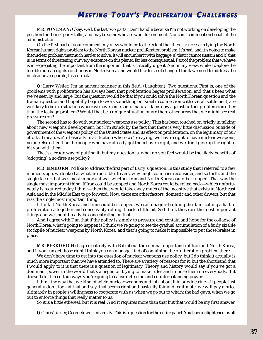### **MEETING TODAY'S PROLIFERATION CHALLENGES**

**MR. PONEMAN:** Okay, well, the last two parts I can't handle because I'm not working on developing the position for the six-party talks, and maybe some who are want to comment. Nor can I comment on behalf of the administration.

On the first part of your comment, my view would be to the extent that there is success in tying the North Korean human rights problem to the North Korean nuclear proliferation problem, it's bad, and it's going to make the nuclear problem that much harder to solve. It will encumber it with baggage, a) that it cannot sustain and b) that is, in terms of threatening our very existence on this planet, far less consequential. Part of the problem that we have is in segregating the important from the important that is critically urgent. And in my view, while I deplore the terrible human rights conditions in North Korea and would like to see it change, I think we need to address the nuclear on a separate, faster track.

**Q:** Larry Weiler. I'm an ancient mariner in this field. (Laughter.) Two questions. First is, one of the problems with proliferation has always been that proliferation begets proliferation, and that's been what we've seen by and large. But the question would be that if you could solve the North Korean question and the Iranian question and hopefully begin to work something on Israel in connection with overall settlement, are we likely to be in a situation where we have some sort of natural dams now against further proliferation other than the leakage problem? Would that be a unique situation or are there other areas that we might see real pressures on?

The second has to do with our nuclear weapons use policy. This has been touched on briefly in talking about new weapons development, but I'm struck by the fact that there is very little discussion outside of government of the weapons policy of the United States and its effect on proliferation, on the legitimacy of our efforts. I mean, we're basically in a situation where we're saying, we have a right to have nuclear weapons; no one else other than the people who have already got them have a right, and we don't give up the right to hit you with them.

That's a crude way of putting it, but my question is, what do you feel would be the likely benefits of [adopting] a no-first-use policy?

**MR. EINHORN:** I'd like to address the first part of Larry's question. In this study that I referred to a few moments ago, we looked at what are possible drivers, why might countries reconsider, and so forth, and the single factor that was most important was whether Iran and North Korea could be stopped. That was the single most important thing. If Iran could be stopped and North Korea could be rolled back—which unfortunately is required today I think—then that would take away much of the incentive that exists in Northeast Asia and in the Middle East to go forward. Now, there are other factors, domestic and other drivers, but that was the single most important thing.

I think if North Korea and Iran could be stopped, we can imagine building the dam; calling a halt to proliferation altogether and conceivably rolling it back a little bit. So I think those are the most important things and we should really be concentrating on that.

And I agree with Dan that if the policy is simply to pressure and contain and hope for the collapse of North Korea, what's going to happen is I think we're going to see the gradual accumulation of a fairly sizable stockpile of nuclear weapons by North Korea, and that's going to make it impossible to put those brakes in place.

**MR. PERKOVICH:** I agree entirely with Bob about the seminal importance of Iran and North Korea, and if you can get those right I think you can manage kind of containing the proliferation problem there.

We don't have time to get into the question of nuclear weapons use policy, but I do think it actually is much more important than we have attended to. There are a variety of reasons for it, but the shorthand that I would apply to it is that there is a question of legitimacy. Theory and history would say if you've got a dominant power in the world that's a hegemon trying to make rules and impose them on everybody. If it doesn't do it in certain ways you're going to cause defection and counterbalancing power.

I think the way that we kind of wield nuclear weapons and talk about it in our doctrine—if people just generally don't look at that and say, that seems right and basically fair and legitimate, we will pay a price ultimately in people's willingness to cooperate with us when we go out to whack the bad guys; when we go out to enforce things that really matter to us.

So it is a little ethereal, but it is real. And it requires more than that but that would be my first answer.

**Q:** Chris Turner, Georgetown University. This is a question for the entire panel. You have enlightened us all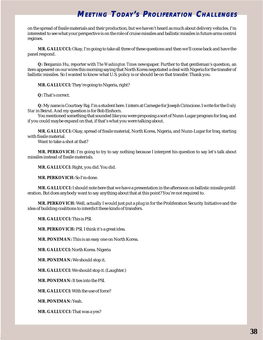## **MEETING TODAY'S PROLIFERATION CHALLENGES**

on the spread of fissile materials and their production, but we haven't heard as much about delivery vehicles. I'm interested to see what your perspective is on the role of cruise missiles and ballistic missiles in future arms control regimes.

**MR. GALLUCCI:** Okay, I'm going to take all three of these questions and then we'll come back and have the panel respond.

**Q:** Benjamin Hu, reporter with *The Washington Times* newspaper. Further to that gentleman's question, an item appeared on our wires this morning saying that North Korea negotiated a deal with Nigeria for the transfer of ballistic missiles. So I wanted to know what U.S. policy is or should be on that transfer. Thank you.

**MR. GALLUCCI:** They're going to Nigeria, right?

**Q:** That's correct.

**Q:** My name is Courtney Raj. I'm a student here. I intern at Carnegie for Joseph Cirincione. I write for the *Daily Star* in Beirut. And my question is for Bob Einhorn.

You mentioned something that sounded like you were proposing a sort of Nunn-Lugar program for Iraq, and if you could maybe expand on that, if that's what you were talking about.

**MR. GALLUCCI:** Okay, spread of fissile material, North Korea, Nigeria, and Nunn-Lugar for Iraq, starting with fissile material.

Want to take a shot at that?

**MR. PERKOVICH:** I'm going to try to say nothing because I interpret his question to say let's talk about missiles instead of fissile materials.

**MR. GALLUCCI:** Right, you did. You did.

**MR. PERKOVICH:** So I'm done.

**MR. GALLUCCI:** I should note here that we have a presentation in the afternoon on ballistic missile proliferation. But does anybody want to say anything about that at this point? You're not required to.

**MR. PERKOVICH:** Well, actually I would just put a plug in for the Proliferation Security Initiative and the idea of building coalitions to interdict these kinds of transfers.

**MR. GALLUCCI:** This is PSI.

**MR. PERKOVICH:** PSI. I think it's a great idea.

**MR. PONEMAN:** This is an easy one on North Korea.

**MR. GALLUCCI:** North Korea. Nigeria

**MR. PONEMAN:** We should stop it.

**MR. GALLUCCI:** We should stop it. (Laughter.)

**MR. PONEMAN:** It ties into the PSI.

**MR. GALLUCCI:** With the use of force?

**MR. PONEMAN:** Yeah.

**MR. GALLUCCI:** That was a yes?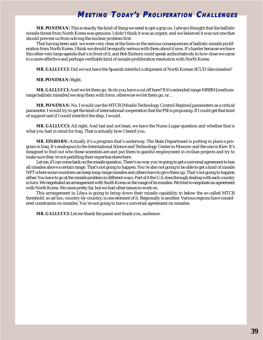## **MEETING TODAY'S PROLIFERATION CHALLENGES**

**MR. PONEMAN:** This is exactly the kind of thing we need to get a grip on. I always thought that the ballistic missile threat from North Korea was genuine. I didn't think it was as urgent, and we believed it was not one that should prevent us from solving the nuclear problem first.

That having been said, we were very clear at the time on the serious consequences of ballistic missile proliferation from North Korea. I think we should be equally serious with them about it now. It's harder because we have this other very large agenda that's in front of it, and Bob Einhorn could speak authoritatively to how close we came to a more effective and perhaps verifiable kind of missile proliferation resolution with North Korea.

**MR. GALLUCCI:** Did we not have the Spanish interdict a shipment of North Korean SCUD-like missiles?

**MR. PONEMAN:** Right.

**MR. GALLUCCI:** And we let them go. So do you have a cut off here? If it's extended range MRBM [mediumrange ballistic missiles] we stop them with force, otherwise we let them go, or…

**MR. PONEMAN:** No. I would use the MTCR [Missile Technology Control Regime] parameters as a critical parameter. I would try to get the kind of international cooperation that the PSI is proposing. If I could get that kind of support and if I could interdict the ship, I would.

**MR. GALLUCCI:** All right. And last and not least, we have the Nunn-Lugar question and whether that is what you had in mind for Iraq. That is actually how I heard you.

**MR. EINHORN:** Actually it's a program that's underway. The State Department is putting in place a program in Iraq. It's analogous to the International Science and Technology Center in Moscow and the one in Kiev. It's designed to find out who these scientists are and put them to gainful employment in civilian projects and try to make sure they're not peddling their expertise elsewhere.

Let me, if I can come back on the missile question. There's no way you're going to get a universal agreement to ban all missiles above a certain range. That's not going to happen. You're also not going to be able to get a kind of missile NPT where some countries can keep long-range missiles and others have to give them up. That's not going to happen either. You have to go at the missile problem in different ways. Part of it the U.S. does through dealing with each country in turn. We negotiated an arrangement with South Korea on the range of its missiles. We tried to negotiate an agreement with North Korea. We came pretty far, but we had other issues to work on.

This arrangement in Libya is going to bring down their missile capability to below the so-called MTCR threshold, so ad hoc, country-by-country, is one element of it. Regionally is another. Various regions have considered constraints on missiles. You're not going to have a universal agreement on missiles.

**MR. GALLUCCI:** Let me thank the panel and thank you, audience.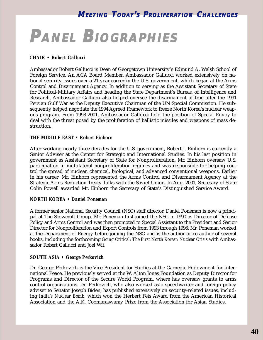# **PANEL BIOGRAPHIES IOGRAPHIES**

#### *CHAIR • Robert Gallucci*

Ambassador Robert Gallucci is Dean of Georgetown University's Edmund A. Walsh School of Foreign Service. An ACA Board Member, Ambassador Gallucci worked extensively on national security issues over a 21-year career in the U.S. government, which began at the Arms Control and Disarmament Agency. In addition to serving as the Assistant Secretary of State for Political-Military Affairs and heading the State Department's Bureau of Intelligence and Research, Ambassador Gallucci also helped oversee the disarmament of Iraq after the 1991 Persian Gulf War as the Deputy Executive Chairman of the UN Special Commission. He subsequently helped negotiate the 1994 Agreed Framework to freeze North Korea's nuclear weapons program. From 1998-2001, Ambassador Gallucci held the position of Special Envoy to deal with the threat posed by the proliferation of ballistic missiles and weapons of mass destruction.

#### *THE MIDDLE EAST • Robert Einhorn*

After working nearly three decades for the U.S. government, Robert J. Einhorn is currently a Senior Adviser at the Center for Strategic and International Studies. In his last position in government as Assistant Secretary of State for Nonproliferation, Mr. Einhorn oversaw U.S. participation in multilateral nonproliferation regimes and was responsible for helping control the spread of nuclear, chemical, biological, and advanced conventional weapons. Earlier in his career, Mr. Einhorn represented the Arms Control and Disarmament Agency at the Strategic Arms Reduction Treaty Talks with the Soviet Union. In Aug. 2001, Secretary of State Colin Powell awarded Mr. Einhorn the Secretary of State's Distinguished Service Award.

#### *NORTH KOREA • Daniel Poneman*

A former senior National Security Council (NSC) staff director, Daniel Poneman is now a principal at The Scowcroft Group. Mr. Poneman first joined the NSC in 1990 as Director of Defense Policy and Arms Control and was then promoted to Special Assistant to the President and Senior Director for Nonproliferation and Export Controls from 1993 through 1996. Mr. Poneman worked at the Department of Energy before joining the NSC and is the author or co-author of several books, including the forthcoming *Going Critical: The First North Korean Nuclear Crisis* with Ambassador Robert Gallucci and Joel Wit.

#### *SOUTH ASIA • George Perkovich*

Dr. George Perkovich is the Vice President for Studies at the Carnegie Endowment for International Peace. He previously served at the W. Alton Jones Foundation as Deputy Director for Programs and Director of the Secure World Program, where has oversaw grants to arms control organizations. Dr. Perkovich, who also worked as a speechwriter and foreign policy adviser to Senator Joseph Biden, has published extensively on security-related issues, including *India's Nuclear Bomb*, which won the Herbert Feis Award from the American Historical Association and the A.K. Coomaraswamy Prize from the Association for Asian Studies.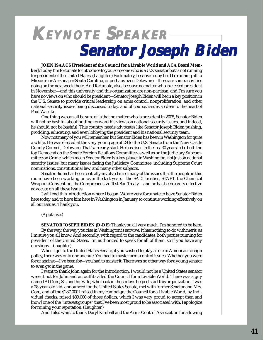## **KEYNOTE SPEAKER Senator Joseph Biden Senator Joseph Biden**

#### **JOHN ISAACS [President of the Council for a Livable World and ACA Board Mem-**

**ber]:** Today I'm fortunate to introduce to you someone who is a U.S. senator but is not running for president of the United States. (Laughter.) Fortunately, because today he'd be running off to Missouri or Arizona, or South Carolina, or perhaps even Delaware—there are some activities going on the next week there. And fortunate, also, because no matter who is elected president in November—and this university and this organization are non-partisan, and I'm sure you have no views on who should be president—Senator Joseph Biden will be in a key position in the U.S. Senate to provide critical leadership on arms control, nonproliferation, and other national security issues being discussed today, and of course, issues so dear to the heart of Paul Warnke.

One thing we can all be sure of is that no matter who is president in 2005, Senator Biden will not be bashful about putting forward his views on national security issues, and indeed, he should not be bashful. This country needs advocates like Senator Joseph Biden pushing, prodding, educating, and even lobbying the president and his national security team.

Now not many of you will remember, but Senator Biden has been in Washington for quite a while. He was elected at the very young age of 29 to the U.S. Senate from the New Castle County Council, Delaware. That's an early start. He has risen in the last 30 years to be both the top Democrat on the Senate Foreign Relations Committee as well as on the Judiciary Subcommittee on Crime, which mean Senator Biden is a key player in Washington, not just on national security issues, but many issues facing the Judiciary Committee, including Supreme Court nominations, constitutional law, and many other subjects.

Senator Biden has been centrally involved in so many of the issues that the people in this room have been working on over the last years—the SALT treaties, START, the Chemical Weapons Convention, the Comprehensive Test Ban Treaty—and he has been a very effective advocate on all these issues.

I will end this introduction where I began. We are very fortunate to have Senator Biden here today and to have him here in Washington in January to continue working effectively on all our issues. Thank you.

(Applause.)

**SENATOR JOSEPH BIDEN (D-DE):** Thank you all very much. I'm honored to be here. By the way, the way you rise in Washington is survive. It has nothing to do with merit, as I'm sure you all know. And secondly, with regard to the candidates, both parties running for president of the United States, I'm authorized to speak for all of them, so if you have any questions…(laughter).

When I got to the United States Senate, if you wished to play a role in American foreign policy, there was only one avenue. You had to master arms control issues. Whether you were for or against—I've been for—you had to master it. There was no other way for a young senator to even get in the game.

I want to thank John again for the introduction. I would not be a United States senator were it not for John and an outfit called the Council for a Livable World. There was a guy named Al Gore, Sr., and his wife, who back in those days helped start this organization. I was a 28-year-old kid, announced for the United States Senate, met with former Senator and Mrs. Gore, and of the \$287,000 I raised in my campaign, the Council for a Livable World, by individual checks, raised \$89,000 of those dollars, which I was very proud to accept then and [now] one of the "interest groups" that I've been most proud to be associated with. I apologize for ruining your reputation. (Laughter.)

And I also want to thank Daryl Kimball and the Arms Control Association for allowing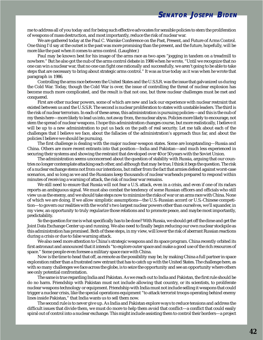me to address all of you today and for being such effective advocates for sensible policies to stem the proliferation of weapons of mass destruction, and most importantly, reduce the risk of nuclear war.

We are gathered today at the Paul C. Warnke Conference on the Past, Present, and Future of Arms Control. One thing I'd say at the outset is the past was more promising than the present, and the future, hopefully, will be more like the past when it comes to arms control. (Laughter.)

Paul may be known best for his image of the arms race as two apes "jogging in tandem on a treadmill to nowhere." But he also got the nub of the arms control debate in 1986 when he wrote, "Until we recognize that no one can win a nuclear war, that no one can fight one rationally and successfully, we aren't going to be able to take steps that are necessary to bring about strategic arms control." It was as true today as it was when he wrote that paragraph in 1986.

Controlling the arms race between the United States and the U.S.S.R. was the issue that galvanized us during the Cold War. Today, though the Cold War is over, the issue of controlling the threat of nuclear explosion has become much more complicated, and the result is that not one, but three nuclear challenges must be met and conquered.

First are other nuclear powers, some of which are new and lack our experience with nuclear restraint that existed between us and the U.S.S.R. The second is nuclear proliferation to states with unstable leaders. The third is the risk of nuclear terrorism. In each of these areas, this administration is pursuing policies—and this is the nub of my thesis here—more likely to lead us into, not away from, the nuclear abyss. Policies more likely to encourage, not stem the spread of nuclear weapons. I hope this administration changes course, but more realistically, I believe it will be up to a new administration to put us back on the path of real security. Let me talk about each of the challenges that I believe we face, about the fallacies of the administration's approach thus far, and about the policies I believe we should be pursuing.

The first challenge is dealing with the major nuclear-weapon states. Some are longstanding—Russia and China. Others are more recent entrants into that position—India and Pakistan—and much less experienced in securing their systems and showing the restraint that developed over 40 or 50 years with the Soviet Union.

The administration seems unconcerned about the question of stability with Russia, arguing that our countries no longer contemplate attacking each other, and although that may be true, I think it begs the question. The risk of a nuclear exchange stems not from our intentions, but rather from the fact that armies defend against worst-case scenarios, and so long as we and the Russians keep thousands of nuclear warheads prepared to respond within minutes of receiving a warning of attack, the risk of nuclear war remains.

We still need to ensure that Russia will not fear a U.S. attack, even in a crisis, and even if one of its radars reports an ambiguous signal. We must also combat the tendency of some Russian officers and officials who still view us as the enemy, and we should take steps now to minimize the risks of war or an arms race with China. None of which we are doing. If we allow simplistic assumptions—the U.S.-Russian accord or U.S.-Chinese competition—to govern our realities with the world's two largest nuclear powers other than ourselves, we'll squander, in my view, an opportunity to truly regularize those relations and to promote peace, and maybe most importantly, predictability.

So the question for me is what specifically has to be done? With Russia, we should get off the dime and get the Joint Data Exchange Center up and running. We also need to finally begin reducing our own nuclear stockpile as this administration has promised. Both of these steps, in my view, will lower the risk of aberrant Russian reactions during a crisis or due to false warning attack.

We also need more attention to China's strategic weapons and its space program. China recently orbited its first astronaut and announced that it intends "to explore outer space and make a good use of the rich resources of space." Some people even foresee a military space race with China.

Now is the time to head that off, as remote as the possibility may be, by making China a full partner in space exploration rather than a frustrated new entrant that has to catch up with the United States. The challenge here, as with so many challenges we face across the globe, is to seize the opportunity and see an opportunity where others see only potential confrontation.

The same is true regarding India and Pakistan. As we reach out to India and Pakistan, the first rule should be do no harm. Friendship with Pakistan must not include allowing that country, or its scientists, to proliferate nuclear weapons technology or equipment. Friendship with India must not include selling it weapons that could trigger a nuclear crisis, like the special operations equipment "to attack terrorist troops operating behind enemy lines inside Pakistan," that India wants us to sell them now.

The second rule is to never give up. As India and Pakistan explore ways to reduce tensions and address the difficult issues that divide them, we must do more to help them avoid that conflict—a conflict that could easily spiral out of control into a nuclear exchange. This might include assisting them to control their borders—a project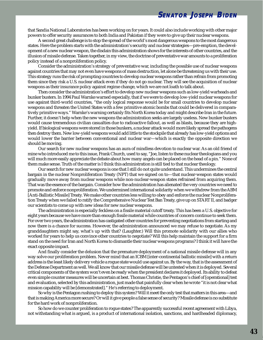that Sandia National Laboratories has been working on for years. It could also include working with other major powers to offer security assurances to both India and Pakistan if they were to give up their nuclear weapons.

A second great challenge is to stop the spread of the world's most dangerous weapons to the most dangerous states. Here the problem starts with the administration's security and nuclear strategies—pre-emption, the development of a new nuclear weapon, the disdain this administration shows for the interests of other countries, and the illusion of missile defense. Taken together, in my view, the doctrine of preventative war amounts to a proliferation policy instead of a nonproliferation policy.

Consider the administration's strategy of preventative war, including the possible use of nuclear weapons against countries that may not even have weapons of mass destruction, let alone be threatening us with their use. This strategy runs the risk of prompting countries to develop nuclear weapons rather than refrain from promoting them since they risk a U.S. nuclear attack even if they do not go nuclear. They will see the acquisition of nuclear weapons as their insurance policy against regime change, which we are not loath to talk about.

Then consider the administration's effort to develop new nuclear weapons such as low-yield warheads and bunker busters. In 1994 Paul Warnke warned especially, that if we were to develop low-yield nuclear weapons for use against third-world countries, "the only logical response would be for small countries to develop nuclear weapons and threaten the United States with a few primitive atomic bombs that could be delivered in comparatively primitive ways." Warnke's warning certainly fits North Korea today and might describe Iran in the future. Further, it doesn't help when the new weapons the administration seeks are largely useless. New bunker busters would cause tremendous civilian casualties due to radioactive fallout, as well as blasts, because they are highyield. If biological weapons were stored in those bunkers, a nuclear attack would more likely spread the pathogens then destroy them. New low-yield weapons would add little to the stockpile that already has low-yield options and would lower the barrier between conventional and nuclear war—which is exactly the opposite direction we should be moving.

Our search for new nuclear weapons has an aura of mindless devotion to nuclear war. As an old friend of mine who introduced me to this issue, Frank Church, used to say, "Joe, listen to these nuclear theologians and you will much more easily appreciate the debate about how many angels can be placed on the head of a pin." None of them make sense. Truth of the matter is I think this administration is still tied to that nuclear theology.

Our search for new nuclear weapons is one that I still do not quite understand. This undermines the central bargain in the nuclear Nonproliferation Treaty (NPT) that we signed on to—that nuclear-weapon states would gradually move away from nuclear weapons while non-nuclear-weapon states refrained from acquiring them. That was the essence of the bargain. Consider how the administration has alienated the very countries we need to promote and enforce nonproliferation. We undermined international solidarity when we withdrew from the ABM [Anti-Ballistic Missile] Treaty. We make other countries less willing to obey and enforce the nuclear Nonproliferation Treaty when we failed to ratify the Comprehensive Nuclear Test Ban Treaty, give up on START II, and badger our scientists to come up with new ideas for new nuclear weapons.

The administration is especially feckless on a fissile material cutoff treaty. This has been a U.S. objective for eight years because we have more than enough fissile material while countries of concern continue to seek them. For over two years, the administration has castigated other countries for preventing negotiations from starting and now there is a chance for success. However, the administration announced we may refuse to negotiate. As my granddaughters might say, what's up with that? (Laughter.) Will this promote solidarity with our allies who worked for years to help us convince other countries to negotiate? Will this help maintain the support for a firm stand on the need for Iran and North Korea to dismantle their nuclear weapons programs? I think it will have the exact opposite impact.

And finally consider the delusion that the premature deployment of a national missile defense will in any way solve our proliferation problem. Never mind that an ICBM [inter-continental ballistic missile] with a return address is the least likely delivery vehicle a rogue state would use against us. By the way, that is the assessment of the Defense Department as well. We all know that our missile defense will be untested when it is deployed. Several critical components of the system won't even be ready when the president declares it deployed. Its ability to defeat even simple counter measures will be uncertain at best. Thomas Christie, the Pentagon's chief of [operational] test and evaluation, selected by this administration, just made that painfully clear when he wrote "it is not clear what mission capability will be [demonstrated]." He's referring to deployment.

So why is the Pentagon rushing to deploy this system? Will it meet the only test that matters in this area—and that is making America more secure? Or will it give people a false sense of security? Missile defense is no substitute for the hard work of nonproliferation.

So how do we counter proliferation to rogue states? The apparently successful recent agreement with Libya, not withstanding what is argued, is a product of international isolation, sanctions, and hardheaded diplomacy,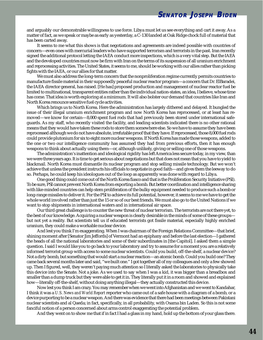and arguably our demonstrable willingness to use force. Libya must let us see everything and cart it away. As a matter of fact, as we speak or maybe as early as yesterday, a C-130 landed at Oak Ridge chock full of material that has been carted away.

It seems to me what this shows is that negotiations and agreements are indeed possible with countries of concern—even ones with mercurial leaders who have supported terrorism and terrorists in the past. Iran recently signed the additional protocol letting the IAEA conduct more inspections, which is a very vital step. But the IAEA and the developed countries must now be firm with Iran on the terms of its suspension of all uranium enrichment and reprocessing activities. The United States, it seems to me, should be working with our allies rather than picking fights with the IAEA, or our allies for that matter.

We must also address the long-term concern that the nonproliferation regime currently permits countries to manufacture fissile material in their supposedly peaceful nuclear reactor program—a concern that Dr. ElBaradei, the IAEA director general, has raised. [He has] proposed production and management of nuclear reactor fuel be limited to multinational, transparent entities rather than the individual nation-states, an idea, I believe, whose time has come. That idea is worth exploring at a minimum. It will also bolster our demand that countries like Iran and North Korea renounce sensitive fuel cycle activities.

Which brings us to North Korea. Here the administration has largely dithered and delayed. It bungled the issue of their illegal uranium enrichment program and now North Korea has reprocessed, or at least has removed—we know for certain—8,000 spent fuel rods that had previously been stored under international safeguards. As my staff, who recently visited the facility, and leading scientists indicated there is no other rational means that they would have taken these rods to store them somewhere else. So we have to assume they have been reprocessed although we do not have absolute, irrefutable proof that they have. If reprocessed, those 8,000 fuel rods could provide plutonium for six to eight more nuclear weapons. If North Korea has made those weapons, added to the one or two our intelligence community has assumed they had from previous efforts, then it has enough weapons to think about actually using them—or, although unlikely, giving or selling one of those weapons.

The administration's inattention and ideological rigidity has left America less secure today, in my view, than we were three years ago. It is time to get serious about negotiations but that does not mean that you have to yield to blackmail. North Korea must dismantle its nuclear program and stop selling missile technology. But we won't achieve that unless the president instructs his officials to negotiate in good faith—and gives them the leeway to do so. Perhaps, he could keep his ideologues out of the loop as apparently was done with regard to Libya.

One good thing could come out of the North Korea fiasco and that is the Proliferation Security Initiative (PSI). To be sure, PSI cannot prevent North Korea from exporting a bomb. But better coordination and intelligence sharing with like-minded countries can help stem proliferation of the bulky equipment needed to produce such a bomb or long-range missiles to deliver it. For the PSI to achieve its full potential, however, it seems to me we have to get the whole world involved rather than just the 15 or so of our best friends. We must also go to the United Nations if we want to stop shipments in international waters and in international air space.

Our third great challenge is to counter the new threat of nuclear terrorism. The terrorists are not there yet, to the best of our knowledge. Acquiring a nuclear weapon is clearly desirable in the minds of some of these groups but not yet a reality. But scientists tell us if educated terrorists got fissile material, especially highly enriched uranium, they could make a workable nuclear device.

And lest you think I'm exaggerating. When I was chairman of the Foreign Relations Committee—that brief, shining moment after [Senator Jim Jeffords] of Vermont had an epiphany and before the last election—I gathered the heads of all the national laboratories and some of their subordinates in [the Capitol]. I asked them a simple question. I said I would like you to go back to your laboratory and try to assume for a moment you are a relatively informed terrorist group with access to some nuclear scientists. Could you build, off-the-shelf, a nuclear device? Not a dirty bomb, but something that would start a nuclear reaction—an atomic bomb. Could you build one? They came back several months later and said, "we built one." I got together all of my colleagues and only a few showed up. Then I figured, well, they weren't paying much attention so I literally asked the laboratories to physically take this device into the Senate. Not a joke. As we used to say when I was a kid, it was bigger than a breadbox and smaller than a dump truck but they were able to get it in. They literally put it in a room and showed and explained how—literally off-the-shelf, without doing anything illegal—they actually constructed this device.

Now lest you think I am crazy. You may remember when we went into Afghanistan and we went to Kandahar, I think it was a *U.S. News and World Report* reporter who came out of a safe house with a diagram of a bomb, or a device purporting to be a nuclear weapon. And there was evidence that there had been meetings between Pakistani nuclear scientists and al Qaeda; in fact, specifically, in all probability, with Osama bin Laden. So this is not some fanciful notion of a person concerned about arms control exaggerating the potential problem.

And they went on to show me that if in fact I had a glass in my hand, hold up the bottom of your glass there.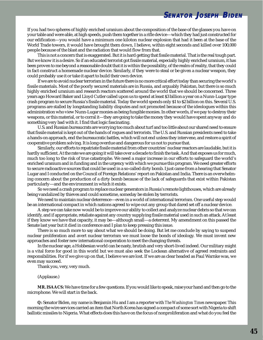If you had two spheres of highly enriched uranium about the composition of the base of the glasses you have on your table and were able, at high speeds, push them together in a rifle device—which they had just constructed for our edification—you would have a minimum one kiloton nuclear explosion that had it been at the base of the World Trade towers, it would have brought them down, I believe, within eight seconds and killed over 100,000 people because of the blast and the radiation that would flow from that.

This is not a concern that is exaggerated. But it is hard getting that fissile material. That is the real tough part. But we know it is a desire. So if an educated terrorist got fissile material, especially highly enriched uranium, it has been proven to me beyond a reasonable doubt that it is within the possibility, of the realm of reality, that they could in fact construct a homemade nuclear device. Similarly, if they were to steal or be given a nuclear weapon, they could probably use it or take it apart to build their own device.

If we are to avoid nuclear terrorism in the future there is no more critical effort today than securing the world's fissile materials. Most of the poorly secured materials are in Russia, and arguably Pakistan, but there is so much highly enriched uranium and research reactors scattered around the world that we should be concerned. Three years ago Howard Baker and Lloyd Cutler called upon us to spend at least \$3 billion a year on a Nunn-Lugar type crash program to secure Russia's fissile material. Today the world spends only \$1 to \$2 billion on this. Several U.S. programs are stalled by longstanding liability disputes and not promoted because of the ideologues within this administration who view Nunn-Lugar monies as being fungible monies. In other words, if we pay to destroy their weapons, or this material, or to corral it—they are going to take the money they would have spent anyway and do something very bad with it. I find that logic fascinating.

U.S. and Russian bureaucrats are worrying too much about turf and too little about our shared need to ensure that fissile material is kept out of the hands of rogues and terrorists. The U.S. and Russian presidents need to take a hands-on approach, end the bureaucratic battles, which will not end unless they intervene, and restore a spirit of cooperative problem solving. It is long overdue and dangerous for us not to pursue that.

Similarly, our efforts to repatriate fissile material from other countries' nuclear reactors are laudable, but it is hardly sufficient. At the rate we are going it will take over a decade to finish the task. And that exposes us for much, much too long to the risk of true catastrophe. We need a major increase in our efforts to safeguard the world's enriched uranium and in funding and in the urgency with which we pursue this program. We need greater efforts to secure radioactive sources that could be used in a so-called dirty bomb. I just came from a hearing that Senator Lugar and I conducted on the Council of Foreign Relations' report on Pakistan and India. There is an overwhelming concern about the production of a dirty bomb because of the lack of safeguards that exist within Pakistan particularly—and the environment in which it exists.

So we need a crash program to replace nuclear generators in Russia's remote lighthouses, which are already being vandalized by thieves and could sometime, someday be stolen by terrorists.

We need to maintain nuclear deterrence—even in a world of international terrorism. One useful step would be an international compact in which nations agreed to wipe out any group that dared set off a nuclear device.

A step we can take now would be to improve our ability to collect and analyze nuclear debris so that we can identify, and if appropriate, retaliate against any country supplying fissile material used in such an attack. At least if they know we have that capacity, it may be—although small—a deterrent. My amendment on this passed the Senate last year but it died in conference and I plan to keep pressing this issue.

There is so much more to say about what we should be doing. But let me conclude by saying to suspend nuclear proliferation and avert nuclear terrorism we must loose the bonds of ideology. We must invent new approaches and foster new international cooperation to meet the changing threats.

In the nuclear age, a Hobbesian world can be nasty, brutish and very short-lived indeed. Our military might is a vital force for good in this world but we must also seek the Lockean alternative of agreed restraints and responsibilities. For if we give up on that, I believe we are lost. If we are as clear headed as Paul Warnke was, we even may succeed.

Thank you, very, very much.

(Applause.)

**MR. ISAACS:** We have time for a few questions. If you would like to speak, raise your hand and then go to the microphone. We will start in the back.

**Q:** Senator Biden, my name is Benjamin Hu and I am a reporter with *The Washington Times* newspaper. This morning the wire services carried an item that North Korea has signed a compact of some sort with Nigeria to shift ballistic missiles to Nigeria. What effects does this have on the focus of nonproliferation and what do you feel the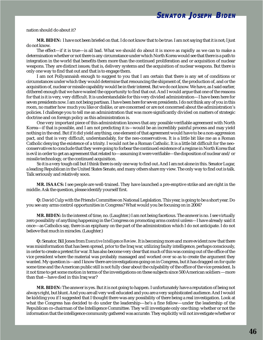nation should do about it?

**MR. BIDEN:** I have not been briefed on that. I do not know that to be true. I am not saying that it is not; I just do not know.

The effect—if it is true—is all bad. What we should do about it is move as rapidly as we can to make a determination whether or not there is any circumstance under which North Korea would see that there is a path to integration in the world that benefits them more than the continued proliferation and or acquisition of nuclear weapons. They are distinct issues; that is, delivery systems and the acquisition of nuclear weapons. But there is only one way to find that out and that is to engage them.

I am not Pollyannaish enough to suggest to you that I am certain that there is any set of conditions or circumstances under which they would determine that renouncing the shipment of, the production of, and or the acquisition of, nuclear or missile capability would be in their interest. But we do not know. We have, as I said earlier, dithered enough that we have wasted the opportunity to find that out. And I would argue that one of the reasons for that is it is very, very difficult. It is understandable for this very divided administration—I have been here for seven presidents now. I am not being partisan. I have been here for seven presidents. I do not think any of you in this room, no matter how much you like or dislike, or are concerned or are not concerned about the administration's policies. I challenge you to tell me an administration that was more significantly divided on matters of strategic doctrine and on foreign policy as this administration is.

One very important piece of this administration knows that any possible verifiable agreement with North Korea—if that is possible, and I am not predicting it is—would be an incredibly painful process and may yield nothing in the end. But if it did yield anything, one element of that agreement would have to be a non-aggression pact, and that is very difficult, understandably, for the neo-conservatives. It is a little bit like me as a Roman Catholic denying the existence of a trinity. I would not be a Roman Catholic. It is a little bit difficult for the neoconservatives to conclude that they were going to forbear the continued existence of a regime in North Korea that is evil in order to get an agreement that related to—assuming it were verifiable—the disposition of nuclear and/or missile technology, or the continued acquisition.

So it is a very tough call but I think there is only one way to find out. And I am not alone in this. Senator Lugar, a leading Republican in the United States Senate, and many others share my view. The only way to find out is talk. Talk seriously and relatively soon.

**MR. ISAACS:** I see people are well-trained. They have launched a pre-emptive strike and are right in the middle. Ask the question, please identify yourself first.

**Q:** David Culp with the Friends Committee on National Legislation. This year, is going to be a short year. Do you see any arms control opportunities in Congress? What would you be focusing on in 2004?

**MR. BIDEN:** In the interest of time, no. (Laughter.) I am not being facetious. The answer is no. I see virtually zero possibility of anything happening in the Congress on promoting arms control unless—I have already said it once—as Catholics say, there is an epiphany on the part of the administration which I do not anticipate. I do not believe that much in miracles. (Laughter.)

**Q:** Senator, Bill Jones from *Executive Intelligence Review*. It is becoming more and more evident now that there was misinformation that has been spread, prior to the Iraq war, utilizing faulty intelligence, perhaps consciously, in order to create a pretext for war. It has also become very clear that much of this was coming out of the office of the vice president where the material was probably massaged and worked over so as to create the argument they wanted. My question is—and I know there are investigations going on in Congress, but it has dragged on for quite some time and the American public still is not fully clear about the culpability of the office of the vice president. Is it not time to get some motion in terms of the investigations on these subjects since 500 American soldiers —more than that—have died in this Iraq war?

**MR. BIDEN:** The answer is yes. But it is not going to happen. I unfortunately have a reputation of being not always right, but blunt. And you are all very well educated and you are a very sophisticated audience. And I would be kidding you if I suggested that I thought there was any possibility of there being a real investigation. Look at what the Congress has decided to do under the leadership—he's a fine fellow—under the leadership of the Republican co-chairman of the Intelligence Committee. They will investigate only one thing: whether or not the information that the intelligence community gathered was accurate. They explicitly will not investigate whether or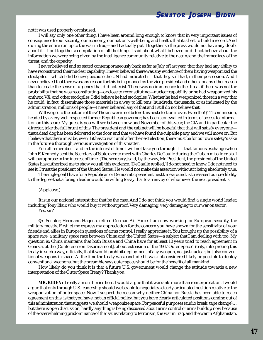**SENATOR J OSEPH BIDEN**

not it was used properly or misused.

I will say only one other thing. I have been around long enough to know that in very important issues of consequence to our security, our economy, our nation's well-being and health, that it is best to build a record. And during the entire run up to the war in Iraq—and I actually put it together so the press would not have any doubt about it—I put together a compilation of all the things I said about what I believed or did not believe about the information we were being given by the intelligence community relative to the nature and the immediacy of the threat, and the capacity.

I never believed and so stated contemporaneously back as far as July of last year, that they had any ability to have reconstituted their nuclear capability. I never believed there was any evidence of them having weaponized the stockpiles—which I did believe, because the UN had indicated it—that they still had, in their possession. And I never believed that there was any reason for this being moved by the vice president and others for any other reason than to create the sense of urgency that did not exist. There was no imminence to the threat if there was not the probability that he was reconstituting—or close to reconstituting—nuclear capability or he had weaponized his anthrax, VX, and other stockpiles. I did believe he had stockpiles. Whether he had weaponized those in a way that he could, in fact, disseminate those materials in a way to kill tens, hundreds, thousands, or as indicated by the administration, millions of people—I never believed any of that and I still do not believe that.

Will we get to the bottom of this? The answer is not before this next election is over. Even the 9/11 commission, headed by a very well respected former Republican governor, has been stonewalled in terms of access to information on this score. My guess is you will see between now and November of this year, the CIA and in particular the director, take the full brunt of this. The president and the cabinet will be hopeful that that will satisfy everyone that a dead dog has been delivered to the door, and that we have found the culpable party and we will move on. But I believe that there must be, even if it has to wait until after the next election, there must be for our own safety's sake in the future a thorough, serious investigation of this matter.

You all remember—and in the interest of time I will not take you through it —that famous exchange when John F. Kennedy sent the Secretary of State over to meet with Charles DeGaulle during the Cuban missile crisis. I will paraphrase in the interest of time. [The secretary] said, by the way, Mr. President, the president of the United States has authorized me to show you all this evidence. [DeGaulle replied,]I do not need to know, I do not need to see it. I trust the president of the United States. He would not make this assertion without it being absolutely true.

The single goal I have for a Republican or Democratic president next time around, is to reassert our credibility to the degree that a foreign leader would be willing to say that to an envoy of whomever the next president is.

#### (Applause.)

It is in our national interest that that be the case. And I do not think you would find a single world leader, including Tony Blair, who would buy it without proof. Very damaging, very damaging to our war on terror. Yes, sir?

**Q:** Senator, Hermann Hagena, retired German Air Force. I am now working for European security, the military mostly. First let me express my appreciation for the concern you have shown for the sensitivity of your friends and allies in Europe in questions of arms control. I really appreciate it. You brought up the possibility of a space race, a military space race between China and the United States—a subject that I am dealing with too. My question is: China maintains that both Russia and China have for at least 10 years tried to reach agreement in Geneva, at the [Conference on Disarmament], about extension of the 1967 Outer Space Treaty, interpreting this treaty in such a way, officially, that it would prohibit deployment of any weapon, not just nuclear, but also conventional weapons in space. At the time the treaty was concluded it was not considered likely or possible to deploy conventional weapons, but the preamble says outer space should be for the benefit of all mankind.

How likely do you think it is that a future U.S. government would change the attitude towards a new interpretation of the Outer Space Treaty? Thank you.

**MR. BIDEN:** I really am on thin ice here. I would argue that it warrants more than reinterpretation. I would argue that only through U.S. leadership should we be able to negotiate a clearly articulated position relative to the weaponization of outer space. Now I suspect the reason why neither China nor Russia has been able to reach agreement on this, is that you have, not an official policy, but you have clearly articulated positions coming out of this administration that suggests we should weaponize space. For peaceful purposes (audio break, tape change)… but there is open discussion, hardly anything is being discussed about arms control or arms buildup now because of the overwhelming predominance of the issues relating to terrorism, the war in Iraq, and the war in Afghanistan.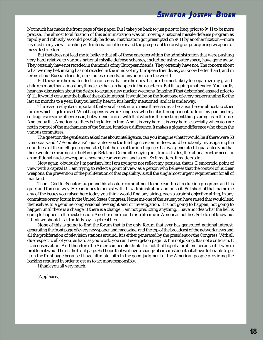Not much has made the front page of the paper. But I take you back to just prior to Iraq, prior to 9/11 to be more precise. The almost total fixation of this administration was on moving a national missile defense program as rapidly and robustly as could possibly be done. That fixation got preempted on 9/11 by another fixation—more justified in my view—dealing with international terror and the prospect of terrorist groups acquiring weapons of mass destruction.

But that does not lead me to believe that all of those energies within the administration that were pushing very hard relative to various national missile defense schemes, including using outer space, have gone away. They certainly have not receded in the minds of my European friends. They certainly have not. The concern about what we may be thinking has not receded in the minds of my European friends, as you know better than I, and in terms of our Russian friends, our Chinese friends, or anyone else in the world.

But these are the unattended-to concerns that are the ones that are the most likely to jeopardize my grandchildren more than almost anything else that can happen in the near term. But it is going unattended. You hardly hear any discussion about the desire to acquire new nuclear weapons. Imagine if that debate had ensued prior to 9/11. It would consume the bulk of the public interest. It would be on the front page of every paper running for the last six months to a year. But you hardly hear it, it is hardly mentioned, and it is underway.

The reason why it so important that you all continue to raise these issues is because there is almost no other fora in which it gets raised. What happens is, we in Congress, whether it is through ineptitude on my part and my colleagues or some other reason, but we tend to deal with that which is the most urgent thing staring us in the face. And today it is American soldiers being killed in Iraq. And it is very hard, it is very hard, especially when you are not in control of the mechanisms of the Senate. It makes a difference. It makes a gigantic difference who chairs the various committees.

The question the gentleman asked me about intelligence; can you imagine what it would be if there were 53 Democrats and 47 Republicans? I guarantee you the Intelligence Committee would be not only investigating the soundness of the intelligence generated, but the use of the intelligence that was generated. I guarantee you that there would be hearings in the Foreign Relations Committee laying out, from all sides, the rationale or the need for an additional nuclear weapon, a new nuclear weapon, and so on. So it matters. It matters a lot.

Now again, obviously I'm partisan, but I am trying to not reflect my partisan, that is, Democratic, point of view with a capital D. I am trying to reflect a point of view as a person who believes that the control of nuclear weapons, the prevention of the proliferation of that capability, is still the single most urgent requirement for all of mankind.

Thank God for Senator Lugar and his absolute commitment to nuclear threat reduction programs and his quiet and forceful way. He continues to persist with this administration and push it. But short of that, name me any of the issues you raised here today you think would find any airing, even a straight objective airing, in any committee or any forum in the United States Congress. Name me one of the issues you have raised that would lend themselves to a genuine congressional oversight and or investigation. It is not going to happen; not going to happen until there is a change, if there is a change. I am not predicting anything. I have no idea what the hell is going to happen in the next election. Another nine months is a lifetime in American politics. So I do not know but I think we should—as the kids say—get real here.

None of this is going to find the forum that is the only forum that ever has generated national interest, generating the front page of every newspaper and magazine, and the top of the broadcast of the network news and all the proliferation of television stations around. It is either generated by the president or the Congress. With all due respect to all of you, as hard as you work, you can't even get on page 12. I'm not joking. It is not a criticism. It is an observation. And therefore the American people think it is not that big of a problem because if it were a problem it would be on the front page. So I hope that we have a change of circumstance that allows to be able to get it on the front page because I have ultimate faith in the good judgment of the American people providing the backing required in order to get us to act more responsibly.

I thank you all very much.

(Applause.)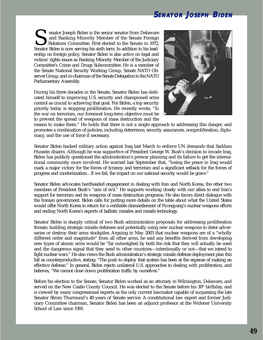## **SENATOR J OSEPH BIDEN**

enator Joseph Biden is the senior senator from Delaware<br>and Ranking Minority Member of the Senate Foreign<br>Relations Committee. First elected to the Senate in 1972,<br>Senator Biden is now serving his sixth term. In addition t and Ranking Minority Member of the Senate Foreign Relations Committee. First elected to the Senate in 1972, ership on foreign policy, Senator Biden is also active on legal and victims' rights issues as Ranking Minority Member of the Judiciary Committee's Crime and Drugs Subcommittee. He is a member of the Senate National Security Working Group, Senate NATO Observer Group, and co-chairman of the Senate Delegation to the NATO Parliamentary Assembly.

During his three decades in the Senate, Senator Biden has dedicated himself to improving U.S. security and championed arms control as crucial to achieving that goal. For Biden, a top security priority today is stopping proliferation. He recently wrote, "In the war on terrorism, our foremost long-term objective must be to prevent the spread of weapons of mass destruction and the



means to make them." He holds that there is not a single approach to addressing this danger, and promotes a combination of policies, including deterrence, security assurances, nonproliferation, diplomacy, and the use of force if necessary.

Senator Biden backed military action against Iraq last March to enforce UN demands that Saddam Hussein disarm. Although he was supportive of President George W. Bush's decision to invade Iraq, Biden has publicly questioned the administration's prewar planning and its failure to get the international community more involved. He warned last September that, "losing the peace in Iraq would mark a major victory for the forces of tyranny and terrorism and a significant setback for the forces of progress and modernization…If we fail, the impact on our national security would be grave."

Senator Biden advocates hardheaded engagement in dealing with Iran and North Korea, the other two members of President Bush's "axis of evil." He supports working closely with our allies to end Iran's support for terrorism and its weapons of mass destruction programs. He also favors direct dialogue with the Iranian government. Biden calls for putting more details on the table about what the United States would offer North Korea in return for a verifiable dismantlement of Pyongyang's nuclear weapons efforts and ending North Korea's exports of ballistic missiles and missile technology.

Senator Biden is sharply critical of two Bush administration proposals for addressing proliferation threats: building strategic missile defenses and potentially using new nuclear weapons to deter adversaries or destroy their arms stockpiles. Arguing in May 2003 that nuclear weapons are of a "wholly different order and magnitude" from all other arms, he said any benefits derived from developing new types of atomic arms would be "far outweighed by both the risk that they will actually be used and the dangerous signal that they send to other countries—intentionally or not—that we intend to fight nuclear wars." He also views the Bush administration's strategic missile defense deployment plan this fall as counterproductive, stating: "The push to deploy that system has been at the expense of making an effective defense." In general, Biden rejects unilateral U.S. approaches to dealing with proliferation, and believes, "We cannot close down proliferation traffic by ourselves."

Before his election to the Senate, Senator Biden worked as an attorney in Wilmington, Delaware, and served on the New Castle County Council. He was elected to the Senate before his 30<sup>th</sup> birthday, and is viewed by many congressional experts as the only current lawmaker capable of surpassing the late Senator Strom Thurmond's 48 years of Senate service. A constitutional law expert and former Judiciary Committee chairman, Senator Biden has been an adjunct professor at the Widener University School of Law since 1991.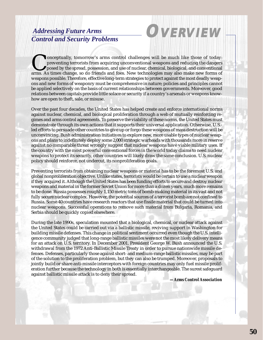## *Addressing Future Arms Control and Security Problems* **OVERVIEW**



Onceptually, tomorrow's arms control challenges will be much like those of today:<br>
preventing terrorists from acquiring unconventional weapons and reducing the dangers<br>
posed by the spread, possession, and use of nuclear, preventing terrorists from acquiring unconventional weapons and reducing the dangers posed by the spread, possession, and use of nuclear, chemical, biological, and conventional weapons possible. Therefore, effective long-term strategies to protect against the most deadly weapons and new forms of weaponry must be comprehensive in nature; policies and principles cannot be applied selectively on the basis of current relationships between governments. Moreover, good relations between capitals provide little solace or security if a country's arsenals or weapons knowhow are open to theft, sale, or misuse.

Over the past four decades, the United States has helped create and enforce international norms against nuclear, chemical, and biological proliferation through a web of mutually reinforcing regimes and arms control agreements. To preserve the viability of these norms, the United States must demonstrate through its own actions that it supports their universal application. Otherwise, U.S. led efforts to persuade other countries to give up or forgo these weapons of mass destruction will be unconvincing. Bush administration initiatives to explore new, more usable types of nuclear weapons and plans to indefinitely deploy some 2,000 strategic warheads with thousands more in reserve against no comparable threat wrongly suggest that nuclear weapons have viable military uses. If the country with the most powerful conventional forces in the world today claims to need nuclear weapons to protect its security, other countries will likely draw the same conclusion. U.S. nuclear policy should reinforce, not undercut, its nonproliferation goals.

Preventing terrorists from obtaining nuclear weapons or material has to be the foremost U.S. and global nonproliferation objective. Unlike states, terrorists would be certain to use a nuclear weapon if they acquired it. Although the United States has been funding efforts to secure and destroy nuclear weapons and material in the former Soviet Union for more than a dozen years, much more remains to be done. Russia possesses roughly 1,150 metric tons of bomb-making material in its vast and not fully secure nuclear complex. However, the potential sources of a terrorist bomb are not confined to Russia. Some 40 countries have research reactors that use fissile material that could be turned into nuclear weapons. Successful operations to remove such material from Bulgaria, Romania, and Serbia should be quickly copied elsewhere.

During the late 1990s, speculation mounted that a biological, chemical, or nuclear attack against the United States could be carried out via a ballistic missile, reviving support in Washington for building missile defenses. This change in political sentiment occurred even though the U.S. intelligence community judged that long-range ballistic missiles were not the most likely delivery means for an attack on U.S. territory. In December 2001, President George W. Bush announced the U.S. withdrawal from the 1972 Anti-Ballistic Missile Treaty in order to pursue nationwide missile defenses. Defenses, particularly those against short- and medium-range ballistic missiles, may be part of the solution to the proliferation problem, but they can also be trumped. Moreover, proposals to jointly build or share anti-missile interceptors with foreign countries may only fuel missile proliferation further because the technology in both is essentially interchangeable. The surest safeguard against ballistic missile attack is to deny their spread.

*—Arms Control Association*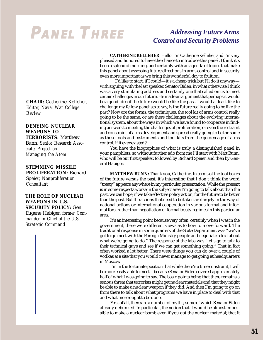# **PANEL THREE** *Addressing Future Arms*

## *Control and Security Problems*

**CATHERINE KELLEHER:** Hello. I'm Catherine Kelleher, and I'm very pleased and honored to have the chance to introduce this panel. I think it's been a splendid morning, and certainly with an agenda of topics that make this panel about assessing future directions in arms control and in security even more important as we bring this wonderful day to fruition.

I'd like to start, if I could—it's a cheap trick but I'll do it anyway with arguing with the last speaker, Senator Biden, in what otherwise I think was a very stimulating address and certainly one that called on us to meet certain challenges in our future. He made an argument that perhaps it would be a good idea if the future would be like the past. I would at least like to challenge my fellow panelists to say, is the future really going to be like the past? Now are the forms, the techniques, the tool kit of arms control really going to be the same, or are there challenges about the evolving international system, about the ways in which we have found to cooperate in finding answers to meeting the challenges of proliferation, or even the restraint and constraint of arms development and spread really going to be the same as those tools and instruments and tool kits from the golden age of arms control, if it ever existed?

You have the biographies of what is truly a distinguished panel in your pamphlets, so without further ado from me I'll start with Matt Bunn, who will be our first speaker, followed by Richard Speier, and then by General Habiger.

**MATTHEW BUNN:** Thank you, Catherine. In terms of the tool boxes of the future versus the past, it's interesting that I don't think the word "treaty" appears anywhere in my particular presentation. While the present is in some respects worse in the subject area I'm going to talk about than the past, we can hope, if we take effective policy action, for the future to be better than the past. But the actions that need to be taken are largely in the way of national actions or international cooperation in various formal and informal fora, rather than negotiation of formal treaty regimes in this particular area.

It's an interesting point because very often, certainly when I was in the government, there were different views as to how to move forward. The traditional response in some quarters of the State Department was "we've got to go meet with the Foreign Ministry people and negotiate a text about what we're going to do." The response at the labs was "let's go to talk to their technical guys and see if we can get something going." That in fact often worked a lot better. There were things you can do over a couple of vodkas at a site that you would never manage to get going at headquarters in Moscow.

I'm in the fortunate position that while there's a time constraint, I will be more easily able to meet it because Senator Biden covered approximately half of what I was going to say. The basic points being that there remains a serious threat that terrorists might get nuclear materials and that they might be able to make a nuclear weapon if they did. And then I'm going to go on from there to talk about what programs we have in place to deal with that and what more ought to be done.

First of all, there are a number of myths, some of which Senator Biden already debunked. In particular, the notion that it would be almost impossible to make a nuclear bomb even if you got the nuclear material; that it

**CHAIR:** Catherine Kelleher, *Editor, Naval War College Review*

**DENYING NUCLEAR WEAPONS TO TERRORISTS:** Matthew Bunn, *Senior Research Associate, Project on Managing the Atom*

**STEMMING MISSILE PROLIFERATION:** Richard Speier, *Nonproliferation Consultant*

**THE ROLE OF NUCLEAR WEAPONS IN U.S. SECURITY POLICY:** Gen. Eugene Habiger, *former Commander in Chief of the U.S. Strategic Command*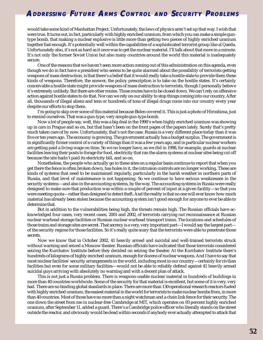would take some kind of Manhattan Project. Unfortunately, the laws of physics aren't set up that way. I wish that were true. It turns out, in fact, particularly with highly enriched uranium, from which you can make a simple guntype bomb, that making a nuclear explosive is little more than getting two pieces of highly enriched uranium together fast enough. It's potentially well within the capabilities of a sophisticated terrorist group like al Qaeda. Unfortunately also, it's not as hard as it once was to get the nuclear material. I'll talk about that more in a minute. It's not only the former Soviet Union but also many countries around the world this material is inadequately secure.

One of the reasons that we haven't seen more action coming out of this administration on this agenda, even though we do in fact have a president who seems to be quite alarmed about the possibility of terrorists getting weapons of mass destruction, is that there's a belief that it would really take a hostile state to provide them these kinds of weapons. Therefore, the answer, the policy prescription is to take on the hostile states. It's certainly conceivable a hostile state might provide weapons of mass destruction to terrorists, though I personally believe it's extremely unlikely. But there are other routes. Those routes have to be closed down. We can't rely on offensive action against hostile states to do that. Nor can we rely on our ability to stop things coming into our country. After all, thousands of illegal aliens and tens or hundreds of tons of illegal drugs come into our country every year despite our efforts to stop them.

I'm going to skip over some of this material because Biden covered it. This is just a photo of Hiroshima, just to remind ourselves. That was a gun-type, very simple gun-type bomb.

Now a lot of people say, well, this was a big deal in the 1990's when highly enriched uranium was showing up in cars in Prague and so on, but that hasn't been on the front pages of the papers lately. Surely that's pretty much taken care of by now. Unfortunately, that's not the case. Russia is a very different place today than it was five or ten years ago. The economy is growing. The government actually has a budget surplus. The government is in significantly firmer control of a variety of things than it was a few years ago, and in particular nuclear workers are getting paid a living wage on time. So we no longer have, as we did in 1998, for example, guards at nuclear facilities leaving their posts to forage for food, electricity that ran the alarm systems at nuclear sites being cut off because the site hadn't paid its electricity bill, and so on.

Nonetheless, the people who actually go to these sites on a regular basis continue to report that when you get there the fence is often broken down, has holes in it, the intrusion controls are no longer working. These are kinds of systems that need to be maintained regularly, particularly in the harsh weather in northern parts of Russia, and that level of maintenance is not happening. So we continue to have serious weaknesses in the security systems—and also in the accounting systems, by the way. The accounting systems in Russia were really designed to make sure that production was within a couple of percent of input at a given facility—so that you were meeting quota—rather than designed to detect theft. And the reality is that no one will ever know how much material has already been stolen because the accounting system isn't good enough for anyone to ever be able to determine that.

But in addition to the vulnerabilities being high, the threats remain high. The Russian officials have acknowledged four cases, very recent cases, 2001 and 2002, of terrorists carrying out reconnaissance at Russian nuclear warhead storage facilities or Russian nuclear warhead transport trains. The locations and schedules of those trains and storage sites are secret. That secrecy is a very, very important part—I would say the largest part of the security regime for those facilities. So it's really quite scary that the terrorists were able to penetrate those secrets.

Now we know that in October 2002, 41 heavily armed and suicidal and well-trained terrorists struck without warning and seized a Moscow theater. Russian officials have indicated that those terrorists considered seizing the Kurchatov Institute before they decided on seizing the theater. At the Kurchatov Institute there's hundreds of kilograms of highly enriched uranium, enough for dozens of nuclear weapons. And I have to say that most nuclear facilities' security arrangements in the world, including most in our country—certainly for civilian facilities but even for some military facilities—would not be able to reliably defend against 41 heavily armed suicidal guys arriving with absolutely no warning and with a decent plan of attack.

This is not just a Russia problem. There is weapons-usable nuclear material in hundreds of buildings in more than 40 countries worldwide. Some of the security for that material is excellent, but some of it is very, very bad. There are no binding global standards in place. There are more than 130 operational research reactors fueled with highly enriched uranium, the easiest material in the world for terrorists to make nuclear bombs from, in more than 40 countries. Most of those have no more than a night watchman and a chain link fence for their security. The one down the street from me in nuclear-free Cambridge at MIT, which operates on 93 percent highly enriched uranium, after September 11, added a guard. There's a Cambridge police officer who literally stands on the street outside the reactor, and obviously would be dead within seconds if anybody ever actually attempted to attack that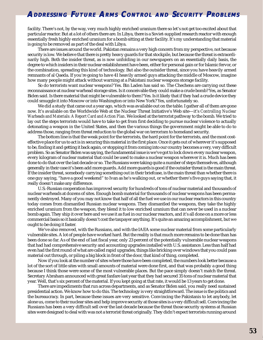facility. There's not, by the way, very much highly enriched uranium there so let's not get too excited about that particular reactor. But at a lot of others there are. In Libya, there is a Soviet-supplied research reactor with enough essentially fresh highly enriched uranium for a bomb sitting at their facility. It's my understanding that material is going to be removed as part of the deal with Libya.

There are issues around the world. Pakistan remains a very high concern from my perspective, not because security is low. We believe that there is pretty heavy guards for that stockpile, but because the threat is extraordinarily high. Both the insider threat, as is now unfolding in our newspapers on an essentially daily basis, the degree to which insiders in their nuclear establishment have been, either for personal gain or for Islamic fervor, or the combination, spreading this kind of technology. But also the outsider threat, since you have heavily armed remnants of al Qaeda. If you're going to have 41 heavily armed guys attacking the middle of Moscow, imagine how many people might attack without warning at a Pakistani nuclear weapons storage facility.

So do terrorists want nuclear weapons? Yes. Bin Laden has said so. The Chechens are carrying out these reconnaissance at nuclear warhead storage sites. Is it conceivable they could make a crude bomb? Yes, as Senator Biden said. Is there material that might be vulnerable to them? Yes. Is it likely that if they had a crude device they could smuggle it into Moscow or into Washington or into New York? Yes, unfortunately so.

We did a study that came out a year ago, which was available out on the table. I gather all of them are gone now. It's available on the Worldwide Web at the Nuclear Threat Initiative's Web site—it's *Controlling Nuclear Warheads and Materials: A Report Card and Action Plan*. We looked at the terrorist pathway to the bomb. We tried to lay out the steps terrorists would have to take to get from first deciding to pursue nuclear violence to actually detonating a weapon in the United States, and then the various things the government might be able to do to address those, ranging from threat reduction to the global war on terrorism to homeland security.

The bottom line is that the weak point for the terrorists, the hard point for the terrorists, and the most costeffective place for us to act is in securing this material in the first place. Once it gets out of wherever it's supposed to be, finding it and getting it back again, or stopping it from coming into our country becomes a very, very difficult problem. So as Senator Biden was saying, the fundamental issue is we've got to lock down every nuclear weapon, every kilogram of nuclear material that could be used to make a nuclear weapon wherever it is. Much has been done to do that over the last decade or so. The Russians were taking quite a number of steps themselves, although generally in their case it's been add more guards. Add more guards is good if the outsider threat is the main threat. If the insider threat, somebody carrying something out in their briefcase, is the main threat than whether there is one guy saying, "have a good weekend" to Ivan as he's walking out, or whether there's five guys saying that, it really doesn't make any difference.

U.S.-Russian cooperation has improved security for hundreds of tons of nuclear material and thousands of nuclear warheads at dozens of sites. Enough bomb material for thousands of nuclear weapons has been permanently destroyed. Many of you may not know that half of all the fuel we use in our nuclear reactors in this country today comes from dismantled Russian nuclear weapons. They dismantled the weapons, they take the highly enriched uranium from the weapon, they blend it to low enriched uranium that can never be used in a nuclear bomb again. They ship it over here and we use it as fuel in our nuclear reactors, and it's all done on a more or less commercial basis so it basically doesn't cost the taxpayer anything. It's quite an amazing accomplishment, but we ought to be doing it faster.

We've also removed, with the Russians, and with the IAEA some nuclear material from some particularly vulnerable sites. A lot of people have worked hard. But the reality is that much more remains to be done than has been done so far. As of the end of last fiscal year, only 23 percent of the potentially vulnerable nuclear weapons that had had comprehensive security and accounting upgrades installed with U.S. assistance. Less than half had even had the first round of what are called rapid upgrades, things like bricking over windows that you could pass material out through, or piling a big block in front of the door, that kind of thing, completed.

Now if you look at the number of sites where those have been completed, the numbers look better because a lot of the sort of little sites with small amounts of material were done first, and that was probably a good thing because I think those were some of the most vulnerable places. But the pace simply doesn't match the threat. Secretary Abraham announced with great fanfare last year that they had secured 35 tons of nuclear material that year. Well, that's six percent of the material. If you kept going at that rate, it would be 13 years to get done.

There are impediments that run across departments, and as Senator Biden said, you really need sustained presidential action. We know how to do this. The technology is very straightforward. The issue is the politics and the bureaucracy. In part, because these issues are very sensitive. Convincing the Pakistanis to let anybody, let alone us, come to their nuclear sites and help improve security at those sites is a very difficult sell. Convincing the Russians has been a very difficult sell over the last decade because the threat those security systems at Russian sites were designed to deal with was not a terrorist threat originally. They didn't expect terrorists running around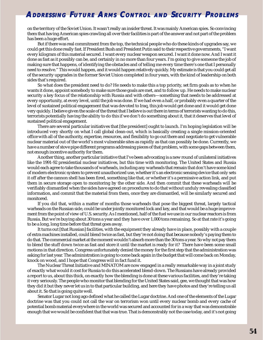on the territory of the Soviet Union. It wasn't really an insider threat. It was mainly American spies. So convincing them that having American spies crawling all over their facilities is part of the answer and not part of the problem has been a huge effort.

But if there was real commitment from the top, the technical people who do these kinds of upgrades say, we could get this done really fast. If President Bush and President Putin said to their respective governments, "I want every kilogram of this material secured. I want every nuclear weapon secured. I want it done now. And I want it done as fast as it possibly can be, and certainly in no more than four years. I'm going to give someone the job of making sure that happens, of identifying the obstacles and of telling me every time there's one that I personally need to resolve." This would happen, and it would happen relatively quickly. My estimate is that you could get all of the security upgrades in the former Soviet Union completed in four years, with the kind of leadership on both sides that's required.

So what does the president need to do? He needs to make this a top priority, set firm goals as to when he wants it done, appoint somebody to make sure those goals are met, and to follow up. He needs to make nuclear security a key focus of the relationship with Russia and with others—something that needs to be addressed at every opportunity, at every level, until the job was done. If we had even a half, or probably even a quarter of the level of sustained political engagement that was devoted to Iraq, this job would get done and it would get done very quickly. I believe given the scale of the threat that I believe is out there in terms of terrorists wanting to do this, terrorists potentially having the ability to do this if we don't do something about it, that it deserves that level of sustained political engagement.

There are several particular initiatives that [the president] ought to launch. I'm hoping legislation will be introduced very shortly on what I call global clean-out, which is basically creating a single mission-oriented office with all of the authority, expertise, resources, and flexibility to go out there and negotiate to get vulnerable nuclear material out of the world's most vulnerable sites as rapidly as that can possibly be done. Currently, we have a number of stove pipe different programs addressing pieces of that problem, with some gaps between them, not enough incentive authority for them.

Another thing, another particular initiative that I've been advocating is a new round of unilateral initiatives like the 1991-92 presidential nuclear initiatives, but this time with monitoring. The United States and Russia would each agree to take thousands of warheads, including any warheads that remain that don't have some kind of modern electronic system to prevent unauthorized use, whether it's an electronic sensing device that only sets it off after the cannon shell has been fired, something like that, or whether it's a permissive action link, and put them in secure storage open to monitoring by the other side. And then commit that these warheads will be verifiably dismantled when the sides have agreed on procedures to do that without unduly revealing classified information, and commit that the material from them, once they are dismantled, will be similarly secured and monitored.

If you did that, within a matter of months those warheads that pose the biggest threat, largely tactical warheads on the Russian side, could be under jointly monitored lock and key, and that would be a huge improvement from the point of view of U.S. security. As I mentioned, half of the fuel we use in our nuclear reactors is from Russia. But we're buying about 30 tons a year and they have over 1,000 tons remaining. So at that rate it's going to be a long, long time before that threat goes away.

It turns out [that Russian] facilities, with the equipment they already have in place, possibly with a couple of extra machines installed, could blend twice as fast, but they're not doing that because nobody's paying them to do that. The commercial market at the moment wouldn't absorb more than the 30 tons a year. So why not pay them to blend the stuff down twice as fast and store it until the market is ready for it? There have been some small motions in that direction. Congress unfortunately denied the money for the first step that the administration was asking for last year. The administration is going to come back again in the budget that will come back on Monday, knock on wood, and I hope that Congress will in fact fund it.

The Nuclear Threat Initiative and MINATOM are now engaged in a really remarkable way in a joint study of exactly what would it cost for Russia to do this accelerated blend-down. The Russians have already provided a report to us, about this thick, on exactly how the blending is done at these various facilities, and they're taking it very seriously. The people who monitor that blending for the United States said, gee, we thought that was how they did it but they never let us in to that particular building, and here they have photos and they're telling us all about it. So that is going quite well.

Senator Lugar not long ago defined what he called the Lugar doctrine. And one of the elements of the Lugar doctrine was that you could not call the war on terrorism won until every nuclear bomb and every cache of potential bomb material everywhere in the world was secured and accounted for in a way that was demonstrable enough that we would be confident that that was true. That is demonstrably not the case today, and it's not going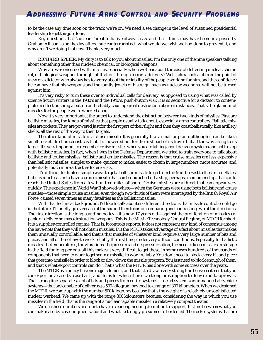to be the case any time soon on the track we're on. We need a sea change in the level of sustained presidential leadership to get this job done.

Key questions that Nuclear Threat Initiative always asks, and that I think may have been first posed by Graham Allison, is on the day after a nuclear terrorist act, what would we wish we had done to prevent it, and why aren't we doing that now. Thanks very much.

**RICHARD SPEIER:** My duty is to talk to you about missiles. I'm the only one of the nine speakers talking about something other than nuclear, chemical, or biological weapons.

Why are we concerned with missiles, especially when we hear about the ease of delivering nuclear, chemical, or biological weapons through infiltration, through terrorist delivery? Well, take a look at it from the point of view of a dictator who always has to worry about the reliability of the people working for him, and the confidence he can have that his weapons and the family jewels of his reign, such as nuclear weapons, will not be turned against him.

It's very risky to turn these over to individual cells for delivery, as opposed to using what was called by science fiction writers in the 1930's and the 1940's, push-button war. It is so seductive for a dictator to contemplate in effect pushing a button and reliably causing great destruction at great distances. That's the glamour of missiles for the people we're worried about.

Now it's very important at the outset to understand the distinction between two kinds of missiles. First are ballistic missiles, the kinds of missiles that people usually talk about, especially arms controllers. Ballistic missiles are rockets. They are powered just for the first part of their flight and then they coast ballistically, like artillery shells, all the rest of the way to their targets.

The other kind of missile is a cruise missile. It is generally like a small airplane, although it can be like a small rocket. Its characteristic is that it is powered not for the first part of its travel but all the way along to its target. It's very important to remember cruise missiles when you are talking about delivery systems and not to stop with ballistic missiles. In fact, when I was in the Defense Department, we tried to train everyone to talk about ballistic and cruise missiles, ballistic and cruise missiles. The reason is that cruise missiles are less expensive than ballistic missiles, simpler to make, quicker to make, easier to obtain in large numbers, more accurate, and potentially much more attractive to terrorists.

It's difficult to think of simple ways to get a ballistic missile to go from the Middle East to the United States, but it is much easier to have a cruise missile that can be launched off a ship, perhaps a container ship, that could reach the United States from a few hundred miles offshore. Cruise missiles are a threat that can appear very quickly. The experience in World War II showed-where—when the Germans were using both ballistic and cruise missiles—those simple cruise missiles, even though two-thirds of them were intercepted by the British Royal Air Force, caused seven times as many fatalities as the ballistic missiles.

With that technical background, I'd like to talk about six different directions that missile controls could go in the future. I'll briefly go over each of the six and then focus on comparing and contrasting two of the directions. The first direction is the long-standing policy—it's now 17 years old—against the proliferation of missiles capable of delivering mass destruction weapons. This is the Missile Technology Control Regime, or MTCR for short. It is a supplier-controlled regime. That is, it controls exports. It does not represent any kind of consensus among the have-nots that they will not obtain missiles. But the MTCR takes advantage of a fact about missiles that makes them unusually controllable, and that is that missiles of whatever kind require a very large number of bits and pieces, and all of these have to work reliably the first time, under very difficult conditions. Especially for ballistic missiles, the temperatures, the vibrations, the pressure and de-pressurization, the need to keep missiles in storage in the field for long periods, all this makes it very difficult to get these, in some cases hundreds of thousands of components that need to work together in a missile, to work reliably. You don't need to block every bit and piece that goes into a missile in order to block or slow down the missile program. You just need to block enough of them, and that's what export controls can do. That's what the MTCR has done with some success over the years.

The MTCR as a policy has one major element, and that is to draw a very strong line between items that you can export on a case-by-case basis, and items for which there is a strong presumption to deny export approvals. That strong line separates a lot of bits and pieces from entire systems—rocket systems or unmanned air vehicle systems—that are capable of delivering a 500-kilogram payload to a range of 300 kilometers. When we designed the MTCR, we came up with the number 500 kilograms because that's the weight of a relatively unsophisticated nuclear warhead. We came up with the range 300 kilometers because, considering the way in which you use missiles in the field, that is the range of a nuclear capable missile in a relatively compact theater.

We use these numbers in order to have a clear engineering definition to support this line between what you can make case-by-case judgments about and what is strongly presumed to be denied. The rocket systems that are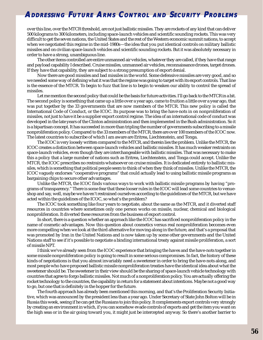over this line, over the MTCR threshold, are not just ballistic missiles. They are rockets of any kind that can deliver 500 kilograms to 300 kilometers, including space-launch vehicles and scientific sounding rockets. This was very difficult to get the seven nations, the United States and the rest of the Western economic summit nations, to accept when we negotiated this regime in the mid-1980s—the idea that you put identical controls on military ballistic missiles and on civilian space-launch vehicles and scientific sounding rockets. But it was absolutely necessary in order to have a strong, unambiguous line.

The other items controlled are entire unmanned air vehicles, whatever they are called, if they have that range and payload capability I described. Cruise missiles, unmanned air vehicles, reconnaissance drones, target drones. If they have that capability, they are subject to a strong presumption of export denial.

Now there are good missiles and bad missiles in the world. Some defensive missiles are very good, and so we needed some way of defining what it was that the regime was going to target with its export controls. That line is the essence of the MTCR. To begin to fuzz that line is to begin to weaken our ability to control the spread of missiles.

Let me mention the second policy that could be the basis for future activities. I'll go back to the MTCR in a bit. The second policy is something that came up a little over a year ago, came to fruition a little over a year ago, that was put together by the 33 governments that are now members of the MTCR. This new policy is called the International Code of Conduct, or the ICOC. Its purpose was to bring the have-nots in on nonproliferation of missiles, not just to have it be a supplier export control regime. The idea of an international code of conduct was developed in the late years of the Clinton administration and then implemented in the Bush administration. So it is a bipartisan concept. It has succeeded in more than tripling the number of governments subscribing to a missile nonproliferation policy. Compared to the 33 members of the MTCR, there are over 100 members of the ICOC now. The latest countries to subscribe of which I am aware are Eritrea, Liechtenstein, and Tonga.

The ICOC is very loosely written compared to the MTCR, and therein lies the problem. Unlike the MTCR, the ICOC creates a distinction between space-launch vehicles and ballistic missiles. It has much weaker restraints on space-launch vehicles, even though they are interchangeable with ballistic missiles. That was necessary to make this a policy that a large number of nations such as Eritrea, Liechtenstein, and Tonga could accept. Unlike the MTCR, the ICOC prescribes no restraints whatsoever on cruise missiles. It is dedicated entirely to ballistic missiles, which is something that political people seem to think of when they think of missiles. Unlike the MTCR, the ICOC vaguely endorses "cooperative programs" that could actually lead to using ballistic missile programs as bargaining chips to secure other advantages.

Unlike the MTCR, the ICOC finds various ways to work with ballistic missile programs by having "programs of transparency." There is some fear that these looser rules in the ICOC will lead some countries to venueshop and say, well, maybe we haven't restrained ourselves according to the guidelines of the MTCR, but we have acted within the guidelines of the ICOC, so what's the problem?

The ICOC took something like four years to negotiate, about the same as the MTCR, and it diverted staff resources in countries where sometimes only one person works on missile, nuclear, chemical and biological nonproliferation. It diverted these resources from the business of export control.

In short, there is a question whether an approach like the ICOC has sacrificed nonproliferation policy in the name of cosmetic advantages. Now this question about cosmetics versus real nonproliferation becomes even more compelling when we look at the third alternative for moving along in the future, and that's a proposal that was promoted by Iran in the United Nations and is now taken up by some other governments and the United Nations staff to see if it's possible to negotiate a binding international treaty against missile proliferation, a sort of missile NPT.

I think we've already seen from the ICOC experience that bringing the haves and the have-nots together in some missile nonproliferation policy is going to result in some serious compromises. In fact, the history of these kinds of negotiations is that you almost invariably need a sweetener in order to bring the have-nots along, and most people who have proposed ballistic missile nonproliferation treaties have the identical idea about what the sweetener should be. The sweetener in their view should be the sharing of space-launch vehicle technology with countries that agree to forgo ballistic missiles. Not much of a nonproliferation policy. You are actually offering the rocket technology to the countries, the capability in return for a statement about intentions. Maybe not a good way to go, but one that is definitely in the hopper for the future.

The fourth approach has already been mentioned this morning, and that's the Proliferation Security Initiative, which was announced by the president less than a year ago. Under Secretary of State John Bolton will be in Russia this week, seeing if he can get the Russians to join this policy. It complements export controls very strongly by creating an environment in which, if you can somehow evade controls of exports and get the item you want on the high seas or in the air going toward you, it might just be intercepted anyway. So there's another barrier to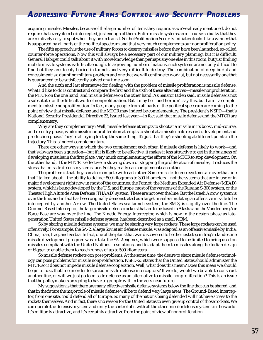acquiring missiles. Missiles, because of the large number of items they require, as we've already mentioned, do not require that every item be intercepted, just enough of them. Entire missile systems are of course so bulky that they are relatively easy to spot when they are in transit. So the Proliferation Security Initiative looks like a winner that is supported by all parts of the political spectrum and that very much complements our nonproliferation policy.

The fifth approach is the use of military forces to destroy missiles before they have been launched, so-called counter-force operations. Now this will always be a necessary part of our military planning, but it is difficult. General Habiger could talk about it with more knowledge than perhaps anyone else in this room, but just finding mobile missile systems is difficult enough. In a growing number of nations, such systems are not only difficult to find but they are deeply buried in tunnels and very difficult to destroy. The combination of deep burial and concealment is a daunting military problem and one that we will continue to work at, but not necessarily one that is guaranteed to be satisfactorily solved any time soon.

And the sixth and last alternative for dealing with the problem of missile proliferation is missile defense. What I'd like to do is contrast and compare the first and the sixth of these alternatives—missile nonproliferation, the MTCR on the one hand, and missile defense on the other hand. As Senator Biden said, missile defense is not a substitute for the difficult work of nonproliferation. But it may be—and he didn't say this, but I am—a complement to missile nonproliferation. In fact, many people from all parts of the political spectrum are coming to the point of view that missile defense and the MTCR may indeed be complementary. The president's NSPD—that's National Security Presidential Directive 23, issued last year—in fact said that missile defense and the MTCR are complementary.

Why are they complementary? Well, missile defense attempts to shoot at a missile in its boost, mid-course, and re-entry phase, while missile nonproliferation attempts to shoot at a missile in its research, development and production phase. They're all trying to stop the same thing. It's just that they're shooting at different points in the trajectory. This is indeed complementary.

There are other ways in which the two complement each other. If missile defense is likely to work—and that's always been a question—but if it is likely to be effective, it makes it less attractive to get in the business of developing missiles in the first place, very much complementing the efforts of the MTCR to stop development. On the other hand, if the MTCR is effective in slowing down or stopping the proliferation of missiles, it reduces the stress that missile defense systems face. So they really can complement each other.

The problem is that they can also compete with each other. Some missile defense systems are over that line that I talked about—the ability to deliver 500 kilograms to 300 kilometers—not the systems that are in use or in major development right now in most of the countries: the Patriot, the Medium Extended Air Defense (MEAD) system, which is being developed by the U.S. and Europe, most of the versions of the Russian S-300 system, or the Theater High Altitude Area Defense (THAAD) system. These are not over the line. But the Israeli Arrow system is over the line, and in fact has been originally demonstrated as a target missile simulating an offensive missile to be intercepted by another Arrow. The United States sea-launch system, the SM-3, is slightly over the line. The Ground-Based Interceptor, the large missile defense rockets that are to be based in Alaska and the Vandenberg Air Force Base are way over the line. The Kinetic Energy Interceptor, which is now in the design phase as lategeneration United States missile defense system, has been described as a small ICBM.

So by sharing missile defense systems, we may be sharing very large rockets. These large rockets can be used offensively. For example, the SA-2, a large Soviet air defense missile, was adapted as an offensive missile by India, China, Iran, Iraq, and Serbia. In fact, one of the plans that was discovered to be the next step in Iraq's clandestine missile development program was to take the SA-2 engines, which were supposed to be limited to being used on missiles compliant with the United Nations' resolutions, and to adapt them to missiles along the Indian design or bigger, to enable them to reach ranges of up to 500 kilometers.

So missile defense rockets can pose problems. At the same time, the desire to share missile defense technology can pose problems for missile nonproliferation. NSPD-23 states that the United States should administer the MTCR so it does not impede missile defense cooperation. Well, what does this mean? Does this mean we should begin to fuzz that line in order to spread missile defense interceptors? If we do, would we be able to construct another line, or will we just go to missile defense as an alternative to missile nonproliferation? This is an issue that the policymakers are going to have to grapple with in the very near future.

My suggestion is that there are many effective missile defense systems below the line that can be shared, and that in the future the major role of missile defense will be to defend very large areas. The Ground-Based Interceptor, from one site, could defend all of Europe. So many of the nations being defended will not have access to the rockets themselves. And in fact, there's no reason for the United States to even give up control of those rockets. We can operate the defensive system and unify the control of it with all the other missile defense systems in the world. It's militarily attractive, and it's certainly attractive from the point of view of nonproliferation.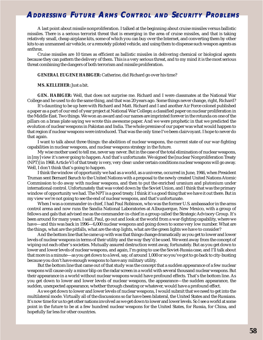A last point about missile nonproliferation. I talked at the beginning about cruise missiles versus ballistic missiles. There is a serious terrorist threat that is emerging in the area of cruise missiles, and that is taking relatively small, cheap airplane kits, some of which you can buy over the Internet, and converting them by other kits to an unmanned air vehicle, or a remotely piloted vehicle, and using them to dispense such weapon agents as anthrax.

Cruise missiles are 10 times as efficient as ballistic missiles in delivering chemical or biological agents because they can pattern the delivery of them. This is a very serious threat, and to my mind it is the most serious threat combining the dangers of both terrorism and missile proliferation.

#### **GENERAL EUGENE HABIGER:** Catherine, did Richard go over his time?

#### **MS. KELLEHER:** Just a bit.

**GEN. HABIGER:** Well, that does not surprise me. Richard and I were classmates at the National War College and he used to do the same thing, and that was 20 years ago. Some things never change, right, Richard?

It's daunting to be up here with Richard and Matt. Richard and I and another Air Force colonel published a paper as a part of our end of year project at National War College; a classified paper on nuclear proliferation in the Middle East. Two things. We won an award and our names are imprinted forever in the rotunda on one of the pillars on a brass plate saying we wrote this awesome paper. And we were prophetic in that we predicted the evolution of nuclear weapons in Pakistan and India. The whole premise of our paper was what would happen to that region if nuclear weapons were introduced. That was the only time I've been clairvoyant. I hope to never do that again.

I want to talk about three things: the abolition of nuclear weapons, the current state of our war-fighting capabilities in nuclear weapons, and nuclear weapons strategy in the future.

My wise mother used to tell me, never say never. But in the case of the total elimination of nuclear weapons, in [my] view it's never going to happen. And that's unfortunate. We signed the [nuclear Nonproliferation Treaty (NPT)] in 1968. Article VI of that treaty is very, very clear: under certain conditions nuclear weapons will go away. Well, I don't think that's going to happen.

I think the window of opportunity we had as a world, as a universe, occurred in June, 1946, when President Truman sent Bernard Baruch to the United Nations with a proposal to the newly created United Nations Atomic Commission to do away with nuclear weapons, and then to put the enriched uranium and plutonium under international control. Unfortunately that was voted down by the Soviet Union, and I think that was the primary window of opportunity we had. The NPT is a good treaty. I think it's a good thing that we have it out there. But in my view we're not going to see the end of nuclear weapons, and that's unfortunate.

When I was a commander-in-chief, I had Paul Robinson, who was the former U.S. ambassador in the arms control arena and now runs the Sandia National Laboratories at Albuquerque, New Mexico, with a group of fellows and gals that advised me as the commander-in-chief in a group called the Strategic Advisory Group. It's been around for many years. I said, Paul, go out and look at the world from a war-fighting capability, where we have—and this was back in 1996—6,000 nuclear weapons and going down to some very low number. What are the things, what are the pitfalls, what are the stop lights, what are the green lights we have to consider?

And the bottom line that he came up with was that things change dramatically as you get to lower and lower levels of nuclear weapons in terms of their utility and the way they'd be used. We went away from the concept of wiping out each other's societies. Mutually assured destruction went away, fortunately. But as you get down to lower and lower levels of nuclear weapons, and again, I'm going to use the Soviet-Russia case, and I'll talk about that more in a minute—as you get down to a level, say, of around 1,000 or so you've got to go back to city-busting because you don't have enough weapons to have any military utility.

But the bottom line that came out of that study was the concept that a sudden appearance of a few nuclear weapons will cause only a minor blip on the radar screen in a world with several thousand nuclear weapons. But their appearance in a world without nuclear weapons would have profound effects. That's the bottom line. As you get down to lower and lower levels of nuclear weapons, the appearance—the sudden appearance, the sudden, unexpected appearance, whether through cheating or whatever, would have a profound effect.

As we get down to lower and lower levels of nuclear weapons, I would submit that we need to get into the multilateral mode. Virtually all of the discussions so far have been bilateral, the United States and the Russians. It's now time for us to get other nations involved as we get down to lower and lower levels. So I see a world at some point in the future to be at a few hundred nuclear weapons for the United States, for Russia, for China, and hopefully far less for other countries.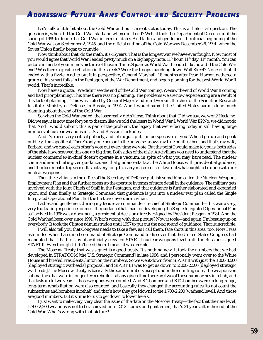Let's talk a little bit about the Cold War and our current status today. This is a rhetorical question. The question is, when did the Cold War start and when did it end? Well, it took the Department of Defense until the spring of 1999 to define that Cold War in terms of dates. And ladies and gentlemen, the official beginning of the Cold War was on September 2, 1945, and the official ending of the Cold War was December 26, 1991, when the Soviet Union finally began to crumble.

Now think about that, do the math, it's 46 years. That is the longest war we have ever fought. Now most of you would agree that World War I ended pretty much on a big happy note, 11<sup>th</sup> hour, 11<sup>th</sup> day, 11<sup>th</sup> month. You can picture in most of your minds pictures of those in Times Square as World War II ended. But how did the Cold War end? Was there a great celebration in the streets? Were the troops marching down Wall Street? None of that. It ended with a fizzle. And to put it in perspective, General Marshall, 18 months after Pearl Harbor, gathered a group of his smart folks in the Pentagon, at the War Department, and began planning for the post-World War II world. That's incredible.

Now here's a quote. "We didn't see the end of the Cold War coming. We saw the end of World War II coming and had prior planning. This time there was no planning. The problems we are now experiencing are a result of this lack of planning." This was stated by General Major Vladimir Dvorkin, the chief of the Scientific Research Institute, Ministry of Defense, in Russia, in 1994. And I would submit the United States hadn't done much planning about the end of the Cold War.

So when the Cold War ended, the loser really didn't lose. Think about that. Did we say, we won? Heck, no. Did we say, it is now time for you to disarm like we told the losers in World War I, World War II? No, we did not do that. And I would submit, this is part of the problem, the legacy that we're facing today in still having large numbers of nuclear weapons in U.S. and Russian stockpiles.

And I've been very critical publicly, and let me just put it in perspective for you. When I get up and speak publicly, I am apolitical. There's only one person in the universe knows my true political bent and that's my wife, Barbara, and we cancel each other's vote out every time we vote. But the point I would make to you is, both sides of the aisle have screwed this one up big time. Both sides of the aisle. As civilians you need to understand that the nuclear commander-in-chief doesn't operate in a vacuum, in spite of what you may have read. The nuclear commander-in-chief is given guidance, and that guidance starts at the White House, with presidential guidance, and the document is top secret. It's not very long. In a very macro sense it lays out what ought to be done with our nuclear weapons.

Then the civilians in the office of the Secretary of Defense publish something called the Nuclear Weapons Employment Plan and that further opens up the aperture in terms of more detail in the guidance. The military gets involved with the Joint Chiefs of Staff in the Pentagon, and that guidance is further elaborated and expanded upon, and then finally at Strategic Command that guidance is put into a nuclear war plan called the Single Integrated Operational Plan. But the first two layers are civilian.

Ladies and gentlemen, during my tenure as commander-in-chief of Strategic Command—this was a very, very frustrating experience for me—the guidance that I had for developing the Single Integrated Operational Plan as I arrived in 1996 was a document, a presidential decision directive signed by President Reagan in 1981. And the Cold War had been over since 1991. What's wrong with that picture? Now it took—and again, I'm beating up on everybody. It took the Clinton administration until 1997 to put out the next round of guidance. That is incredible.

I will also tell you that Congress needs to take a few, as I call them, face shots in this area, too. Now I was astounded when I assumed command of Strategic Command to discover that the United States Congress had mandated that I had to stay at artificially elevated START I nuclear weapons level until the Russians signed START II. Even though I didn't need them. I mean, it was terrible.

The Moscow Treaty that was signed is a good treaty. It's nothing new. It took the numbers that we had developed in STRATCOM [the U.S. Strategic Command] in late 1996, and I personally went over to the White House and briefed President Clinton on the numbers. So we went down from START II with just the 3,000-3,500 [deployed strategic warheads] proposal, and START III was to get us down to 2,000-2,500 [deployed strategic warheads]. The Moscow Treaty is basically the same numbers except under the counting rules, the weapons on submarines that were in longer-term rebuild—at any given time there are two of those submarines in rehab, and that lasts up to two years—those weapons were counted. And B-2 bombers and B-52 bombers were in long-range, long-term rehabilitation were also counted, and basically they changed the accounting rules [to not count the submarines and bombers in rehab] and that's how they got [down] to the 1,700-2,200 [warhead level]. And those are good numbers. But it's time for us to get down to lower levels.

I just want to make very, very clear the issue of the date on the Moscow Treaty—the fact that the new level, 1,700-2,200 weapons is not to be achieved until 2012. Ladies and gentlemen, that's 21 years after the end of the Cold War. What's wrong with that picture?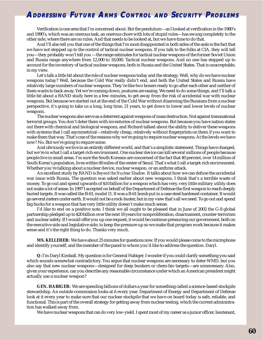Verification is one area that I'm concerned about. But the pendulum—as I looked at verification in the 1980's and 1990's, which was an onerous task, an onerous chore with lots of stupid rules—has swung completely to the other side, where there are no rules. And that needs to be looked at, but we have time to do that.

And I'll also tell you that one of the things that I'm most disappointed in both sides of the aisle is the fact that we have not stepped up to the control of tactical nuclear weapons. If you talk to the folks at CIA, they will tell you—they probably won't tell you —the range estimates for tactical nuclear weapons of the former Soviet Union and Russia range anywhere from 12,000 to 18,000. Tactical nuclear weapons. And no one has stepped up to account for the inventory of tactical nuclear weapons, both in Russia and the United States. That is unacceptable, in my view.

Let's talk a little bit about the role of nuclear weapons today and the strategy. Well, why do we have nuclear weapons today? Well, because the Cold War really didn't end, and both the United States and Russia have relatively large numbers of nuclear weapons. They're like two boxers ready to go after each other and neither of them wants to back away. Yet we're coming down, postures are easing. We need to do some things, and I'll talk a little bit about a RAND study here in a few minutes, to get away from the risk of accidental war with nuclear weapons. But because we started out at the end of the Cold War without disarming the Russians from a nuclear perspective, it's going to take us a long, long time, 21 years, to get down to lower and lower levels of nuclear weapons.

The nuclear weapons also serve as a deterrent against weapons of mass destruction. Not against transnational terrorist groups. You don't deter them with inventories of nuclear weapons. But because you have nation states out there with chemical and biological weapons, and Richard talked about the ability to deliver these weapons with systems that I call asymmetrical—relatively cheap, relatively without fingerprints on them if you want to make them that way. That's one of the reasons why we're going to require nuclear weapons. At the levels we have now? No. But we're going to require some.

And obviously we live in an entirely different world, and that's a simplistic statement. Things have changed, but we're in what I call a target-rich environment. One nuclear device can kill several millions of people because people live in small areas. I'm sure the South Koreans are concerned of the fact that 40 percent, over 14 million of South Korea's population, lives within 60 miles of the center of Seoul. That's what I call a target-rich environment. Whether you're talking about a nuclear device, nuclear weapon, or an anthrax attack.

An excellent study by RAND is *Beyond the Nuclear Shadow*. It talks about how we can defuse the accidental war issue with Russia. The question was asked earlier about new weapons. I think that's a terrible waste of money. To go out and spend upwards of \$10 billion for a weapon which has very, very little military utility does not make a lot of sense. In 1997 I accepted on behalf of the Department of Defense the first weapon to reach deeply buried targets. It was called the B-61, model 11. It was a B-61 bomb put in a case steel hardened container. It would go several meters under earth. It would not be a rock-buster, but in my view that's all we need. To go out and spend big bucks for a weapon that has very little utility doesn't make much sense.

I'd like to end on a positive note. I think we all ought to be pleased that in June of 2002 the G-8 global partnership pledged up to \$20 billion over the next 10 years for nonproliferation, disarmament, counter-terrorism and nuclear safety. If I would offer you up one request, it would be continue pressuring our government, both on the executive side and legislative side, to keep the pressure up so we make that program work because it makes sense and it's the right thing to do. Thanks very much.

**MS. KELLEHER:** We have about 25 minutes for questions now. If you would please come to the microphone and identify yourself, and the member of the panel to whom you'd like to address the question. Daryl.

**Q:** I'm Daryl Kimball. My question is for General Habiger. I wonder if you could clarify something you said which sounds somewhat contradictory. You argue that nuclear weapons are necessary to deter WMD, but you also say that new nuclear weapons—designed for deep bunkers or chem-bio targets—are unnecessary. Also, given your experience, can you describe any reasonable circumstance under which an American president might actually use a nuclear weapon?

**GEN. HABIGER:** We are spending billions of dollars a year for something called a science-based stockpile stewardship. An outside commission looks at it every year. Department of Energy and Department of Defense look at it every year to make sure that our nuclear stockpile that we have on board today is safe, reliable, and functional. This is part of the overall strategy for getting away from nuclear testing, which the current administration has walked away from.

We have nuclear weapons that can do very low-yield. I spent most of my career as a junior officer, lieutenant,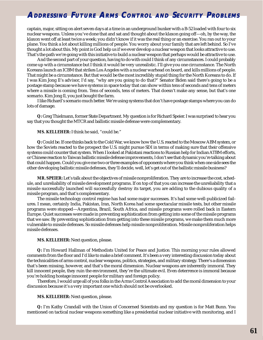captain, major, sitting on alert seven days at a time in an underground bunker with a B-52 loaded with four to six nuclear weapons. Unless you've done that and sat and thought about the klaxon going off—oh, by the way, the klaxon went off at least twice a week; you didn't know if it was the real thing or an exercise. You ran out to your plane. You think a lot about killing millions of people. You worry about your family that are left behind. So I've thought a lot about this. My point is God help us if we ever develop a nuclear weapon that looks attractive to use. That's the path we're going with this initiative to build a nuclear weapon that perhaps would be attractive to use.

And the second part of your question, having to do with could I think of any circumstances. I could probably come up with a circumstance but I think it would be very unrealistic. I'll give you one circumstance. The North Koreans launch an ICBM that strikes Los Angeles with a nuclear warhead on board, and kills millions of people. That might be a circumstance. But that would be the most incredibly stupid thing for the North Koreans to do. If I was Kim Jong Il's advisor, I'd say, "why are you going to do that?" Senator Biden said there's going to be a postage stamp because we have systems in space today that can show within tens of seconds and tens of meters where a missile is coming from. Tens of seconds, tens of meters. That doesn't make any sense, but that's one scenario. Kim Jong Il, you just bought the farm.

I like Richard's scenario much better. We're using systems that don't have postage stamps where you can do lots of damage.

**Q:** Greg Thielmann, former State Department. My question is for Richard Speier. I was surprised to hear you say that you thought the MTCR and ballistic missile defense were complementary.

#### **MS. KELLEHER:** I think he said, "could be."

**Q:** Could be. If one thinks back to the Cold War, we know how the U.S. reacted to the Moscow ABM system, or how the Soviets reacted to the prospect the U.S. might pursue SDI in terms of making sure that their offensive systems could counter that system. When I looked at Pakistani reactions to Russian help for Indian ATBM efforts, or Chinese reaction to Taiwan ballistic missile defense improvements, I don't see that dynamic you're talking about that could happen. Could you give me two or three examples of opponents where you think when one side sees the other developing ballistic missile defenses, they'll decide, well, let's get out of the ballistic missile business?

**MR. SPEIER:** Let's talk about the objectives of missile nonproliferation. They are to increase the cost, schedule, and unreliability of missile development programs. If on top of that you can increase the unreliability that a missile successfully launched will successfully destroy its target, you are adding to the dubious quality of a missile program, and that's complementary.

The missile technology control regime has had some major successes. It's had some well-publicized failures. I mean, certainly India, Pakistan, Iran, North Korea had some spectacular missile tests, but other missile programs were stopped—Argentina, Brazil, South Africa, and missile programs were rolled back in Eastern Europe. Quiet successes were made in preventing sophistication from getting into some of the missile programs that we saw. By preventing sophistication from getting into these missile programs, we make them much more vulnerable to missile defenses. So missile defenses help missile nonproliferation. Missile nonproliferation helps missile defenses.

#### **MS. KELLEHER:** Next question, please.

**Q:** I'm Howard Hallman of Methodists United for Peace and Justice. This morning your rules allowed comments from the floor and I'd like to make a brief comment. It's been a very interesting discussion today about the technicalities of arms control, nuclear weapons, politics, strategies, and military strategy. There's a dimension that's been missing, however, and that's the moral dimension. Nuclear weapons are inherently immoral. They kill innocent people, they ruin the environment, they're the ultimate evil. Even deterrence is immoral because you're holding hostage innocent people for military and foreign policy.

Therefore, I would urge all of you folks in the Arms Control Association to add the moral dimension to your discussion because it's a very important one which should not be overlooked.

#### **MS. KELLEHER:** Next question, please.

**Q:** I'm Kathy Crandall with the Union of Concerned Scientists and my question is for Matt Bunn. You mentioned on tactical nuclear weapons something like a presidential nuclear initiative with monitoring, and I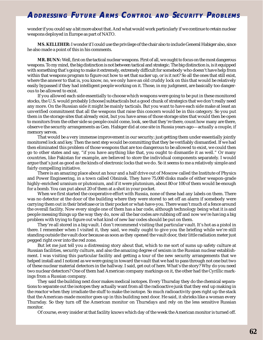wonder if you could say a bit more about that. And what would work particularly if we continue to retain nuclear weapons deployed in Europe as part of NATO.

**MS. KELLEHER:** I wonder if I could use the privilege of the chair also to include General Habiger also, since he also made a point of this in his comments.

**MR. BUNN:** Well, first on the tactical nuclear weapons. First of all, we ought to focus on the most dangerous weapons. To my mind, the big distinction is not between tactical and strategic. The big distinction is, is it equipped with something that's going to make it extremely, extremely difficult for somebody who doesn't have help from within that weapons program to figure out how to set that sucker up, or is it not? So all the ones that still exist, where the answer to that is, you know, no, we only have an old cruddy lock on this that would be relatively easily bypassed if they had intelligent people working on it. Those, in my judgment, are basically too dangerous to be allowed to exist.

If you allowed each side essentially to choose which weapons were going to be put in these monitored stocks, the U.S. would probably [choose] subtacticals but a good chunk of strategics that we don't really need any more. On the Russian side it might be mainly tacticals. But you want to have each side make at least an unverified commitment that all the weapons that raise this concern would be in this category. So you put them in the storage sites that already exist, but you have areas of those storage sites that would then be open to monitors from the other side so people could come, look, see that they're there, count how many are there, observe the security arrangements as Gen. Habiger did at one site in Russia years ago—actually a couple, if memory serves.

That would be a very immense improvement in our security; just getting them under essentially jointly monitored lock and key. Then the next step would be committing that they be verifiably dismantled. If we had then eliminated this problem of those weapons that are too dangerous to be allowed to exist, we could then go to other states and say, "if you have anything like that, you ought to dismantle it as well." Or many countries, like Pakistan for example, are believed to store the individual components separately. I would argue that's just as good as the kinds of electronic locks that we do. So it seems to me a relatively simple and fairly compelling initiative.

There is an amazing place about an hour and a half drive out of Moscow called the Institute of Physics and Power Engineering, in a town called Obninsk. They have 75,000 disks made of either weapon-grade highly-enriched uranium or plutonium, and if it were plutonium, about 80 or 100 of them would be enough for a bomb. You can put about 20 of them at a shot in your pocket.

When we first started the cooperative effort with Russia, none of these had any labels on them. There was no detector at the door of the building where they were stored to set off an alarm if somebody were carrying them out in their briefcase or in their pocket or what-have-you. There wasn't much of a fence around the overall facility. Now every single one of them has a bar code, although technology being what it is and people messing things up the way they do, now all the bar codes are rubbing off and now we're having a big problem with trying to figure out what kind of new bar codes should be put on them.

They're all stored in a big vault. I don't recommend visiting that particular vault. It's hot as a pistol in there. I remember when I visited it, they said, we really ought to give you the briefing while we're still standing outside the vault door because as soon as they opened the vault door, their little radiation meter just pegged right over into the red zone.

But let me just tell you a distressing story about that, which to me sort of sums up safety culture at Russian facilities, security culture, and also the amazing degree of sexism in the Russian nuclear establishment. I was visiting this particular facility and getting a tour of the new security arrangements that we helped install and I noticed as we were going in toward the vault that we had to pass through not one but two of these nuclear material detectors in the hallway. I said, get out of here. What's the story? Why do you need two nuclear detectors? One of them had American company markings on it, the other had the Cyrillic markings from a Russian company.

They said the building next door makes medical isotopes. Every Thursday they do the chemical separations to separate out the isotopes they actually want from all the radioactive junk that they end up making in the reactor when they irradiate the stuff to make the isotope. So much radioactivity goes right up the stack that the American-made monitor goes up in this building next door. He said, it shrieks like a woman every Thursday. So they turn off the American monitor on Thursdays and rely on the less sensitive Russian monitor.

Of course, every insider at that facility knows which day of the week the American monitor is turned off.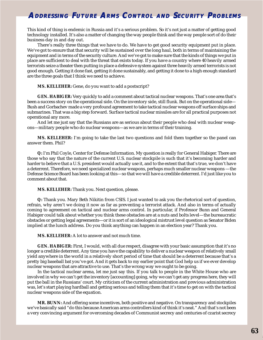This kind of thing is endemic in Russia and it's a serious problem. So it's not just a matter of getting good technology installed. It's also a matter of changing the way people think and the way people sort of do their business day in and day out.

There's really three things that we have to do. We have to get good security equipment put in place. We've got to ensure that that security will be sustained over the long haul, both in terms of maintaining the equipment and in terms of the security culture. And we've got to make sure that the kinds of things we put in place are sufficient to deal with the threat that exists today. If you have a country where 40 heavily armed terrorists seize a theater then putting in place a defensive system against three heavily armed terrorists is not good enough. Getting it done fast, getting it done sustainably, and getting it done to a high enough standard are the three goals that I think we need to achieve.

#### **MS. KELLEHER:** Gene, do you want to add a postscript?

**GEN. HABIGER:** Very quickly to add a comment about tactical nuclear weapons. That's one area that's been a success story on the operational side. On the inventory side, still flunk. But on the operational side— Bush and Gorbachev made a very profound agreement to take tactical nuclear weapons off surface ships and submarines. That was a big step forward. Surface tactical nuclear missiles are for all practical purposes not operational any more.

And let me just say that the Russians are as serious about their people who deal with nuclear weapons—military people who do nuclear weapons—as we are in terms of their training.

**MS. KELLEHER:** I'm going to take the last two questions and fold them together so the panel can answer them. Phil?

**Q:** I'm Phil Coyle, Center for Defense Information. My question is really for General Habiger. There are those who say that the nature of the current U.S. nuclear stockpile is such that it's becoming harder and harder to believe that a U.S. president would actually use it, and to the extent that that's true, we don't have a deterrent. Therefore, we need specialized nuclear weapons, perhaps much smaller nuclear weapons —the Defense Science Board has been looking at this—so that we will have a credible deterrent. I'd just like you to comment about that.

**MS. KELLEHER:** Thank you. Next question, please.

**Q:** Thank you. Mary Beth Nikitin from CSIS. I just wanted to ask you the rhetorical sort of question, refrain, why aren't we doing it now as far as preventing a terrorist attack. And also in terms of actually coming to agreement on tactical and nuclear arms control. In particular, if Professor Bunn and General Habiger could talk about whether you think these obstacles are at a nuts and bolts level—the bureaucratic obstacles or getting legal agreements—or it is sort of an ideological mistrust level question as Senator Biden implied at the lunch address. Do you think anything can happen in an election year? Thank you.

**MS. KELLEHER:** A lot to answer and not much time.

**GEN. HABIGER:** First, I would, with all due respect, disagree with your basic assumption that it's no longer a credible deterrent. Any time you have the capability to deliver a nuclear weapon of relatively small yield anywhere in the world in a relatively short period of time that should be a deterrent because that's a pretty big baseball bat you've got. And it gets back to my earlier point that God help us if we ever develop nuclear weapons that are attractive to use. That's the wrong way we ought to be going.

In the tactical nuclear arena, let me just say this. If you talk to people in the White House who are involved in why we can't get the inventory [accounting] going, why we can't get any progress here, they will put the ball in the Russians' court. My criticism of the current administration and previous administration was, let's start playing hardball and getting serious and telling them that it's time to get on with the tactical nuclear weapons side of the equation.

**MR. BUNN:** And offering some incentives, both positive and negative. On transparency and stockpiles we've basically said "do this because American arms controllers kind of think it's neat." And that's not been a very convincing argument for overcoming decades of Communist secrecy and centuries of czarist secrecy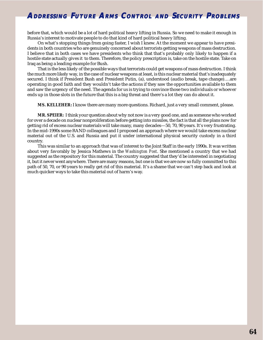before that, which would be a lot of hard political heavy lifting in Russia. So we need to make it enough in Russia's interest to motivate people to do that kind of hard political heavy lifting.

On what's stopping things from going faster, I wish I knew. At the moment we appear to have presidents in both countries who are genuinely concerned about terrorists getting weapons of mass destruction. I believe that in both cases we have presidents who think that that's probably only likely to happen if a hostile state actually gives it to them. Therefore, the policy prescription is, take on the hostile state. Take on Iraq as being a leading example for Bush.

That is the less likely of the possible ways that terrorists could get weapons of mass destruction. I think the much more likely way, in the case of nuclear weapons at least, is this nuclear material that's inadequately secured. I think if President Bush and President Putin, (a), understood (audio break, tape change)….are operating in good faith and they wouldn't take the actions if they saw the opportunities available to them and saw the urgency of the need. The agenda for us is trying to convince those two individuals or whoever ends up in those slots in the future that this is a big threat and there's a lot they can do about it.

**MS. KELLEHER:** I know there are many more questions. Richard, just a very small comment, please.

**MR. SPEIER:** I think your question about why not now is a very good one, and as someone who worked for over a decade on nuclear nonproliferation before getting into missiles, the fact is that all the plans now for getting rid of excess nuclear materials will take many, many decades—50, 70, 90 years. It's very frustrating. In the mid-1990s some RAND colleagues and I proposed an approach where we would take excess nuclear material out of the U.S. and Russia and put it under international physical security custody in a third country.

This was similar to an approach that was of interest to the Joint Staff in the early 1990s. It was written about very favorably by Jessica Mathews in the *Washington Post*. She mentioned a country that we had suggested as the repository for this material. The country suggested that they'd be interested in negotiating it, but it never went anywhere. There are many reasons, but one is that we are now so fully committed to this path of 50, 70, or 90 years to really get rid of this material. It's a shame that we can't step back and look at much quicker ways to take this material out of harm's way.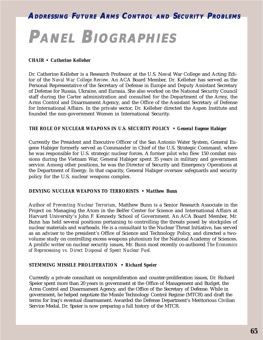# **PANEL BIOGRAPHIES IOGRAPHIES**

#### *CHAIR • Catherine Kelleher*

Dr. Catherine Kelleher is a Research Professor at the U.S. Naval War College and Acting Editor of the *Naval War College Review*. An ACA Board Member, Dr. Kelleher has served as the Personal Representative of the Secretary of Defense in Europe and Deputy Assistant Secretary of Defense for Russia, Ukraine, and Eurasia. She also worked on the National Security Council staff during the Carter administration and consulted for the Department of the Army, the Arms Control and Disarmament Agency, and the Office of the Assistant Secretary of Defense for International Affairs. In the private sector, Dr. Kelleher directed the Aspen Institute and founded the non-government Women in International Security.

#### *THE ROLE OF NUCLEAR WEAPONS IN U.S. SECURITY POLICY • General Eugene Habiger*

Currently the President and Executive Officer of the San Antonio Water System, General Eugene Habiger formerly served as Commander in Chief of the U.S. Strategic Command, where he was responsible for U.S. strategic nuclear forces. A former pilot who flew 150 combat missions during the Vietnam War, General Habiger spent 35 years in military and government service. Among other positions, he was the Director of Security and Emergency Operations at the Department of Energy. In that capacity, General Habiger oversaw safeguards and security policy for the U.S. nuclear weapons complex.

#### *DENYING NUCLEAR WEAPONS TO TERRORISTS • Matthew Bunn*

Author of *Preventing Nuclear Terrorism*, Matthew Bunn is a Senior Research Associate in the Project on Managing the Atom in the Belfer Center for Science and International Affairs at Harvard University's John F. Kennedy School of Government. An ACA Board Member, Mr. Bunn has held several positions pertaining to controlling the threats posed by stockpiles of nuclear materials and warheads. He is a consultant to the Nuclear Threat Initiative, has served as an adviser to the president's Office of Science and Technology Policy, and directed a twovolume study on controlling excess weapons plutonium for the National Academy of Sciences. A prolific writer on nuclear security issues, Mr. Bunn most recently co-authored *The Economics of Reprocessing vs. Direct Disposal of Spent Nuclear Fuel.*

#### *STEMMING MISSILE PROLIFERATION • Richard Speier*

Currently a private consultant on nonproliferation and counter-proliferation issues, Dr. Richard Speier spent more than 20 years in government at the Office of Management and Budget, the Arms Control and Disarmament Agency, and the Office of the Secretary of Defense. While in government, he helped negotiate the Missile Technology Control Regime (MTCR) and draft the terms for Iraq's eventual disarmament. Awarded the Defense Department's Meritorious Civilian Service Medal, Dr. Speier is now preparing a full history of the MTCR.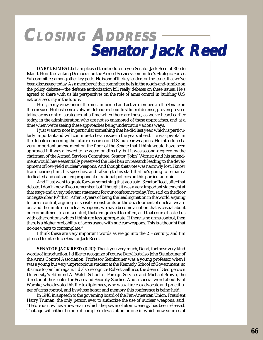## **CLOSING ADDRESS Senator Jack Reed Senator Jack Reed Senator Jack Reed**

**DARYL KIMBALL:** I am pleased to introduce to you Senator Jack Reed of Rhode Island. He is the ranking Democrat on the Armed Services Committee's Strategic Forces Subcommittee, among other key posts. He is one of the key leaders on the issues that we've been discussing today. As a member of that committee he is in the rough-and-tumble on the policy debates—the defense authorization bill really debates on these issues. He's agreed to share with us his perspectives on the role of arms control in building U.S. national security in the future.

He is, in my view, one of the most informed and active members in the Senate on these issues. He has been a stalwart defender of our first line of defense, proven preventative arms control strategies, at a time when there are those, as we've heard earlier today, in the administration who are not so enamored of these approaches, and at a time when we're seeing these approaches being undercut in various ways.

I just want to note in particular something that he did last year, which is particularly important and will continue to be an issue in the years ahead. He was pivotal in the debate concerning the future research on U.S. nuclear weapons. He introduced a very important amendment on the floor of the Senate that I think would have been approved if it was allowed to be voted on directly, but it was second-degreed by the chairman of the Armed Services Committee, Senator [John] Warner. And his amendment would have essentially preserved the 1994 ban on research leading to the development of low-yield nuclear weapons. And though that vote was narrowly lost, I know from hearing him, his speeches, and talking to his staff that he's going to remain a dedicated and outspoken proponent of rational policies on this particular topic.

And I just want to quote for you something that you said, Senator Reed, after that debate. I don't know if you remember, but I thought it was a very important statement at that stage and a very relevant statement for our conference today. You said on the floor on September 16<sup>th</sup> that "After 50 years of being the leading nation in the world arguing for arms control, arguing for sensible constraints on the development of nuclear weapons and the limits on nuclear weapons, we have become a nation that is casual about our commitment to arms control, that denigrates it too often, and that course has left us with other options which I think are less appropriate. If there is no arms control, then there is a higher probability of arms usage with nuclear weapons. This is a thought that no one wants to contemplate."

I think these are very important words as we go into the 21<sup>st</sup> century, and I'm pleased to introduce Senator Jack Reed.

**SENATOR JACK REED (D-RI):** Thank you very much, Daryl, for those very kind words of introduction. I'd like to recognize of course Daryl but also John Steinbruner of the Arms Control Association. Professor Steinbruner was a young professor when I was a young but very unprecocious student at the Kennedy School of Government, so it's nice to join him again. I'd also recognize Robert Gallucci, the dean of Georgetown University's Edmund A. Walsh School of Foreign Service, and Michael Brown, the director of the Center for Peace and Security Studies. And a special word about Paul Warnke, who devoted his life to diplomacy, who was a tireless advocate and practitioner of arms control, and in whose honor and memory this conference is being held.

In 1946, in a speech to the governing board of the Pan-American Union, President Harry Truman, the only person ever to authorize the use of nuclear weapons, said, "Before us now lies a new era in which the power of atomic energy has been released. That age will either be one of complete devastation or one in which new sources of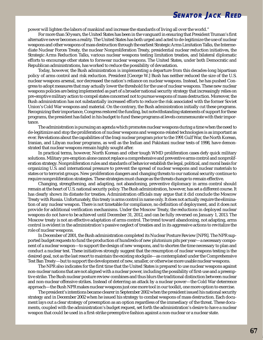### **SENATOR JACK REED**

power will lighten the labors of mankind and increase the standards of living all over the world."

For more than 50 years, the United States has been in the vanguard in ensuring that President Truman's first alternative never becomes a reality. The United States has both urged and acted to de-legitimize the use of nuclear weapons and other weapons of mass destruction through the earliest Strategic Arms Limitation Talks, the Intermediate Nuclear Forces Treaty, the nuclear Nonproliferation Treaty, presidential nuclear reduction initiatives, the Strategic Arms Reduction Talks, various nuclear weapons testing limitation treaties, and bilateral diplomatic efforts to encourage other states to forswear nuclear weapons. The United States, under both Democratic and Republican administrations, has worked to reduce the possibility of devastation.

Today, however, the Bush administration is implementing a departure from this decades-long bipartisan policy of arms control and risk reduction. President [George W.] Bush has neither reduced the size of the U.S. nuclear weapons arsenal, nor decreased the nation's reliance on nuclear weapons. Instead, he has pushed Congress to adopt measures that may actually lower the threshold for the use of nuclear weapons. These new nuclear weapons policies are being implemented as part of a broader national security strategy that increasingly relies on pre-emptive military action to compel states concerned not to pursue weapons of mass destruction. Moreover, the Bush administration has not substantially increased efforts to reduce the risk associated with the former Soviet Union's Cold War weapons and material. On the contrary, the Bush administration initially cut these programs. Recognizing their importance, Congress restored the funding, but notwithstanding statements of support for these programs, the president has failed in his budget to fund these programs at levels commensurate with their importance.

The administration is pursuing an agenda which promotes nuclear weapons during a time when the need to de-legitimize and stop the proliferation of nuclear weapons and weapons-related technologies is as important as ever. Revelations about the capabilities of the Iraqi nuclear program prior to the 1991 Gulf War, the North Korean, Iranian, and Libyan nuclear programs, as well as the Indian and Pakistani nuclear tests of 1998, have demonstrated that nuclear weapons remain highly sought after.

In practical terms, however, North Korean and other tough WMD proliferation cases defy quick military solutions. Military pre-emption alone cannot replace a comprehensive and preventive arms control and nonproliferation strategy. Nonproliferation rules and standards of behavior establish the legal, political, and moral basis for organizing U.S. and international pressure to prevent the spread of nuclear weapons and nuclear materials to states or to terrorist groups. New proliferation dangers and changing threats to our national security continue to require nonproliferation strategies. These strategies must change as the threats change to remain effective.

Changing, strengthening, and adapting, not abandoning, preventive diplomacy in arms control should remain at the heart of U.S. national security policy. The Bush administration, however, has set a different course. It has clearly shown its distaste for treaties. Administration officials may argue that it did conclude the Moscow Treaty with Russia. Unfortunately, this treaty is arms control in name only. It does not actually require the elimination of any nuclear weapon. There is not timetable for compliance, no definition of deployment, and it does not provide for additional verification mechanisms. Under the Moscow Treaty, the reductions in deployed nuclear weapons do not have to be achieved until December 31, 2012, and can be fully reversed on January 1, 2013. The Moscow treaty is not an effective adaptation of arms control. The trend toward abandoning, not adapting, arms control is evident in the administration's passive neglect of treaties and in its aggressive actions to revitalize the role of nuclear weapons.

In December of 2001, the Bush administration completed its Nuclear Posture Review [NPR]. The NPR supported budget requests to fund the production of hundreds of new plutonium pits per year—a necessary component of a nuclear weapon—to support the design of new weapons, and to shorten the time necessary to plan and conduct a nuclear test. These initiatives strongly suggest that the resumption of nuclear weapons testing is the desired goal, not as the last resort to maintain the existing stockpile—as contemplated under the Comprehensive Test Ban Treaty—but to support the development of new, smaller, or otherwise more usable nuclear weapons.

The NPR also indicates for the first time that the United States is prepared to use nuclear weapons against non-nuclear nations that are not aligned with a nuclear power, including the possibility of first-use and a preemptive strike. The Bush nuclear posture review combines and thus blurs the traditional distinction between nuclear and non-nuclear offensive strikes. Instead of deterring an attack by a nuclear power—the Cold War deterrence approach—the Bush NPR makes nuclear weapons just one more tool in our toolkit, one more option to exercise.

The president's intentions became clearer in September 2002 when the president issued his national security strategy and in December 2002 when he issued his strategy to combat weapons of mass destruction. Each document lays out a clear strategy of preemption as an option regardless of the immediacy of the threat. These documents, coupled with the administration's budget request, set forth the administration's desire to have a nuclear weapon that could be used in a first-strike preemptive fashion against a non-nuclear or a nuclear state.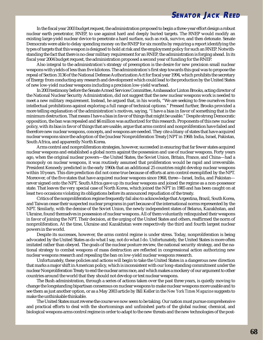In the fiscal year 2003 budget request, the administration proposed to begin a three-year effort design a robust nuclear earth penetrator, RNEP, to use against hard and deeply buried targets. The RNEP would modify an existing large-yield nuclear device to penetrate a hard surface, such as rock, survive, and then detonate. Senate Democrats were able to delay spending money on the RNEP for six months by requiring a report identifying the types of targets that this weapon is designed to hold at risk and the employment policy for such an RNEP. Notwithstanding the fact that there is no clear military requirement for an RNEP, the administration is forging ahead. In its fiscal year 2004 budget request, the administration proposed a second year of funding for the RNEP.

Also integral to the administration's strategy of preemption is the desire for new precision small nuclear weapons with yields of less than five kilotons. The administration's first step towards this goal was to propose the repeal of Section 3136 of the National Defense Authorization Act for fiscal year 1994, which prohibits the secretary of Energy from conducting any research and development which could lead to the production by the United States of new low-yield nuclear weapons including a precision low-yield warhead.

In 2003 testimony before the Senate Armed Services Committee, Ambassador Linton Brooks, acting director of the National Nuclear Security Administration, did not suggest that the new nuclear weapons work is needed to meet a new military requirement. Instead, he argued that, in his words, "We are seeking to free ourselves from intellectual prohibitions against exploring a full range of technical options." Pressed further, Brooks provided a more telling explanation of the administration's motives, saying, "I have a bias in favor of something that is the minimum destruction. That means I have a bias in favor of things that might be usable." Despite strong Democratic opposition, the ban was repealed and \$6 million was authorized for this research. Proponents of this new nuclear policy, with its bias in favor of things that are usable, argue that arms control and nonproliferation have failed and therefore new nuclear weapons, concepts, and weapons are needed. They cite a litany of states that have acquired nuclear weapons since the adoption of the [nuclear Nonproliferation Treaty] NPT in 1968: India, Israel, Pakistan, South Africa, and apparently North Korea.

Arms control and nonproliferation strategies, however, succeeded in ensuring that far fewer states acquired nuclear weapons and established a global norm against the possession and use of nuclear weapons. Forty years ago, when the original nuclear powers—the United States, the Soviet Union, Britain, France, and China—had a monopoly on nuclear weapons, it was routinely assumed that proliferation would be rapid and irreversible. President Kennedy predicted in the early 1960s that an additional 25 countries might develop nuclear weapons within 10 years. This dire prediction did not come true because of efforts at arm control exemplified by the NPT. Moreover, of the five states that have acquired nuclear weapons since 1968, three—Israel, India, and Pakistan never signed onto the NPT. South Africa gave up its nuclear weapons and joined the regime as a non-possessor state. That leaves the very special case of North Korea, which joined the NPT in 1985 and has been caught on at least two occasions violating its obligations before its announced repudiation of the treaty.

Critics of the nonproliferation regime frequently fail also to acknowledge that Argentina, Brazil, South Korea, and Taiwan cease their suspected nuclear programs in part because of the international norms represented by the NPT. Similarly, with the demise of the Soviet Union, the newly independent states of Belarus, Kazakhstan, and Ukraine, found themselves in possession of nuclear weapons. All of them voluntarily relinquished their weapons in favor of joining the NPT. Their decision, at the urging of the United States and others, reaffirmed the norm of nonproliferation. At the time, Ukraine and Kazakhstan were respectively the third and fourth largest nuclear powers in the world.

Despite its successes, however, the arms control regime is under stress. Today, nonproliferation is being advocated by the United States as do what I say, not do what I do. Unfortunately, the United States is more often imitated rather than obeyed. The goals of the nuclear posture review, the national security strategy, and the national strategy to combat weapons of mass destruction are reflected in congressional action authorizing new nuclear weapons research and repealing the ban on low-yield nuclear weapons research.

Unfortunately, these policies and actions will begin to take the United States in a dangerous new direction that marks a major shift in American policy, which is inconsistent with our long-standing commitment under the nuclear Nonproliferation Treaty to end the nuclear arms race, and which makes a mockery of our argument to other countries around the world that they should not develop or test nuclear weapons.

The Bush administration, through a series of actions taken over the past three years, is quietly moving to change the longstanding bipartisan consensus on nuclear weapons to make nuclear weapons more usable and to see them as just another option, or as a May 2003 article by Bill Keller in the *New York Times Magazine* suggests to make the unthinkable thinkable.

The United States must reverse the course we now seem to be taking. Our nation must pursue comprehensive and practical efforts to deal with the shortcomings and unfinished parts of the global nuclear, chemical, and biological weapons arms control regime in order to adapt to the new threats and the new technologies of the post-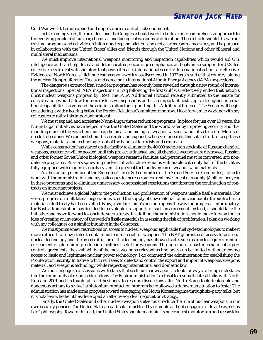### **SENATOR JACK REED**

Cold War world. Let us expand and improve arms control, not condemn it.

In the coming years, the president and the Congress should work to build a more comprehensive approach to the evolving problem of nuclear, chemical, and biological weapons proliferation. These efforts should draw from existing programs and activities, reinforce and expand bilateral and global arms control measures, and be pursued in collaboration with the United States' allies and friends through the United Nations and other bilateral and multilateral mechanisms.

We must improve international weapons monitoring and inspection capabilities which would aid U.S. intelligence and can help detect and deter cheaters, encourage compliance, and galvanize support for U.S.-led collective acts to deal with violators that pose a threat to international security. International actions are effective. Evidence of North Korea's illicit nuclear weapons work was discovered in 1992 as a result of that country joining the nuclear Nonproliferation Treaty and agreeing to International Atomic Energy Agency (IAEA) inspections.

The dangerous extent of Iran's nuclear program has recently been revealed through a new round of international inspections. Special IAEA inspections in Iraq following the first Gulf war effectively ended that nation's illicit nuclear weapons program by 1998. The IAEA Additional Protocol recently submitted to the Senate for consideration would allow for more extensive inspections and is an important next step to strengthen international capabilities. I commend the administration for supporting this Additional Protocol. The Senate will begin considering it with a hearing before the Foreign Relations Committee tomorrow. I look forward to working with my colleagues to ratify this important protocol.

We must expand and accelerate Nunn-Lugar threat reduction programs. In place for just over 10 years, the Nunn-Lugar initiatives have helped make the United States and the world safer by improving security and dismantling much of the Soviet-era nuclear, chemical, and biological weapons arsenals and infrastructure. More still needs to be done. We can and should accelerate and expand, wherever possible, this vital effort to keep these weapons, materials, and technologies out of the hands of terrorists and criminals.

While construction has started on the facility to eliminate the 40,000 metric-ton stockpile of Russian chemical weapons, assistance will be needed until this project is finished and all chemical weapons are destroyed. Russian and other former Soviet Union biological weapons research facilities and personnel must be converted into nondefense programs. Russia's sprawling nuclear infrastructure remains vulnerable with only half of the facilities fully equipped with modern security systems to prevent theft or diversion of weapons and materials.

As the ranking member of the Emerging Threat Subcommittee of the Armed Services Committee, I plan to work with the administration and my colleagues to increase our current investment of roughly \$1 billion per year in these programs and to eliminate unnecessary congressional restrictions that threaten the continuation of contracts on important projects.

We must achieve a global halt to the production and proliferation of weapons usable fissile materials. For years, progress on multilateral negotiations to end the supply of new material for nuclear bombs through a fissile material cutoff treaty has been stalled. Now, a shift in China's position opens the way for progress. Unfortunately, the Bush administration has decided to reevaluate its support for such an agreement. Instead, it should take the initiative and move forward to conclude such a treaty. In addition, the administration should move forward on its idea of creating an inventory of the world's fissile materials in assessing the risk of proliferation. I plan on working with my colleagues on a similar initiative in the Congress.

We must pursue new restrictions on access to nuclear weapons' applicable fuel cycle technologies to make it more difficult for new states to obtain nuclear material for weapons. The NPT guarantee of access to peaceful nuclear technology and the broad diffusion of that technology has allowed states such as Iran to acquire uranium enrichment or plutonium production facilities useful for weapons. Through more robust international export control agreements, the availability of the most weapons-relevant technologies can be limited without denying access to basic and legitimate nuclear power technology. I do commend the administration for establishing the Proliferation Security Initiative, which will seek to detect and control the export and import of weapons, weapons material, and weapons technology while respecting international and domestic law.

We must engage in discussions with states that seek nuclear weapons to look for ways to bring such states into the community of responsible nations. The Bush administration's refusal to resume bilateral talks with North Korea in 2001 and its tough talk and hesitancy to resume discussions after North Korea took deplorable and dangerous actions to revive its plutonium production program have allowed a dangerous situation to fester. The administration has made some progress toward reengaging the North Korean regime through six-party talks, but it is not clear whether it has developed an effective or clear negotiation strategy.

Finally, the United States and other nuclear-weapon states must reduce the role of nuclear weapons in our own security policies. The United States in particular must lead by example and not engage in a "do as I say, not as I do" philosophy. Toward this end, the United States should maintain its nuclear test moratorium and reconsider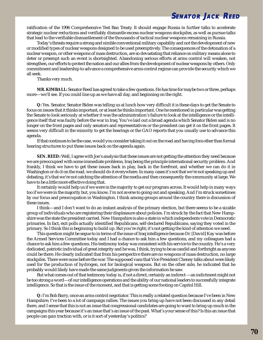ratification of the 1996 Comprehensive Test Ban Treaty. It should engage Russia in further talks to accelerate strategic nuclear reductions and verifiably dismantle excess nuclear weapons stockpiles, as well as pursue talks that lead to the verifiable dismantlement of the thousands of tactical nuclear weapons remaining in Russia.

**SENATOR JACK REED** 

Today's threats require a strong and nimble conventional military capability and not the development of new or modified types of nuclear weapons designed to be used preemptively. The consequences of the detonation of a nuclear weapon, or other weapons of mass destruction, are so devastating that reliance on military means alone to deter or preempt such an event is shortsighted. Abandoning serious efforts at arms control will weaken, not strengthen, our efforts to protect the nation and our allies from the development of nuclear weapons by others. Only commitment and leadership to advance a comprehensive arms control regime can provide the security which we all seek.

Thanks very much.

**MR. KIMBALL:** Senator Reed has agreed to take a few questions. He has time for maybe two or three, perhaps more—we'll see. If you could line up as we have all day, and beginning on the right.

**Q:** Yes. Senator, Senator Biden was telling us at lunch how very difficult it is these days to get the Senate to focus on issues that it thinks important, or at least he thinks important. One he mentioned in particular was getting the Senate to look seriously at whether it was the administration's failure to look at the intelligence or the intelligence itself that was faulty before the war in Iraq. You've laid out a broad agenda which Senator Biden said is no longer on the front pages and only senators and representatives or the president can get it on the front pages. It seems very difficult in the minority to get the hearings or the GAO reports that you usually use to advance this agenda.

If that continues to be the case, would you consider taking it out on the road and having fora other than formal hearing structures to put these issues back on the agenda again.

**SEN. REED:** Well, I agree with Joe's analysis that these issues are not getting the attention they need because we are preoccupied with some immediate problems, Iraq being the principle international security problem. And frankly, I think we have to get these issues back in play, back in the forefront, and whether we can do it in Washington or do it on the road, we should do it everywhere. In many cases it's not that we're not speaking up and debating, it's that we're not catching the attention of the media and then consequently the community at large. We have to be a little more effective doing that.

It certainly would help us if we were in the majority to get our program across. It would help in many ways too if we were in the majority but, you know, I'm not averse to going out and speaking. And I'm struck sometimes by our focus and preoccupation in Washington. I think among groups around the country there is discussion of these issues.

I think—and I don't want to do an instant analysis of the primary election, but there seems to be a sizable group of individuals who are registering their displeasure about policies. I'm struck by the fact that New Hampshire was the state the president carried. New Hampshire is also a state in which independents vote in Democratic primaries. In fact, exit polls actually identified Republicans, self-declared Republicans, saying they voted in the primary. So I think this is beginning to build up. But you're right; it's not getting the kind of attention we need.

This question might be segue to in terms of the issue of Iraq intelligence because Dr. [David] Kay was before the Armed Services Committee today and I had a chance to ask him a few questions, and my colleagues had a chance to ask him a few questions. His testimony today was consistent with his service to the country. He's a very dedicated, patriotic individual of great integrity and he was, I think, trying to be as candid and forthright as anyone could be there. He clearly indicated that from his perspective there are no weapons of mass destruction, no large stockpiles. There were none before the war. The supposed vans that Vice President Cheney talks about were likely used for the production of hydrogen, not for biological weapons. But on the other side, he indicated that he probably would likely have made the same judgments given the information he saw.

But what comes out of that testimony today is, if not a direct, certainly an indirect —an indictment might not be too strong a word—of our intelligence operations and the ability of our national leaders to successfully integrate intelligence. So that is the issue of the moment, and that is getting some footing on Capitol Hill.

**Q:** I'm Bob Barry, once an arms control negotiator. This is really a related question because I've been in New Hampshire; I've been to a lot of campaign rallies. The issues you bring up have not been discussed in any detail there, and I sense that this is not an issue that congressional candidates are going to want to bring up much in the campaigns this year because it's an issue that's an issue of the past. What's your sense of this? Is this an issue that people can gain traction with, or is it sort of yesterday's politics?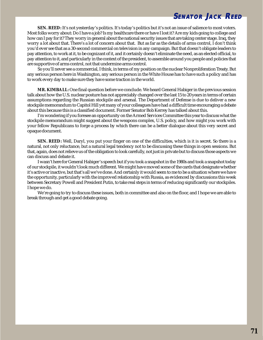

**SEN. REED:** It's not yesterday's politics. It's today's politics but it's not an issue of salience to most voters. Most folks worry about: Do I have a job? Is my healthcare there or have I lost it? Are my kids going to college and how can I pay for it? They worry in general about the national security issues that are taking center stage. Iraq, they worry a lot about that. There's a lot of concern about that. But as far as the details of arms control, I don't think you'd ever see that as a 30-second commercial on television in any campaign. But that doesn't obligate leaders to pay attention, to work at it, to be cognizant of it, and it certainly doesn't eliminate the need, as an elected official, to pay attention to it, and particularly in the context of the president, to assemble around you people and policies that are supportive of arms control, not that undermine arms control.

So you'll never see a commercial, I think, in terms of my position on the nuclear Nonproliferation Treaty. But any serious person here in Washington, any serious person in the White House has to have such a policy and has to work every day to make sure they have some traction in the world.

**MR. KIMBALL:** One final question before we conclude. We heard General Habiger in the previous session talk about how the U.S. nuclear posture has not appreciably changed over the last 15 to 20 years in terms of certain assumptions regarding the Russian stockpile and arsenal. The Department of Defense is due to deliver a new stockpile memorandum to Capitol Hill yet many of your colleagues have had a difficult time encouraging a debate about this because this is a classified document. Former Senator Bob Kerrey has talked about this.

I'm wondering if you foresee an opportunity on the Armed Services Committee this year to discuss what the stockpile memorandum might suggest about the weapons complex, U.S. policy, and how might you work with your fellow Republicans to forge a process by which there can be a better dialogue about this very secret and opaque document.

**SEN. REED:** Well, Daryl, you put your finger on one of the difficulties, which is it is secret. So there is a natural, not only reluctance, but a natural legal tendency not to be discussing these things in open sessions. But that, again, does not relieve us of the obligation to look carefully, not just in private but to discuss those aspects we can discuss and debate it.

I wasn't here for General Habiger's speech but if you took a snapshot in the 1980s and took a snapshot today of our stockpile, it wouldn't look much different. We might have moved some of the cards that designate whether it's active or inactive, but that's all we've done. And certainly it would seem to me to be a situation where we have the opportunity, particularly with the improved relationship with Russia, as evidenced by discussions this week between Secretary Powell and President Putin, to take real steps in terms of reducing significantly our stockpiles. I hope we do.

We're going to try to discuss these issues, both in committee and also on the floor, and I hope we are able to break through and get a good debate going.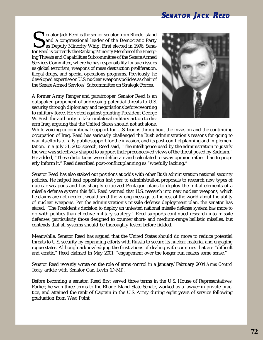## **SENATOR JACK REED**

enator Jack Reed is the senior senator from Rhode Island<br>and a congressional leader of the Democratic Party<br>as Deputy Minority Whip. First elected in 1996, Senator<br>Reed is currently the Ranking Minority Member of the Emerg and a congressional leader of the Democratic Party as Deputy Minority Whip. First elected in 1996, Senator Reed is currently the Ranking Minority Member of the Emerging Threats and Capabilities Subcommittee of the Senate Armed Services Committee, where he has responsibility for such issues as global terrorism, weapons of mass destruction proliferation, illegal drugs, and special operations programs. Previously, he developed expertise on U.S. nuclear weapons policies as chair of the Senate Armed Services' Subcommittee on Strategic Forces.

A former Army Ranger and paratrooper, Senator Reed is an outspoken proponent of addressing potential threats to U.S. security through diplomacy and negotiations before resorting to military force. He voted against granting President George W. Bush the authority to take unilateral military action to disarm Iraq, arguing that the United States should not act alone.



While voicing unconditional support for U.S. troops throughout the invasion and the continuing occupation of Iraq, Reed has seriously challenged the Bush administration's reasons for going to war, its efforts to rally public support for the invasion, and its post-conflict planning and implementation. In a July 31, 2003 speech, Reed said, "The intelligence used by the administration to justify the war was selectively shaped to support their preconceived views of the threat posed by Saddam." He added, "These distortions were deliberate and calculated to sway opinion rather than to properly inform it." Reed described post-conflict planning as "woefully lacking."

Senator Reed has also staked out positions at odds with other Bush administration national security policies. He helped lead opposition last year to administration proposals to research new types of nuclear weapons and has sharply criticized Pentagon plans to deploy the initial elements of a missile defense system this fall. Reed warned that U.S. research into new nuclear weapons, which he claims are not needed, would send the wrong message to the rest of the world about the utility of nuclear weapons. Per the administration's missile defense deployment plan, the senator has stated, "The President's decision to deploy an untested national missile defense system has more to do with politics than effective military strategy." Reed supports continued research into missile defenses, particularly those designed to counter short- and medium-range ballistic missiles, but contends that all systems should be thoroughly tested before fielded.

Meanwhile, Senator Reed has argued that the United States should do more to reduce potential threats to U.S. security by expanding efforts with Russia to secure its nuclear material and engaging rogue states. Although acknowledging the frustrations of dealing with countries that are "difficult and erratic," Reed claimed in May 2001, "engagement over the longer run makes some sense."

Senator Reed recently wrote on the role of arms control in a January/February 2004 *Arms Control Today* article with Senator Carl Levin (D-MI).

Before becoming a senator, Reed first served three terms in the U.S. House of Representatives. Earlier, he won three terms to the Rhode Island State Senate, worked as a lawyer in private practice, and attained the rank of Captain in the U.S. Army during eight years of service following graduation from West Point.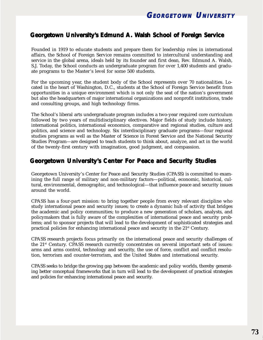

## **Georgetown University' Georgetown University's Edmund A. Walsh School of Foreign Service**

Founded in 1919 to educate students and prepare them for leadership roles in international affairs, the School of Foreign Service remains committed to intercultural understanding and service in the global arena, ideals held by its founder and first dean, Rev. Edmund A. Walsh, S.J. Today, the School conducts an undergraduate program for over 1,400 students and graduate programs to the Master's level for some 500 students.

For the upcoming year, the student body of the School represents over 70 nationalities. Located in the heart of Washington, D.C., students at the School of Foreign Service benefit from opportunities in a unique environment which is not only the seat of the nation's government but also the headquarters of major international organizations and nonprofit institutions, trade and consulting groups, and high technology firms.

The School's liberal arts undergraduate program includes a two-year required core curriculum followed by two years of multidisciplinary electives. Major fields of study include history, international politics, international economics, comparative and regional studies, culture and politics, and science and technology. Six interdisciplinary graduate programs—four regional studies programs as well as the Master of Science in Forest Service and the National Security Studies Program—are designed to teach students to think about, analyze, and act in the world of the twenty-first century with imagination, good judgment, and compassion.

## **Georgetown University's Center For Peace and Security Studies**

Georgetown University's Center for Peace and Security Studies (CPASS) is committed to examining the full range of military and non-military factors—political, economic, historical, cultural, environmental, demographic, and technological—that influence peace and security issues around the world.

CPASS has a four-part mission: to bring together people from every relevant discipline who study international peace and security issues; to create a dynamic hub of activity that bridges the academic and policy communities; to produce a new generation of scholars, analysts, and policymakers that is fully aware of the complexities of international peace and security problems; and to sponsor projects that will lead to the development of sophisticated strategies and practical policies for enhancing international peace and security in the 21st Century.

CPASS research projects focus primarily on the international peace and security challenges of the 21st Century. CPASS research currently concentrates on several important sets of issues: arms and arms control, technology and security, the use of force, conflict and conflict resolution, terrorism and counter-terrorism, and the United States and international security.

CPASS seeks to bridge the growing gap between the academic and policy worlds, thereby generating better conceptual frameworks that in turn will lead to the development of practical strategies and policies for enhancing international peace and security.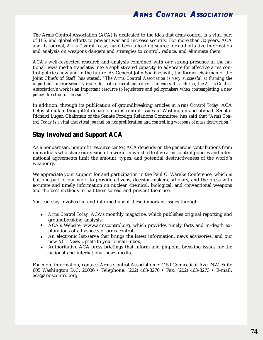The Arms Control Association (ACA) is dedicated to the idea that arms control is a vital part of U.S. and global efforts to prevent war and increase security. For more than 30 years, ACA and its journal, *Arms Control Today*, have been a leading source for authoritative information and analysis on weapons dangers and strategies to control, reduce, and eliminate them.

ACA's well-respected research and analysis combined with our strong presence in the national news media translates into a sophisticated capacity to advocate for effective arms control policies now and in the future. As General John Shalikashvili, the former chairman of the Joint Chiefs of Staff, has stated, *"The Arms Control Association is very successful at framing the important nuclear security issues for both general and expert audiences. In addition, the Arms Control Association's work is an important resource to legislators and policymakers when contemplating a new policy direction or decision."*

In addition, through its publication of groundbreaking articles in *Arms Control Today,* ACA helps stimulate thoughtful debate on arms control issues in Washington and abroad. Senator Richard Lugar, Chairman of the Senate Foreign Relations Committee, has said that *"Arms Control Today is a vital analytical journal on nonproliferation and controlling weapons of mass destruction."*

## **Stay Involved and Support ACA**

As a nonpartisan, nonprofit resource center, ACA depends on the generous contributions from individuals who share our vision of a world in which effective arms control policies and international agreements limit the amount, types, and potential destructiveness of the world's weaponry.

We appreciate your support for and participation in the Paul C. Warnke Conference, which is but one part of our work to provide citizens, decision-makers, scholars, and the press with accurate and timely information on nuclear, chemical, biological, and conventional weapons and the best methods to halt their spread and prevent their use.

You can stay involved in and informed about these important issues through:

- *Arms Control Today*, ACA's monthly magazine, which publishes original reporting and groundbreaking analysis;
- ACA's Website, www.armscontrol.org, which provides timely facts and in-depth explorations of all aspects of arms control;
- An electronic list-serve that brings the latest information, news advisories, and our  $\bullet$ new *ACT News Update* to your e-mail inbox;
- Authoritative ACA press briefings that inform and pinpoint breaking issues for the national and international news media.

For more information, contact: Arms Control Association • 1150 Connecticut Ave. NW, Suite 605 Washington D.C. 20036 • Telephone: (202) 463-8270 • Fax: (202) 463-8273 • E-mail: aca@armscontrol.org